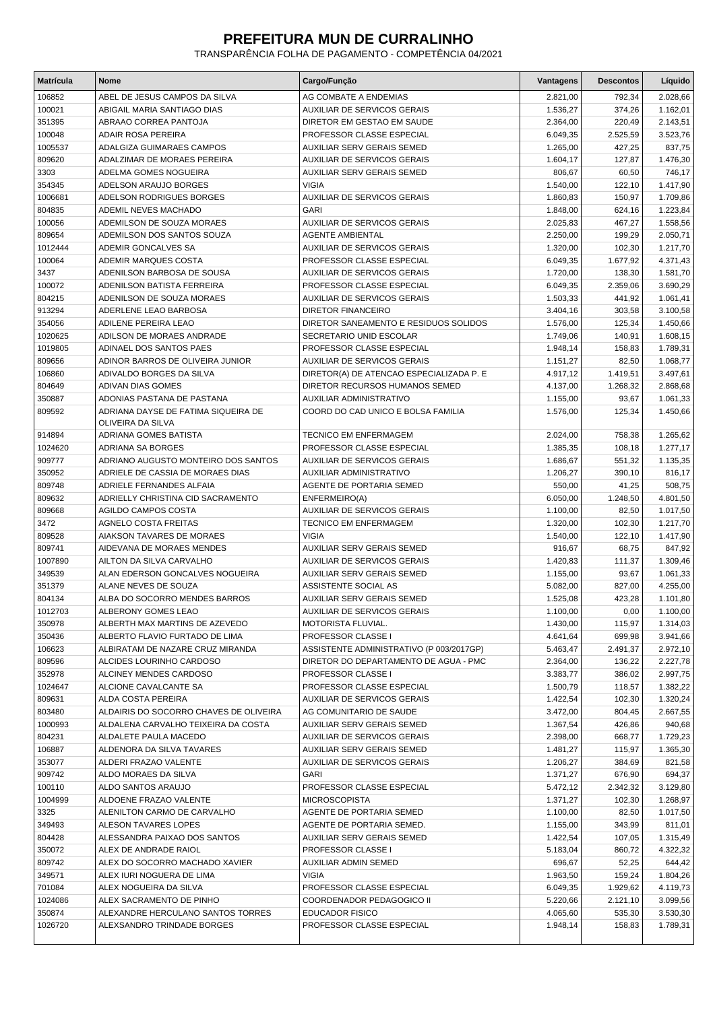## **PREFEITURA MUN DE CURRALINHO**

TRANSPARÊNCIA FOLHA DE PAGAMENTO - COMPETÊNCIA 04/2021

| <b>Matrícula</b> | <b>Nome</b>                                              | Cargo/Função                             | <b>Vantagens</b> | <b>Descontos</b> | Líquido  |
|------------------|----------------------------------------------------------|------------------------------------------|------------------|------------------|----------|
| 106852           | ABEL DE JESUS CAMPOS DA SILVA                            | AG COMBATE A ENDEMIAS                    | 2.821,00         | 792,34           | 2.028,66 |
| 100021           | ABIGAIL MARIA SANTIAGO DIAS                              | <b>AUXILIAR DE SERVICOS GERAIS</b>       | 1.536,27         | 374,26           | 1.162,01 |
| 351395           | ABRAAO CORREA PANTOJA                                    | DIRETOR EM GESTAO EM SAUDE               | 2.364,00         | 220,49           | 2.143,51 |
| 100048           | ADAIR ROSA PEREIRA                                       | PROFESSOR CLASSE ESPECIAL                | 6.049,35         | 2.525,59         | 3.523,76 |
| 1005537          | <b>ADALGIZA GUIMARAES CAMPOS</b>                         | AUXILIAR SERV GERAIS SEMED               | 1.265,00         | 427,25           | 837,75   |
| 809620           | ADALZIMAR DE MORAES PEREIRA                              | <b>AUXILIAR DE SERVICOS GERAIS</b>       | 1.604,17         | 127,87           | 1.476,30 |
| 3303             | ADELMA GOMES NOGUEIRA                                    | AUXILIAR SERV GERAIS SEMED               | 806,67           | 60,50            | 746,17   |
| 354345           | ADELSON ARAUJO BORGES                                    | <b>VIGIA</b>                             | 1.540,00         | 122,10           | 1.417,90 |
| 1006681          | ADELSON RODRIGUES BORGES                                 | AUXILIAR DE SERVICOS GERAIS              | 1.860,83         | 150,97           | 1.709,86 |
| 804835           | ADEMIL NEVES MACHADO                                     | <b>GARI</b>                              | 1.848,00         | 624,16           | 1.223,84 |
| 100056           | ADEMILSON DE SOUZA MORAES                                | <b>AUXILIAR DE SERVICOS GERAIS</b>       | 2.025,83         | 467,27           | 1.558,56 |
| 809654           | ADEMILSON DOS SANTOS SOUZA                               | AGENTE AMBIENTAL                         | 2.250,00         | 199,29           | 2.050,71 |
| 1012444          | ADEMIR GONCALVES SA                                      | <b>AUXILIAR DE SERVICOS GERAIS</b>       | 1.320,00         | 102,30           | 1.217,70 |
| 100064           | ADEMIR MARQUES COSTA                                     | PROFESSOR CLASSE ESPECIAL                | 6.049,35         | 1.677,92         | 4.371,43 |
| 3437             | ADENILSON BARBOSA DE SOUSA                               | <b>AUXILIAR DE SERVICOS GERAIS</b>       | 1.720,00         | 138,30           | 1.581,70 |
| 100072           | ADENILSON BATISTA FERREIRA                               | PROFESSOR CLASSE ESPECIAL                | 6.049,35         | 2.359,06         | 3.690,29 |
| 804215           | ADENILSON DE SOUZA MORAES                                | <b>AUXILIAR DE SERVICOS GERAIS</b>       | 1.503,33         | 441,92           | 1.061,41 |
| 913294           | ADERLENE LEAO BARBOSA                                    | <b>DIRETOR FINANCEIRO</b>                | 3.404,16         | 303,58           | 3.100,58 |
| 354056           | ADILENE PEREIRA LEAO                                     | DIRETOR SANEAMENTO E RESIDUOS SOLIDOS    | 1.576,00         | 125,34           | 1.450,66 |
| 1020625          | ADILSON DE MORAES ANDRADE                                | SECRETARIO UNID ESCOLAR                  | 1.749,06         | 140,91           | 1.608,15 |
| 1019805          | ADINAEL DOS SANTOS PAES                                  | PROFESSOR CLASSE ESPECIAL                | 1.948,14         | 158,83           | 1.789,31 |
| 809656           | ADINOR BARROS DE OLIVEIRA JUNIOR                         | <b>AUXILIAR DE SERVICOS GERAIS</b>       | 1.151,27         | 82,50            | 1.068,77 |
| 106860           | ADIVALDO BORGES DA SILVA                                 | DIRETOR(A) DE ATENCAO ESPECIALIZADA P. E | 4.917,12         | 1.419,51         | 3.497,61 |
| 804649           | <b>ADIVAN DIAS GOMES</b>                                 | DIRETOR RECURSOS HUMANOS SEMED           | 4.137,00         | 1.268,32         | 2.868,68 |
| 350887           | ADONIAS PASTANA DE PASTANA                               | AUXILIAR ADMINISTRATIVO                  | 1.155,00         | 93,67            | 1.061,33 |
| 809592           | ADRIANA DAYSE DE FATIMA SIQUEIRA DE<br>OLIVEIRA DA SILVA | COORD DO CAD UNICO E BOLSA FAMILIA       | 1.576,00         | 125,34           | 1.450,66 |
| 914894           | ADRIANA GOMES BATISTA                                    | <b>TECNICO EM ENFERMAGEM</b>             | 2.024,00         | 758,38           | 1.265,62 |
| 1024620          | ADRIANA SA BORGES                                        | PROFESSOR CLASSE ESPECIAL                | 1.385,35         | 108,18           | 1.277,17 |
| 909777           | ADRIANO AUGUSTO MONTEIRO DOS SANTOS                      | <b>AUXILIAR DE SERVICOS GERAIS</b>       | 1.686,67         | 551,32           | 1.135,35 |
| 350952           | ADRIELE DE CASSIA DE MORAES DIAS                         | AUXILIAR ADMINISTRATIVO                  | 1.206,27         | 390,10           | 816,17   |
| 809748           | ADRIELE FERNANDES ALFAIA                                 | AGENTE DE PORTARIA SEMED                 | 550,00           | 41,25            | 508,75   |
| 809632           | ADRIELLY CHRISTINA CID SACRAMENTO                        | ENFERMEIRO(A)                            | 6.050,00         | 1.248,50         | 4.801,50 |
| 809668           | <b>AGILDO CAMPOS COSTA</b>                               | <b>AUXILIAR DE SERVICOS GERAIS</b>       | 1.100,00         | 82,50            | 1.017,50 |
| 3472             | AGNELO COSTA FREITAS                                     | <b>TECNICO EM ENFERMAGEM</b>             | 1.320,00         | 102,30           | 1.217,70 |
| 809528           | AIAKSON TAVARES DE MORAES                                | <b>VIGIA</b>                             | 1.540,00         | 122,10           | 1.417,90 |
| 809741           | AIDEVANA DE MORAES MENDES                                | AUXILIAR SERV GERAIS SEMED               | 916,67           | 68,75            | 847,92   |
| 1007890          | AILTON DA SILVA CARVALHO                                 | <b>AUXILIAR DE SERVICOS GERAIS</b>       | 1.420,83         | 111,37           | 1.309,46 |
| 349539           | ALAN EDERSON GONCALVES NOGUEIRA                          | AUXILIAR SERV GERAIS SEMED               | 1.155,00         | 93,67            | 1.061,33 |
| 351379           | ALANE NEVES DE SOUZA                                     | ASSISTENTE SOCIAL AS                     | 5.082,00         | 827,00           | 4.255,00 |
| 804134           | ALBA DO SOCORRO MENDES BARROS                            | <b>AUXILIAR SERV GERAIS SEMED</b>        | 1.525,08         | 423,28           | 1.101,80 |
| 1012703          | ALBERONY GOMES LEAO                                      | AUXILIAR DE SERVICOS GERAIS              | 1.100,00         | 0,00             | 1.100,00 |
| 350978           | ALBERTH MAX MARTINS DE AZEVEDO                           | MOTORISTA FLUVIAL.                       | 1.430,00         | 115,97           | 1.314,03 |
| 350436           | ALBERTO FLAVIO FURTADO DE LIMA                           | PROFESSOR CLASSE I                       | 4.641,64         | 699.98           | 3.941,66 |
| 106623           | ALBIRATAM DE NAZARE CRUZ MIRANDA                         | ASSISTENTE ADMINISTRATIVO (P 003/2017GP) | 5.463,47         | 2.491,37         | 2.972,10 |
| 809596           | ALCIDES LOURINHO CARDOSO                                 | DIRETOR DO DEPARTAMENTO DE AGUA - PMC    | 2.364,00         | 136,22           | 2.227,78 |
| 352978           | ALCINEY MENDES CARDOSO                                   | PROFESSOR CLASSE I                       | 3.383,77         | 386,02           | 2.997,75 |
| 1024647          | ALCIONE CAVALCANTE SA                                    | PROFESSOR CLASSE ESPECIAL                | 1.500,79         | 118,57           | 1.382,22 |
| 809631           | ALDA COSTA PEREIRA                                       | <b>AUXILIAR DE SERVICOS GERAIS</b>       | 1.422,54         | 102,30           | 1.320,24 |
| 803480           | ALDAIRIS DO SOCORRO CHAVES DE OLIVEIRA                   | AG COMUNITARIO DE SAUDE                  | 3.472,00         | 804,45           | 2.667,55 |
| 1000993          | ALDALENA CARVALHO TEIXEIRA DA COSTA                      | <b>AUXILIAR SERV GERAIS SEMED</b>        | 1.367,54         | 426,86           | 940,68   |
| 804231           | ALDALETE PAULA MACEDO                                    | AUXILIAR DE SERVICOS GERAIS              | 2.398,00         | 668,77           | 1.729,23 |
| 106887           | ALDENORA DA SILVA TAVARES                                | AUXILIAR SERV GERAIS SEMED               | 1.481,27         | 115,97           | 1.365,30 |
| 353077           | ALDERI FRAZAO VALENTE                                    | AUXILIAR DE SERVICOS GERAIS              | 1.206,27         | 384,69           | 821,58   |
| 909742           | ALDO MORAES DA SILVA                                     | GARI                                     | 1.371,27         | 676,90           | 694,37   |
| 100110           | ALDO SANTOS ARAUJO                                       | PROFESSOR CLASSE ESPECIAL                | 5.472,12         | 2.342,32         | 3.129,80 |
| 1004999          | ALDOENE FRAZAO VALENTE                                   | <b>MICROSCOPISTA</b>                     | 1.371,27         | 102,30           | 1.268,97 |
| 3325             | ALENILTON CARMO DE CARVALHO                              | AGENTE DE PORTARIA SEMED                 | 1.100,00         | 82,50            | 1.017,50 |
| 349493           | ALESON TAVARES LOPES                                     | AGENTE DE PORTARIA SEMED.                | 1.155,00         | 343,99           | 811,01   |
| 804428           | ALESSANDRA PAIXAO DOS SANTOS                             | AUXILIAR SERV GERAIS SEMED               | 1.422,54         | 107,05           | 1.315,49 |
| 350072           | ALEX DE ANDRADE RAIOL                                    | PROFESSOR CLASSE I                       | 5.183,04         | 860,72           | 4.322,32 |
| 809742           | ALEX DO SOCORRO MACHADO XAVIER                           | AUXILIAR ADMIN SEMED                     | 696,67           | 52,25            | 644,42   |
| 349571           | ALEX IURI NOGUERA DE LIMA                                | <b>VIGIA</b>                             | 1.963,50         | 159,24           | 1.804,26 |
| 701084           | ALEX NOGUEIRA DA SILVA                                   | PROFESSOR CLASSE ESPECIAL                | 6.049,35         | 1.929,62         | 4.119,73 |
| 1024086          | ALEX SACRAMENTO DE PINHO                                 | COORDENADOR PEDAGOGICO II                | 5.220,66         | 2.121,10         | 3.099,56 |
| 350874           | ALEXANDRE HERCULANO SANTOS TORRES                        | <b>EDUCADOR FISICO</b>                   | 4.065,60         | 535,30           | 3.530,30 |
| 1026720          | ALEXSANDRO TRINDADE BORGES                               | PROFESSOR CLASSE ESPECIAL                | 1.948,14         | 158,83           | 1.789,31 |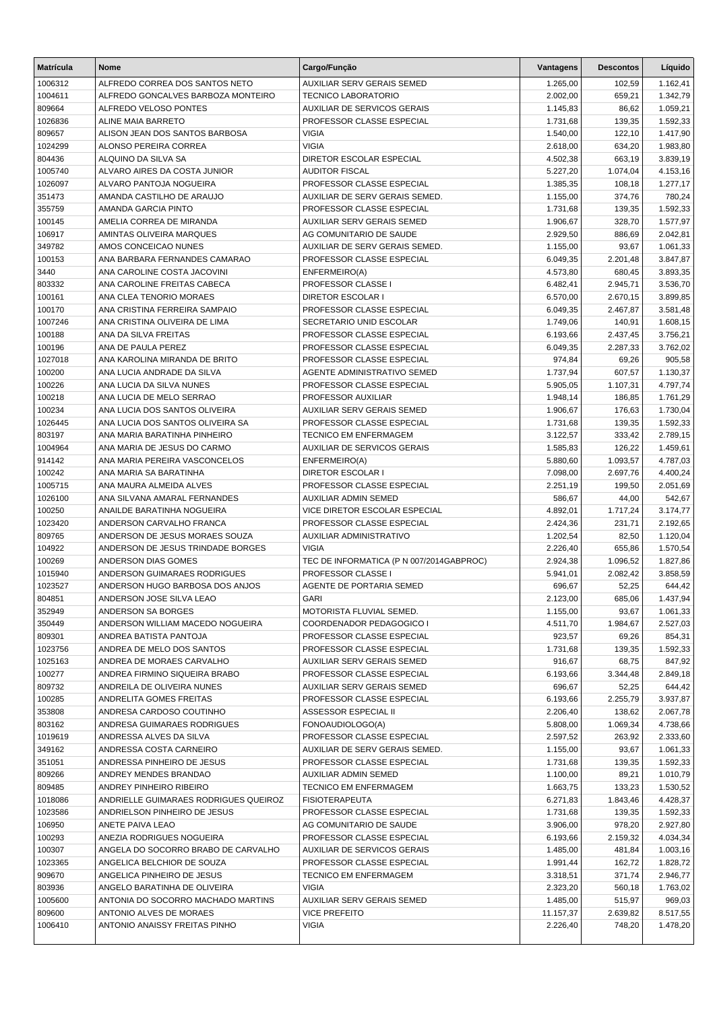| <b>Matrícula</b>  | <b>Nome</b>                                              | Cargo/Função                                          | Vantagens            | <b>Descontos</b>     | Líquido              |
|-------------------|----------------------------------------------------------|-------------------------------------------------------|----------------------|----------------------|----------------------|
| 1006312           | ALFREDO CORREA DOS SANTOS NETO                           | <b>AUXILIAR SERV GERAIS SEMED</b>                     | 1.265,00             | 102,59               | 1.162,41             |
| 1004611           | ALFREDO GONCALVES BARBOZA MONTEIRO                       | <b>TECNICO LABORATORIO</b>                            | 2.002,00             | 659,21               | 1.342,79             |
| 809664            | ALFREDO VELOSO PONTES                                    | <b>AUXILIAR DE SERVICOS GERAIS</b>                    | 1.145,83             | 86,62                | 1.059,21             |
| 1026836           | <b>ALINE MAIA BARRETO</b>                                | PROFESSOR CLASSE ESPECIAL                             | 1.731,68             | 139,35               | 1.592,33             |
| 809657            | ALISON JEAN DOS SANTOS BARBOSA                           | <b>VIGIA</b>                                          | 1.540,00             | 122,10               | 1.417,90             |
| 1024299           | ALONSO PEREIRA CORREA                                    | <b>VIGIA</b>                                          | 2.618,00             | 634,20               | 1.983,80             |
| 804436            | ALQUINO DA SILVA SA                                      | DIRETOR ESCOLAR ESPECIAL                              | 4.502,38             | 663,19               | 3.839,19             |
| 1005740           | ALVARO AIRES DA COSTA JUNIOR                             | <b>AUDITOR FISCAL</b>                                 | 5.227,20             | 1.074,04             | 4.153,16             |
| 1026097           | ALVARO PANTOJA NOGUEIRA                                  | PROFESSOR CLASSE ESPECIAL                             | 1.385,35             | 108,18               | 1.277,17             |
| 351473            | AMANDA CASTILHO DE ARAUJO                                | AUXILIAR DE SERV GERAIS SEMED.                        | 1.155,00             | 374,76               | 780,24               |
| 355759            | AMANDA GARCIA PINTO                                      | PROFESSOR CLASSE ESPECIAL                             | 1.731,68             | 139,35               | 1.592,33             |
| 100145            | AMELIA CORREA DE MIRANDA                                 | AUXILIAR SERV GERAIS SEMED                            | 1.906,67             | 328,70               | 1.577,97             |
| 106917            | AMINTAS OLIVEIRA MARQUES                                 | AG COMUNITARIO DE SAUDE                               | 2.929,50             | 886,69               | 2.042,81             |
| 349782            | AMOS CONCEICAO NUNES                                     | AUXILIAR DE SERV GERAIS SEMED.                        | 1.155,00             | 93,67                | 1.061,33             |
| 100153            | ANA BARBARA FERNANDES CAMARAO                            | PROFESSOR CLASSE ESPECIAL                             | 6.049,35             | 2.201,48             | 3.847,87             |
| 3440              | ANA CAROLINE COSTA JACOVINI                              | ENFERMEIRO(A)                                         | 4.573,80             | 680,45               | 3.893,35             |
| 803332            | ANA CAROLINE FREITAS CABECA                              | PROFESSOR CLASSE I                                    | 6.482,41             | 2.945,71             | 3.536,70             |
| 100161            | ANA CLEA TENORIO MORAES<br>ANA CRISTINA FERREIRA SAMPAIO | <b>DIRETOR ESCOLAR I</b><br>PROFESSOR CLASSE ESPECIAL | 6.570,00             | 2.670,15<br>2.467,87 | 3.899,85             |
| 100170<br>1007246 | ANA CRISTINA OLIVEIRA DE LIMA                            | SECRETARIO UNID ESCOLAR                               | 6.049,35<br>1.749,06 | 140,91               | 3.581,48<br>1.608,15 |
| 100188            | ANA DA SILVA FREITAS                                     | PROFESSOR CLASSE ESPECIAL                             | 6.193,66             | 2.437,45             | 3.756,21             |
| 100196            | ANA DE PAULA PEREZ                                       | PROFESSOR CLASSE ESPECIAL                             | 6.049,35             | 2.287,33             | 3.762,02             |
| 1027018           | ANA KAROLINA MIRANDA DE BRITO                            | PROFESSOR CLASSE ESPECIAL                             | 974,84               | 69,26                | 905,58               |
| 100200            | ANA LUCIA ANDRADE DA SILVA                               | AGENTE ADMINISTRATIVO SEMED                           | 1.737,94             | 607,57               | 1.130,37             |
| 100226            | ANA LUCIA DA SILVA NUNES                                 | PROFESSOR CLASSE ESPECIAL                             | 5.905,05             | 1.107.31             | 4.797,74             |
| 100218            | ANA LUCIA DE MELO SERRAO                                 | PROFESSOR AUXILIAR                                    | 1.948,14             | 186,85               | 1.761,29             |
| 100234            | ANA LUCIA DOS SANTOS OLIVEIRA                            | <b>AUXILIAR SERV GERAIS SEMED</b>                     | 1.906,67             | 176,63               | 1.730,04             |
| 1026445           | ANA LUCIA DOS SANTOS OLIVEIRA SA                         | PROFESSOR CLASSE ESPECIAL                             | 1.731,68             | 139,35               | 1.592,33             |
| 803197            | ANA MARIA BARATINHA PINHEIRO                             | <b>TECNICO EM ENFERMAGEM</b>                          | 3.122,57             | 333,42               | 2.789,15             |
| 1004964           | ANA MARIA DE JESUS DO CARMO                              | <b>AUXILIAR DE SERVICOS GERAIS</b>                    | 1.585,83             | 126,22               | 1.459,61             |
| 914142            | ANA MARIA PEREIRA VASCONCELOS                            | ENFERMEIRO(A)                                         | 5.880,60             | 1.093,57             | 4.787,03             |
| 100242            | ANA MARIA SA BARATINHA                                   | <b>DIRETOR ESCOLAR I</b>                              | 7.098,00             | 2.697,76             | 4.400,24             |
| 1005715           | ANA MAURA ALMEIDA ALVES                                  | PROFESSOR CLASSE ESPECIAL                             | 2.251,19             | 199,50               | 2.051,69             |
| 1026100           | ANA SILVANA AMARAL FERNANDES                             | <b>AUXILIAR ADMIN SEMED</b>                           | 586,67               | 44,00                | 542,67               |
| 100250            | ANAILDE BARATINHA NOGUEIRA                               | VICE DIRETOR ESCOLAR ESPECIAL                         | 4.892,01             | 1.717,24             | 3.174,77             |
| 1023420           | ANDERSON CARVALHO FRANCA                                 | PROFESSOR CLASSE ESPECIAL                             | 2.424,36             | 231,71               | 2.192,65             |
| 809765            | ANDERSON DE JESUS MORAES SOUZA                           | AUXILIAR ADMINISTRATIVO                               | 1.202,54             | 82,50                | 1.120,04             |
| 104922            | ANDERSON DE JESUS TRINDADE BORGES                        | <b>VIGIA</b>                                          | 2.226,40             | 655,86               | 1.570,54             |
| 100269            | ANDERSON DIAS GOMES                                      | TEC DE INFORMATICA (P N 007/2014GABPROC)              | 2.924,38             | 1.096,52             | 1.827,86             |
| 1015940           | ANDERSON GUIMARAES RODRIGUES                             | PROFESSOR CLASSE I                                    | 5.941,01             | 2.082,42             | 3.858,59             |
| 1023527           | ANDERSON HUGO BARBOSA DOS ANJOS                          | AGENTE DE PORTARIA SEMED                              | 696,67               | 52,25                | 644,42               |
| 804851            | ANDERSON JOSE SILVA LEAO                                 | <b>GARI</b>                                           | 2.123,00             | 685,06               | 1.437,94             |
| 352949            | ANDERSON SA BORGES                                       | MOTORISTA FLUVIAL SEMED.                              | 1.155,00             | 93,67                | 1.061,33             |
| 350449            | ANDERSON WILLIAM MACEDO NOGUEIRA                         | COORDENADOR PEDAGOGICO I                              | 4.511,70             | 1.984,67             | 2.527,03             |
| 809301            | ANDREA BATISTA PANTOJA                                   | PROFESSOR CLASSE ESPECIAL                             | 923,57               | 69,26                | 854,31               |
| 1023756           | ANDREA DE MELO DOS SANTOS                                | PROFESSOR CLASSE ESPECIAL                             | 1.731,68             | 139,35               | 1.592,33             |
| 1025163           | ANDREA DE MORAES CARVALHO                                | AUXILIAR SERV GERAIS SEMED                            | 916,67               | 68,75                | 847,92               |
| 100277            | ANDREA FIRMINO SIQUEIRA BRABO                            | PROFESSOR CLASSE ESPECIAL                             | 6.193,66             | 3.344,48             | 2.849,18             |
| 809732            | ANDREILA DE OLIVEIRA NUNES                               | AUXILIAR SERV GERAIS SEMED                            | 696,67               | 52,25                | 644,42               |
| 100285            | ANDRELITA GOMES FREITAS                                  | PROFESSOR CLASSE ESPECIAL                             | 6.193,66             | 2.255,79             | 3.937,87             |
| 353808            | ANDRESA CARDOSO COUTINHO                                 | ASSESSOR ESPECIAL II                                  | 2.206,40             | 138,62               | 2.067,78             |
| 803162            | ANDRESA GUIMARAES RODRIGUES                              | FONOAUDIOLOGO(A)                                      | 5.808,00             | 1.069,34             | 4.738,66             |
| 1019619           | ANDRESSA ALVES DA SILVA                                  | PROFESSOR CLASSE ESPECIAL                             | 2.597,52             | 263.92               | 2.333,60             |
| 349162            | ANDRESSA COSTA CARNEIRO                                  | AUXILIAR DE SERV GERAIS SEMED.                        | 1.155,00             | 93,67                | 1.061,33             |
| 351051            | ANDRESSA PINHEIRO DE JESUS                               | PROFESSOR CLASSE ESPECIAL                             | 1.731,68             | 139,35               | 1.592,33             |
| 809266            | ANDREY MENDES BRANDAO                                    | <b>AUXILIAR ADMIN SEMED</b>                           | 1.100,00             | 89,21                | 1.010,79             |
| 809485            | ANDREY PINHEIRO RIBEIRO                                  | <b>TECNICO EM ENFERMAGEM</b>                          | 1.663,75             | 133,23               | 1.530,52             |
| 1018086           | ANDRIELLE GUIMARAES RODRIGUES QUEIROZ                    | <b>FISIOTERAPEUTA</b>                                 | 6.271,83             | 1.843,46             | 4.428,37             |
| 1023586           | ANDRIELSON PINHEIRO DE JESUS                             | PROFESSOR CLASSE ESPECIAL                             | 1.731,68             | 139,35               | 1.592,33             |
| 106950            | ANETE PAIVA LEAO                                         | AG COMUNITARIO DE SAUDE                               | 3.906,00             | 978,20               | 2.927,80             |
| 100293            | ANEZIA RODRIGUES NOGUEIRA                                | PROFESSOR CLASSE ESPECIAL                             | 6.193,66             | 2.159,32             | 4.034,34             |
| 100307            | ANGELA DO SOCORRO BRABO DE CARVALHO                      | <b>AUXILIAR DE SERVICOS GERAIS</b>                    | 1.485,00             | 481,84               | 1.003,16             |
| 1023365           | ANGELICA BELCHIOR DE SOUZA                               | PROFESSOR CLASSE ESPECIAL                             | 1.991,44             | 162,72               | 1.828,72             |
| 909670            | ANGELICA PINHEIRO DE JESUS                               | <b>TECNICO EM ENFERMAGEM</b>                          | 3.318,51             | 371,74               | 2.946,77             |
| 803936            | ANGELO BARATINHA DE OLIVEIRA                             | <b>VIGIA</b>                                          | 2.323,20             | 560,18               | 1.763,02             |
| 1005600           | ANTONIA DO SOCORRO MACHADO MARTINS                       | <b>AUXILIAR SERV GERAIS SEMED</b>                     | 1.485,00             | 515,97               | 969,03               |
| 809600            | ANTONIO ALVES DE MORAES                                  | <b>VICE PREFEITO</b>                                  | 11.157,37            | 2.639,82             | 8.517,55             |
| 1006410           | ANTONIO ANAISSY FREITAS PINHO                            | <b>VIGIA</b>                                          | 2.226,40             | 748,20               | 1.478,20             |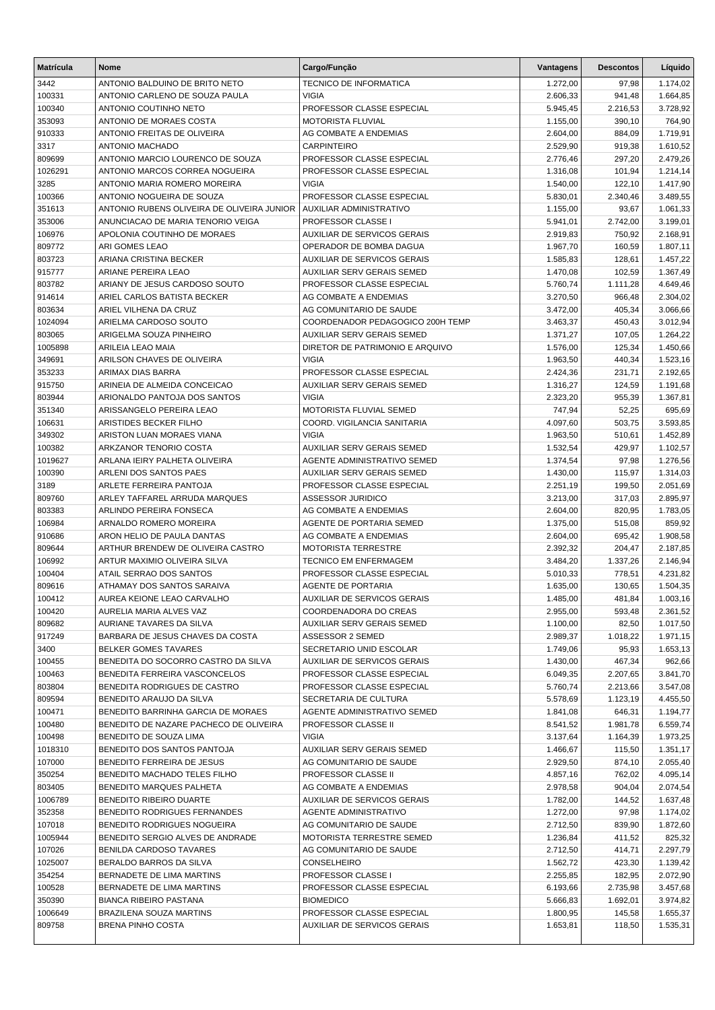| <b>Matrícula</b>  | Nome                                                                            | Cargo/Função                                                     | Vantagens            | <b>Descontos</b>   | Líquido              |
|-------------------|---------------------------------------------------------------------------------|------------------------------------------------------------------|----------------------|--------------------|----------------------|
| 3442              | ANTONIO BALDUINO DE BRITO NETO                                                  | TECNICO DE INFORMATICA                                           | 1.272,00             | 97,98              | 1.174,02             |
| 100331            | ANTONIO CARLENO DE SOUZA PAULA                                                  | <b>VIGIA</b>                                                     | 2.606,33             | 941,48             | 1.664,85             |
| 100340            | ANTONIO COUTINHO NETO                                                           | PROFESSOR CLASSE ESPECIAL                                        | 5.945,45             | 2.216,53           | 3.728,92             |
| 353093            | ANTONIO DE MORAES COSTA                                                         | MOTORISTA FLUVIAL                                                | 1.155,00             | 390,10             | 764,90               |
| 910333            | ANTONIO FREITAS DE OLIVEIRA                                                     | AG COMBATE A ENDEMIAS                                            | 2.604,00             | 884,09             | 1.719,91             |
| 3317              | ANTONIO MACHADO                                                                 | <b>CARPINTEIRO</b>                                               | 2.529,90             | 919,38             | 1.610,52             |
| 809699            | ANTONIO MARCIO LOURENCO DE SOUZA                                                | PROFESSOR CLASSE ESPECIAL                                        | 2.776,46             | 297,20             | 2.479,26             |
| 1026291           | ANTONIO MARCOS CORREA NOGUEIRA                                                  | PROFESSOR CLASSE ESPECIAL                                        | 1.316,08             | 101,94             | 1.214,14             |
| 3285              | ANTONIO MARIA ROMERO MOREIRA                                                    | <b>VIGIA</b>                                                     | 1.540,00             | 122,10             | 1.417,90             |
| 100366            | ANTONIO NOGUEIRA DE SOUZA                                                       | PROFESSOR CLASSE ESPECIAL                                        | 5.830,01             | 2.340,46           | 3.489,55             |
| 351613<br>353006  | ANTONIO RUBENS OLIVEIRA DE OLIVEIRA JUNIOR<br>ANUNCIACAO DE MARIA TENORIO VEIGA | AUXILIAR ADMINISTRATIVO<br>PROFESSOR CLASSE I                    | 1.155,00<br>5.941,01 | 93,67<br>2.742,00  | 1.061,33<br>3.199,01 |
| 106976            | APOLONIA COUTINHO DE MORAES                                                     | AUXILIAR DE SERVICOS GERAIS                                      | 2.919,83             | 750,92             | 2.168,91             |
| 809772            | ARI GOMES LEAO                                                                  | OPERADOR DE BOMBA DAGUA                                          | 1.967,70             | 160,59             | 1.807,11             |
| 803723            | ARIANA CRISTINA BECKER                                                          | <b>AUXILIAR DE SERVICOS GERAIS</b>                               | 1.585,83             | 128,61             | 1.457,22             |
| 915777            | ARIANE PEREIRA LEAO                                                             | AUXILIAR SERV GERAIS SEMED                                       | 1.470,08             | 102,59             | 1.367,49             |
| 803782            | ARIANY DE JESUS CARDOSO SOUTO                                                   | PROFESSOR CLASSE ESPECIAL                                        | 5.760,74             | 1.111,28           | 4.649,46             |
| 914614            | ARIEL CARLOS BATISTA BECKER                                                     | AG COMBATE A ENDEMIAS                                            | 3.270,50             | 966,48             | 2.304,02             |
| 803634            | ARIEL VILHENA DA CRUZ                                                           | AG COMUNITARIO DE SAUDE                                          | 3.472,00             | 405,34             | 3.066,66             |
| 1024094           | ARIELMA CARDOSO SOUTO                                                           | COORDENADOR PEDAGOGICO 200H TEMP                                 | 3.463,37             | 450,43             | 3.012,94             |
| 803065            | ARIGELMA SOUZA PINHEIRO                                                         | AUXILIAR SERV GERAIS SEMED                                       | 1.371,27             | 107,05             | 1.264,22             |
| 1005898           | ARILEIA LEAO MAIA                                                               | DIRETOR DE PATRIMONIO E ARQUIVO                                  | 1.576,00             | 125,34             | 1.450,66             |
| 349691            | ARILSON CHAVES DE OLIVEIRA                                                      | <b>VIGIA</b>                                                     | 1.963,50             | 440,34             | 1.523,16             |
| 353233            | ARIMAX DIAS BARRA                                                               | PROFESSOR CLASSE ESPECIAL                                        | 2.424,36             | 231,71             | 2.192,65             |
| 915750            | ARINEIA DE ALMEIDA CONCEICAO                                                    | AUXILIAR SERV GERAIS SEMED                                       | 1.316,27             | 124,59             | 1.191,68             |
| 803944            | ARIONALDO PANTOJA DOS SANTOS                                                    | <b>VIGIA</b>                                                     | 2.323,20             | 955,39             | 1.367,81             |
| 351340            | ARISSANGELO PEREIRA LEAO                                                        | MOTORISTA FLUVIAL SEMED                                          | 747,94               | 52,25              | 695,69               |
| 106631            | ARISTIDES BECKER FILHO                                                          | COORD. VIGILANCIA SANITARIA                                      | 4.097,60             | 503,75             | 3.593,85             |
| 349302            | ARISTON LUAN MORAES VIANA                                                       | <b>VIGIA</b>                                                     | 1.963,50             | 510,61             | 1.452,89             |
| 100382<br>1019627 | ARKZANOR TENORIO COSTA<br>ARLANA IEIRY PALHETA OLIVEIRA                         | <b>AUXILIAR SERV GERAIS SEMED</b><br>AGENTE ADMINISTRATIVO SEMED | 1.532,54<br>1.374,54 | 429,97<br>97,98    | 1.102,57<br>1.276,56 |
| 100390            | ARLENI DOS SANTOS PAES                                                          | AUXILIAR SERV GERAIS SEMED                                       | 1.430,00             | 115,97             | 1.314,03             |
| 3189              | ARLETE FERREIRA PANTOJA                                                         | PROFESSOR CLASSE ESPECIAL                                        | 2.251,19             | 199,50             | 2.051,69             |
| 809760            | ARLEY TAFFAREL ARRUDA MARQUES                                                   | <b>ASSESSOR JURIDICO</b>                                         | 3.213,00             | 317,03             | 2.895,97             |
| 803383            | ARLINDO PEREIRA FONSECA                                                         | AG COMBATE A ENDEMIAS                                            | 2.604,00             | 820,95             | 1.783,05             |
| 106984            | ARNALDO ROMERO MOREIRA                                                          | AGENTE DE PORTARIA SEMED                                         | 1.375,00             | 515,08             | 859,92               |
| 910686            | ARON HELIO DE PAULA DANTAS                                                      | AG COMBATE A ENDEMIAS                                            | 2.604,00             | 695,42             | 1.908,58             |
| 809644            | ARTHUR BRENDEW DE OLIVEIRA CASTRO                                               | <b>MOTORISTA TERRESTRE</b>                                       | 2.392,32             | 204,47             | 2.187,85             |
| 106992            | ARTUR MAXIMIO OLIVEIRA SILVA                                                    | <b>TECNICO EM ENFERMAGEM</b>                                     | 3.484,20             | 1.337,26           | 2.146,94             |
| 100404            | ATAIL SERRAO DOS SANTOS                                                         | PROFESSOR CLASSE ESPECIAL                                        | 5.010,33             | 778,51             | 4.231,82             |
| 809616            | ATHAMAY DOS SANTOS SARAIVA                                                      | <b>AGENTE DE PORTARIA</b>                                        | 1.635,00             | 130,65             | 1.504,35             |
| 100412            | AUREA KEIONE LEAO CARVALHO                                                      | AUXILIAR DE SERVICOS GERAIS                                      | 1.485,00             | 481,84             | 1.003,16             |
| 100420            | AURELIA MARIA ALVES VAZ                                                         | COORDENADORA DO CREAS                                            | 2.955,00             | 593,48             | 2.361,52             |
| 809682            | AURIANE TAVARES DA SILVA                                                        | AUXILIAR SERV GERAIS SEMED                                       | 1.100,00             | 82,50              | 1.017,50             |
| 917249            | BARBARA DE JESUS CHAVES DA COSTA                                                | ASSESSOR 2 SEMED                                                 | 2.989,37             | 1.018,22           | 1.971,15             |
| 3400<br>100455    | <b>BELKER GOMES TAVARES</b><br>BENEDITA DO SOCORRO CASTRO DA SILVA              | SECRETARIO UNID ESCOLAR<br>AUXILIAR DE SERVICOS GERAIS           | 1.749,06<br>1.430,00 | 95,93<br>467,34    | 1.653,13<br>962,66   |
| 100463            | BENEDITA FERREIRA VASCONCELOS                                                   | PROFESSOR CLASSE ESPECIAL                                        | 6.049,35             | 2.207,65           | 3.841,70             |
| 803804            | BENEDITA RODRIGUES DE CASTRO                                                    | PROFESSOR CLASSE ESPECIAL                                        | 5.760,74             | 2.213,66           | 3.547,08             |
| 809594            | BENEDITO ARAUJO DA SILVA                                                        | SECRETARIA DE CULTURA                                            | 5.578,69             | 1.123,19           | 4.455,50             |
| 100471            | BENEDITO BARRINHA GARCIA DE MORAES                                              | AGENTE ADMINISTRATIVO SEMED                                      | 1.841,08             | 646,31             | 1.194,77             |
| 100480            | BENEDITO DE NAZARE PACHECO DE OLIVEIRA                                          | PROFESSOR CLASSE II                                              | 8.541,52             | 1.981,78           | 6.559,74             |
| 100498            | BENEDITO DE SOUZA LIMA                                                          | <b>VIGIA</b>                                                     | 3.137,64             | 1.164,39           | 1.973,25             |
| 1018310           | BENEDITO DOS SANTOS PANTOJA                                                     | AUXILIAR SERV GERAIS SEMED                                       | 1.466,67             | 115,50             | 1.351,17             |
| 107000            | BENEDITO FERREIRA DE JESUS                                                      | AG COMUNITARIO DE SAUDE                                          | 2.929,50             | 874,10             | 2.055,40             |
| 350254            | BENEDITO MACHADO TELES FILHO                                                    | PROFESSOR CLASSE II                                              | 4.857,16             | 762,02             | 4.095,14             |
| 803405            | BENEDITO MARQUES PALHETA                                                        | AG COMBATE A ENDEMIAS                                            | 2.978,58             | 904,04             | 2.074,54             |
| 1006789           | BENEDITO RIBEIRO DUARTE                                                         | AUXILIAR DE SERVICOS GERAIS                                      | 1.782,00             | 144,52             | 1.637,48             |
| 352358            | BENEDITO RODRIGUES FERNANDES                                                    | <b>AGENTE ADMINISTRATIVO</b>                                     | 1.272,00             | 97,98              | 1.174,02             |
| 107018            | BENEDITO RODRIGUES NOGUEIRA                                                     | AG COMUNITARIO DE SAUDE                                          | 2.712,50             | 839,90             | 1.872,60             |
| 1005944           | BENEDITO SERGIO ALVES DE ANDRADE                                                | MOTORISTA TERRESTRE SEMED                                        | 1.236,84             | 411,52             | 825,32               |
| 107026            | BENILDA CARDOSO TAVARES                                                         | AG COMUNITARIO DE SAUDE                                          | 2.712,50             | 414,71             | 2.297,79             |
| 1025007           | BERALDO BARROS DA SILVA<br>BERNADETE DE LIMA MARTINS                            | CONSELHEIRO<br>PROFESSOR CLASSE I                                | 1.562,72             | 423,30             | 1.139,42             |
| 354254<br>100528  | BERNADETE DE LIMA MARTINS                                                       | PROFESSOR CLASSE ESPECIAL                                        | 2.255,85<br>6.193,66 | 182,95<br>2.735,98 | 2.072,90<br>3.457,68 |
| 350390            | <b>BIANCA RIBEIRO PASTANA</b>                                                   | <b>BIOMEDICO</b>                                                 | 5.666,83             | 1.692,01           | 3.974,82             |
| 1006649           | BRAZILENA SOUZA MARTINS                                                         | PROFESSOR CLASSE ESPECIAL                                        | 1.800,95             | 145,58             | 1.655,37             |
| 809758            | <b>BRENA PINHO COSTA</b>                                                        | <b>AUXILIAR DE SERVICOS GERAIS</b>                               | 1.653,81             | 118,50             | 1.535,31             |
|                   |                                                                                 |                                                                  |                      |                    |                      |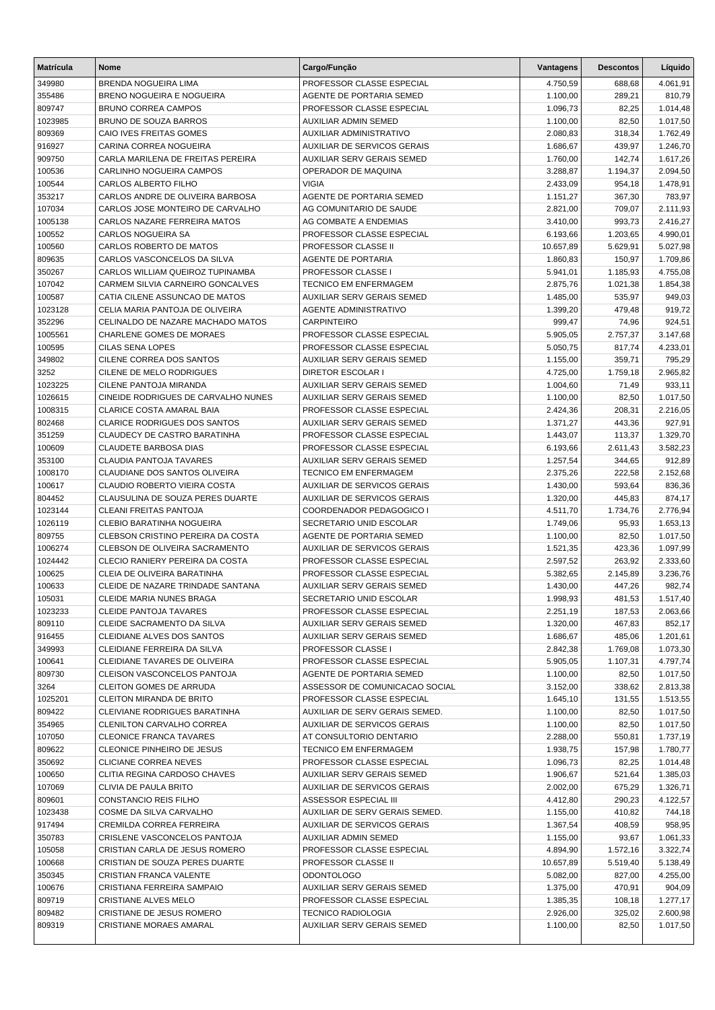| <b>Matrícula</b>  | Nome                                                              | Cargo/Função                                              | Vantagens            | <b>Descontos</b>   | Líquido              |
|-------------------|-------------------------------------------------------------------|-----------------------------------------------------------|----------------------|--------------------|----------------------|
| 349980            | BRENDA NOGUEIRA LIMA                                              | PROFESSOR CLASSE ESPECIAL                                 | 4.750,59             | 688,68             | 4.061,91             |
| 355486            | BRENO NOGUEIRA E NOGUEIRA                                         | AGENTE DE PORTARIA SEMED                                  | 1.100,00             | 289,21             | 810,79               |
| 809747            | <b>BRUNO CORREA CAMPOS</b>                                        | PROFESSOR CLASSE ESPECIAL                                 | 1.096,73             | 82,25              | 1.014,48             |
| 1023985           | <b>BRUNO DE SOUZA BARROS</b>                                      | <b>AUXILIAR ADMIN SEMED</b>                               | 1.100,00             | 82,50              | 1.017,50             |
| 809369            | CAIO IVES FREITAS GOMES                                           | AUXILIAR ADMINISTRATIVO                                   | 2.080,83             | 318,34             | 1.762,49             |
| 916927            | CARINA CORREA NOGUEIRA                                            | AUXILIAR DE SERVICOS GERAIS                               | 1.686,67             | 439,97             | 1.246,70             |
| 909750            | CARLA MARILENA DE FREITAS PEREIRA                                 | AUXILIAR SERV GERAIS SEMED                                | 1.760,00             | 142,74             | 1.617,26             |
| 100536            | CARLINHO NOGUEIRA CAMPOS                                          | OPERADOR DE MAQUINA                                       | 3.288,87             | 1.194,37           | 2.094,50             |
| 100544            | <b>CARLOS ALBERTO FILHO</b>                                       | <b>VIGIA</b>                                              | 2.433,09             | 954,18             | 1.478,91             |
| 353217            | CARLOS ANDRE DE OLIVEIRA BARBOSA                                  | AGENTE DE PORTARIA SEMED                                  | 1.151,27             | 367,30             | 783,97               |
| 107034            | CARLOS JOSE MONTEIRO DE CARVALHO<br>CARLOS NAZARE FERREIRA MATOS  | AG COMUNITARIO DE SAUDE<br>AG COMBATE A ENDEMIAS          | 2.821,00             | 709,07             | 2.111,93             |
| 1005138<br>100552 | CARLOS NOGUEIRA SA                                                | PROFESSOR CLASSE ESPECIAL                                 | 3.410,00<br>6.193,66 | 993,73<br>1.203,65 | 2.416,27<br>4.990,01 |
| 100560            | CARLOS ROBERTO DE MATOS                                           | PROFESSOR CLASSE II                                       | 10.657,89            | 5.629,91           | 5.027,98             |
| 809635            | CARLOS VASCONCELOS DA SILVA                                       | AGENTE DE PORTARIA                                        | 1.860,83             | 150,97             | 1.709,86             |
| 350267            | CARLOS WILLIAM QUEIROZ TUPINAMBA                                  | PROFESSOR CLASSE I                                        | 5.941,01             | 1.185,93           | 4.755,08             |
| 107042            | CARMEM SILVIA CARNEIRO GONCALVES                                  | <b>TECNICO EM ENFERMAGEM</b>                              | 2.875,76             | 1.021,38           | 1.854,38             |
| 100587            | CATIA CILENE ASSUNCAO DE MATOS                                    | <b>AUXILIAR SERV GERAIS SEMED</b>                         | 1.485,00             | 535,97             | 949,03               |
| 1023128           | CELIA MARIA PANTOJA DE OLIVEIRA                                   | <b>AGENTE ADMINISTRATIVO</b>                              | 1.399,20             | 479,48             | 919,72               |
| 352296            | CELINALDO DE NAZARE MACHADO MATOS                                 | <b>CARPINTEIRO</b>                                        | 999,47               | 74,96              | 924,51               |
| 1005561           | <b>CHARLENE GOMES DE MORAES</b>                                   | PROFESSOR CLASSE ESPECIAL                                 | 5.905,05             | 2.757,37           | 3.147,68             |
| 100595            | CILAS SENA LOPES                                                  | PROFESSOR CLASSE ESPECIAL                                 | 5.050,75             | 817,74             | 4.233,01             |
| 349802            | CILENE CORREA DOS SANTOS                                          | AUXILIAR SERV GERAIS SEMED                                | 1.155,00             | 359,71             | 795,29               |
| 3252              | CILENE DE MELO RODRIGUES                                          | <b>DIRETOR ESCOLAR I</b>                                  | 4.725,00             | 1.759,18           | 2.965,82             |
| 1023225           | CILENE PANTOJA MIRANDA                                            | AUXILIAR SERV GERAIS SEMED                                | 1.004,60             | 71,49              | 933,11               |
| 1026615           | CINEIDE RODRIGUES DE CARVALHO NUNES                               | AUXILIAR SERV GERAIS SEMED                                | 1.100,00             | 82,50              | 1.017,50             |
| 1008315           | CLARICE COSTA AMARAL BAIA                                         | PROFESSOR CLASSE ESPECIAL                                 | 2.424,36             | 208,31             | 2.216,05             |
| 802468            | <b>CLARICE RODRIGUES DOS SANTOS</b>                               | AUXILIAR SERV GERAIS SEMED                                | 1.371,27             | 443,36             | 927,91               |
| 351259            | CLAUDECY DE CASTRO BARATINHA                                      | PROFESSOR CLASSE ESPECIAL                                 | 1.443,07             | 113,37             | 1.329,70             |
| 100609            | CLAUDETE BARBOSA DIAS                                             | PROFESSOR CLASSE ESPECIAL                                 | 6.193,66             | 2.611,43           | 3.582,23             |
| 353100            | <b>CLAUDIA PANTOJA TAVARES</b>                                    | AUXILIAR SERV GERAIS SEMED                                | 1.257,54             | 344,65             | 912,89               |
| 1008170           | CLAUDIANE DOS SANTOS OLIVEIRA                                     | <b>TECNICO EM ENFERMAGEM</b>                              | 2.375,26             | 222,58             | 2.152,68             |
| 100617            | CLAUDIO ROBERTO VIEIRA COSTA                                      | AUXILIAR DE SERVICOS GERAIS                               | 1.430,00             | 593,64             | 836,36               |
| 804452<br>1023144 | CLAUSULINA DE SOUZA PERES DUARTE<br><b>CLEANI FREITAS PANTOJA</b> | AUXILIAR DE SERVICOS GERAIS<br>COORDENADOR PEDAGOGICO I   | 1.320,00             | 445,83<br>1.734,76 | 874,17               |
| 1026119           | <b>CLEBIO BARATINHA NOGUEIRA</b>                                  | SECRETARIO UNID ESCOLAR                                   | 4.511,70<br>1.749,06 | 95,93              | 2.776,94<br>1.653,13 |
| 809755            | CLEBSON CRISTINO PEREIRA DA COSTA                                 | AGENTE DE PORTARIA SEMED                                  | 1.100,00             | 82,50              | 1.017,50             |
| 1006274           | CLEBSON DE OLIVEIRA SACRAMENTO                                    | AUXILIAR DE SERVICOS GERAIS                               | 1.521,35             | 423,36             | 1.097,99             |
| 1024442           | CLECIO RANIERY PEREIRA DA COSTA                                   | PROFESSOR CLASSE ESPECIAL                                 | 2.597,52             | 263,92             | 2.333,60             |
| 100625            | CLEIA DE OLIVEIRA BARATINHA                                       | PROFESSOR CLASSE ESPECIAL                                 | 5.382,65             | 2.145,89           | 3.236,76             |
| 100633            | CLEIDE DE NAZARE TRINDADE SANTANA                                 | <b>AUXILIAR SERV GERAIS SEMED</b>                         | 1.430,00             | 447,26             | 982,74               |
| 105031            | CLEIDE MARIA NUNES BRAGA                                          | SECRETARIO UNID ESCOLAR                                   | 1.998,93             | 481,53             | 1.517,40             |
| 1023233           | <b>CLEIDE PANTOJA TAVARES</b>                                     | PROFESSOR CLASSE ESPECIAL                                 | 2.251,19             | 187,53             | 2.063,66             |
| 809110            | CLEIDE SACRAMENTO DA SILVA                                        | AUXILIAR SERV GERAIS SEMED                                | 1.320,00             | 467,83             | 852,17               |
| 916455            | CLEIDIANE ALVES DOS SANTOS                                        | AUXILIAR SERV GERAIS SEMED                                | 1.686,67             | 485,06             | 1.201,61             |
| 349993            | CLEIDIANE FERREIRA DA SILVA                                       | PROFESSOR CLASSE I                                        | 2.842,38             | 1.769,08           | 1.073,30             |
| 100641            | CLEIDIANE TAVARES DE OLIVEIRA                                     | PROFESSOR CLASSE ESPECIAL                                 | 5.905,05             | 1.107,31           | 4.797,74             |
| 809730            | CLEISON VASCONCELOS PANTOJA                                       | AGENTE DE PORTARIA SEMED                                  | 1.100,00             | 82,50              | 1.017,50             |
| 3264              | <b>CLEITON GOMES DE ARRUDA</b>                                    | ASSESSOR DE COMUNICACAO SOCIAL                            | 3.152,00             | 338,62             | 2.813,38             |
| 1025201           | CLEITON MIRANDA DE BRITO                                          | PROFESSOR CLASSE ESPECIAL                                 | 1.645,10             | 131,55             | 1.513,55             |
| 809422            | CLEIVIANE RODRIGUES BARATINHA                                     | AUXILIAR DE SERV GERAIS SEMED.                            | 1.100,00             | 82,50              | 1.017,50             |
| 354965            | CLENILTON CARVALHO CORREA                                         | AUXILIAR DE SERVICOS GERAIS                               | 1.100,00             | 82,50              | 1.017,50             |
| 107050            | <b>CLEONICE FRANCA TAVARES</b>                                    | AT CONSULTORIO DENTARIO                                   | 2.288,00             | 550,81             | 1.737,19             |
| 809622            | CLEONICE PINHEIRO DE JESUS                                        | TECNICO EM ENFERMAGEM                                     | 1.938,75             | 157,98             | 1.780,77             |
| 350692            | <b>CLICIANE CORREA NEVES</b>                                      | PROFESSOR CLASSE ESPECIAL                                 | 1.096,73             | 82,25              | 1.014,48             |
| 100650<br>107069  | CLITIA REGINA CARDOSO CHAVES<br>CLIVIA DE PAULA BRITO             | AUXILIAR SERV GERAIS SEMED<br>AUXILIAR DE SERVICOS GERAIS | 1.906,67<br>2.002,00 | 521,64<br>675,29   | 1.385,03<br>1.326,71 |
| 809601            | CONSTANCIO REIS FILHO                                             | ASSESSOR ESPECIAL III                                     | 4.412,80             | 290,23             | 4.122,57             |
| 1023438           | COSME DA SILVA CARVALHO                                           | AUXILIAR DE SERV GERAIS SEMED.                            | 1.155,00             | 410,82             | 744,18               |
| 917494            | CREMILDA CORREA FERREIRA                                          | AUXILIAR DE SERVICOS GERAIS                               | 1.367,54             | 408,59             | 958,95               |
| 350783            | CRISLENE VASCONCELOS PANTOJA                                      | AUXILIAR ADMIN SEMED                                      | 1.155,00             | 93,67              | 1.061,33             |
| 105058            | CRISTIAN CARLA DE JESUS ROMERO                                    | PROFESSOR CLASSE ESPECIAL                                 | 4.894,90             | 1.572,16           | 3.322,74             |
| 100668            | CRISTIAN DE SOUZA PERES DUARTE                                    | PROFESSOR CLASSE II                                       | 10.657,89            | 5.519,40           | 5.138,49             |
| 350345            | <b>CRISTIAN FRANCA VALENTE</b>                                    | <b>ODONTOLOGO</b>                                         | 5.082,00             | 827,00             | 4.255,00             |
| 100676            | CRISTIANA FERREIRA SAMPAIO                                        | AUXILIAR SERV GERAIS SEMED                                | 1.375,00             | 470,91             | 904,09               |
| 809719            | CRISTIANE ALVES MELO                                              | PROFESSOR CLASSE ESPECIAL                                 | 1.385,35             | 108,18             | 1.277,17             |
| 809482            | CRISTIANE DE JESUS ROMERO                                         | <b>TECNICO RADIOLOGIA</b>                                 | 2.926,00             | 325,02             | 2.600,98             |
| 809319            | CRISTIANE MORAES AMARAL                                           | AUXILIAR SERV GERAIS SEMED                                | 1.100,00             | 82,50              | 1.017,50             |
|                   |                                                                   |                                                           |                      |                    |                      |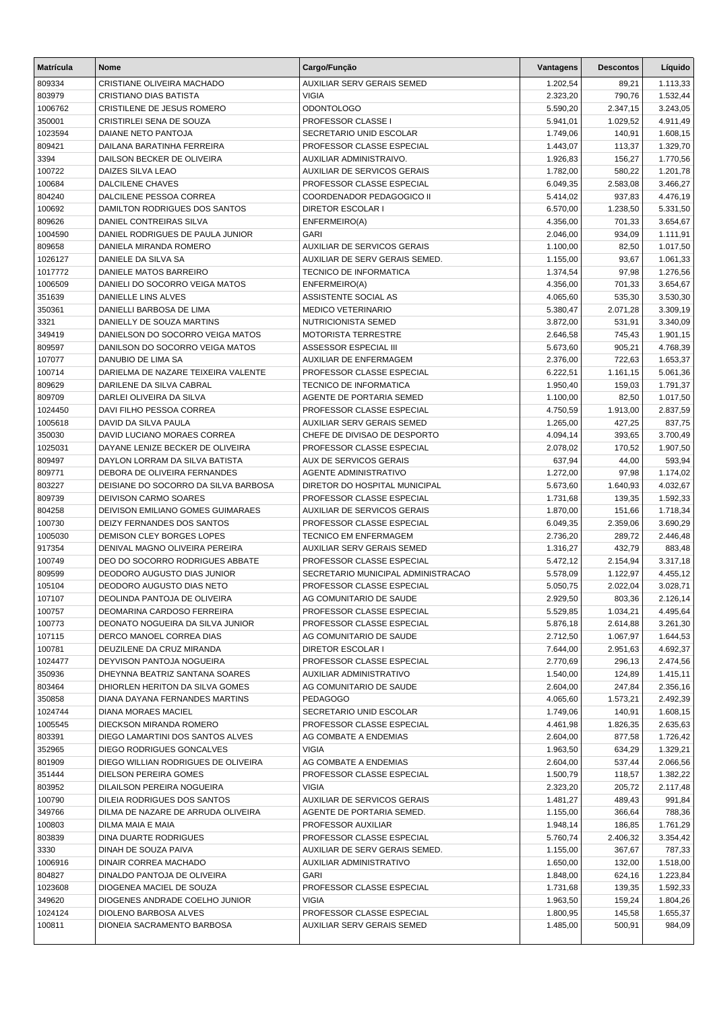| <b>Matrícula</b> | <b>Nome</b>                                     | Cargo/Função                                      | Vantagens            | <b>Descontos</b>   | Líquido              |
|------------------|-------------------------------------------------|---------------------------------------------------|----------------------|--------------------|----------------------|
| 809334           | CRISTIANE OLIVEIRA MACHADO                      | AUXILIAR SERV GERAIS SEMED                        | 1.202,54             | 89,21              | 1.113,33             |
| 803979           | <b>CRISTIANO DIAS BATISTA</b>                   | <b>VIGIA</b>                                      | 2.323,20             | 790,76             | 1.532,44             |
| 1006762          | CRISTILENE DE JESUS ROMERO                      | <b>ODONTOLOGO</b>                                 | 5.590,20             | 2.347,15           | 3.243,05             |
| 350001           | CRISTIRLEI SENA DE SOUZA                        | PROFESSOR CLASSE I                                | 5.941,01             | 1.029,52           | 4.911,49             |
| 1023594          | DAIANE NETO PANTOJA                             | SECRETARIO UNID ESCOLAR                           | 1.749,06             | 140,91             | 1.608,15             |
| 809421           | DAILANA BARATINHA FERREIRA                      | PROFESSOR CLASSE ESPECIAL                         | 1.443,07             | 113,37             | 1.329,70             |
| 3394             | DAILSON BECKER DE OLIVEIRA                      | AUXILIAR ADMINISTRAIVO.                           | 1.926,83             | 156,27             | 1.770,56             |
| 100722           | DAIZES SILVA LEAO                               | AUXILIAR DE SERVICOS GERAIS                       | 1.782,00             | 580,22             | 1.201,78             |
| 100684           | <b>DALCILENE CHAVES</b>                         | PROFESSOR CLASSE ESPECIAL                         | 6.049,35             | 2.583,08           | 3.466,27             |
| 804240           | DALCILENE PESSOA CORREA                         | COORDENADOR PEDAGOGICO II                         | 5.414,02             | 937,83             | 4.476,19             |
| 100692           | DAMILTON RODRIGUES DOS SANTOS                   | <b>DIRETOR ESCOLAR I</b>                          | 6.570,00             | 1.238,50           | 5.331,50             |
| 809626           | DANIEL CONTREIRAS SILVA                         | ENFERMEIRO(A)                                     | 4.356,00             | 701,33             | 3.654,67             |
| 1004590          | DANIEL RODRIGUES DE PAULA JUNIOR                | <b>GARI</b>                                       | 2.046,00             | 934,09             | 1.111,91             |
| 809658           | DANIELA MIRANDA ROMERO                          | <b>AUXILIAR DE SERVICOS GERAIS</b>                | 1.100,00             | 82,50              | 1.017,50             |
| 1026127          | DANIELE DA SILVA SA                             | AUXILIAR DE SERV GERAIS SEMED.                    | 1.155,00             | 93,67              | 1.061,33             |
| 1017772          | DANIELE MATOS BARREIRO                          | <b>TECNICO DE INFORMATICA</b>                     | 1.374,54             | 97,98              | 1.276,56             |
| 1006509          | DANIELI DO SOCORRO VEIGA MATOS                  | ENFERMEIRO(A)                                     | 4.356,00             | 701,33             | 3.654,67             |
| 351639<br>350361 | DANIELLE LINS ALVES<br>DANIELLI BARBOSA DE LIMA | ASSISTENTE SOCIAL AS<br><b>MEDICO VETERINARIO</b> | 4.065,60<br>5.380,47 | 535,30<br>2.071,28 | 3.530,30             |
| 3321             | DANIELLY DE SOUZA MARTINS                       | <b>NUTRICIONISTA SEMED</b>                        | 3.872,00             | 531,91             | 3.309,19<br>3.340,09 |
| 349419           | DANIELSON DO SOCORRO VEIGA MATOS                | <b>MOTORISTA TERRESTRE</b>                        | 2.646,58             | 745,43             | 1.901,15             |
| 809597           | DANILSON DO SOCORRO VEIGA MATOS                 | ASSESSOR ESPECIAL III                             | 5.673,60             | 905,21             | 4.768,39             |
| 107077           | DANUBIO DE LIMA SA                              | AUXILIAR DE ENFERMAGEM                            | 2.376,00             | 722,63             | 1.653,37             |
| 100714           | DARIELMA DE NAZARE TEIXEIRA VALENTE             | PROFESSOR CLASSE ESPECIAL                         | 6.222,51             | 1.161,15           | 5.061,36             |
| 809629           | DARILENE DA SILVA CABRAL                        | <b>TECNICO DE INFORMATICA</b>                     | 1.950,40             | 159,03             | 1.791,37             |
| 809709           | DARLEI OLIVEIRA DA SILVA                        | AGENTE DE PORTARIA SEMED                          | 1.100,00             | 82,50              | 1.017,50             |
| 1024450          | DAVI FILHO PESSOA CORREA                        | PROFESSOR CLASSE ESPECIAL                         | 4.750,59             | 1.913,00           | 2.837,59             |
| 1005618          | DAVID DA SILVA PAULA                            | AUXILIAR SERV GERAIS SEMED                        | 1.265,00             | 427,25             | 837,75               |
| 350030           | DAVID LUCIANO MORAES CORREA                     | CHEFE DE DIVISAO DE DESPORTO                      | 4.094,14             | 393,65             | 3.700,49             |
| 1025031          | DAYANE LENIZE BECKER DE OLIVEIRA                | PROFESSOR CLASSE ESPECIAL                         | 2.078,02             | 170,52             | 1.907,50             |
| 809497           | DAYLON LORRAM DA SILVA BATISTA                  | AUX DE SERVICOS GERAIS                            | 637,94               | 44,00              | 593,94               |
| 809771           | DEBORA DE OLIVEIRA FERNANDES                    | AGENTE ADMINISTRATIVO                             | 1.272,00             | 97,98              | 1.174,02             |
| 803227           | DEISIANE DO SOCORRO DA SILVA BARBOSA            | DIRETOR DO HOSPITAL MUNICIPAL                     | 5.673,60             | 1.640,93           | 4.032,67             |
| 809739           | <b>DEIVISON CARMO SOARES</b>                    | PROFESSOR CLASSE ESPECIAL                         | 1.731,68             | 139,35             | 1.592,33             |
| 804258           | DEIVISON EMILIANO GOMES GUIMARAES               | <b>AUXILIAR DE SERVICOS GERAIS</b>                | 1.870,00             | 151,66             | 1.718,34             |
| 100730           | DEIZY FERNANDES DOS SANTOS                      | PROFESSOR CLASSE ESPECIAL                         | 6.049,35             | 2.359,06           | 3.690,29             |
| 1005030          | DEMISON CLEY BORGES LOPES                       | <b>TECNICO EM ENFERMAGEM</b>                      | 2.736,20             | 289,72             | 2.446,48             |
| 917354           | DENIVAL MAGNO OLIVEIRA PEREIRA                  | AUXILIAR SERV GERAIS SEMED                        | 1.316,27             | 432,79             | 883,48               |
| 100749           | DEO DO SOCORRO RODRIGUES ABBATE                 | PROFESSOR CLASSE ESPECIAL                         | 5.472,12             | 2.154,94           | 3.317,18             |
| 809599           | DEODORO AUGUSTO DIAS JUNIOR                     | SECRETARIO MUNICIPAL ADMINISTRACAO                | 5.578,09             | 1.122,97           | 4.455,12             |
| 105104           | DEODORO AUGUSTO DIAS NETO                       | PROFESSOR CLASSE ESPECIAL                         | 5.050,75             | 2.022,04           | 3.028,71             |
| 107107           | DEOLINDA PANTOJA DE OLIVEIRA                    | AG COMUNITARIO DE SAUDE                           | 2.929,50             | 803,36             | 2.126,14             |
| 100757           | DEOMARINA CARDOSO FERREIRA                      | PROFESSOR CLASSE ESPECIAL                         | 5.529,85             | 1.034,21           | 4.495,64             |
| 100773           | DEONATO NOGUEIRA DA SILVA JUNIOR                | PROFESSOR CLASSE ESPECIAL                         | 5.876,18             | 2.614,88           | 3.261,30             |
| 107115           | DERCO MANOEL CORREA DIAS                        | AG COMUNITARIO DE SAUDE                           | 2.712,50             | 1.067,97           | 1.644,53             |
| 100781           | DEUZILENE DA CRUZ MIRANDA                       | <b>DIRETOR ESCOLAR I</b>                          | 7.644,00             | 2.951,63           | 4.692,37             |
| 1024477          | DEYVISON PANTOJA NOGUEIRA                       | PROFESSOR CLASSE ESPECIAL                         | 2.770,69             | 296,13             | 2.474,56             |
| 350936           | DHEYNNA BEATRIZ SANTANA SOARES                  | AUXILIAR ADMINISTRATIVO                           | 1.540,00             | 124,89             | 1.415,11             |
| 803464           | DHIORLEN HERITON DA SILVA GOMES                 | AG COMUNITARIO DE SAUDE                           | 2.604,00             | 247,84             | 2.356,16             |
| 350858           | DIANA DAYANA FERNANDES MARTINS                  | <b>PEDAGOGO</b>                                   | 4.065,60             | 1.573,21           | 2.492,39             |
| 1024744          | <b>DIANA MORAES MACIEL</b>                      | SECRETARIO UNID ESCOLAR                           | 1.749,06             | 140,91             | 1.608,15             |
| 1005545          | DIECKSON MIRANDA ROMERO                         | PROFESSOR CLASSE ESPECIAL                         | 4.461,98             | 1.826,35           | 2.635,63             |
| 803391           | DIEGO LAMARTINI DOS SANTOS ALVES                | AG COMBATE A ENDEMIAS                             | 2.604,00             | 877,58             | 1.726,42             |
| 352965           | DIEGO RODRIGUES GONCALVES                       | <b>VIGIA</b>                                      | 1.963,50             | 634,29             | 1.329,21             |
| 801909           | DIEGO WILLIAN RODRIGUES DE OLIVEIRA             | AG COMBATE A ENDEMIAS                             | 2.604,00             | 537,44             | 2.066,56             |
| 351444           | DIELSON PEREIRA GOMES                           | PROFESSOR CLASSE ESPECIAL                         | 1.500,79             | 118,57             | 1.382,22             |
| 803952           | DILAILSON PEREIRA NOGUEIRA                      | <b>VIGIA</b>                                      | 2.323,20             | 205,72             | 2.117,48             |
| 100790           | DILEIA RODRIGUES DOS SANTOS                     | AUXILIAR DE SERVICOS GERAIS                       | 1.481,27             | 489,43             | 991,84               |
| 349766           | DILMA DE NAZARE DE ARRUDA OLIVEIRA              | AGENTE DE PORTARIA SEMED.                         | 1.155,00             | 366,64             | 788,36               |
| 100803           | DILMA MAIA E MAIA                               | PROFESSOR AUXILIAR                                | 1.948,14             | 186,85             | 1.761,29             |
| 803839           | DINA DUARTE RODRIGUES                           | PROFESSOR CLASSE ESPECIAL                         | 5.760,74             | 2.406,32           | 3.354,42             |
| 3330             | DINAH DE SOUZA PAIVA                            | AUXILIAR DE SERV GERAIS SEMED.                    | 1.155,00             | 367,67             | 787,33               |
| 1006916          | DINAIR CORREA MACHADO                           | AUXILIAR ADMINISTRATIVO                           | 1.650,00             | 132,00             | 1.518,00             |
| 804827           | DINALDO PANTOJA DE OLIVEIRA                     | <b>GARI</b>                                       | 1.848,00             | 624,16             | 1.223,84             |
| 1023608          | DIOGENEA MACIEL DE SOUZA                        | PROFESSOR CLASSE ESPECIAL                         | 1.731,68             | 139,35             | 1.592,33             |
| 349620           | DIOGENES ANDRADE COELHO JUNIOR                  | <b>VIGIA</b>                                      | 1.963,50             | 159,24             | 1.804,26             |
| 1024124          | DIOLENO BARBOSA ALVES                           | PROFESSOR CLASSE ESPECIAL                         | 1.800,95             | 145,58             | 1.655,37             |
| 100811           | DIONEIA SACRAMENTO BARBOSA                      | AUXILIAR SERV GERAIS SEMED                        | 1.485,00             | 500,91             | 984,09               |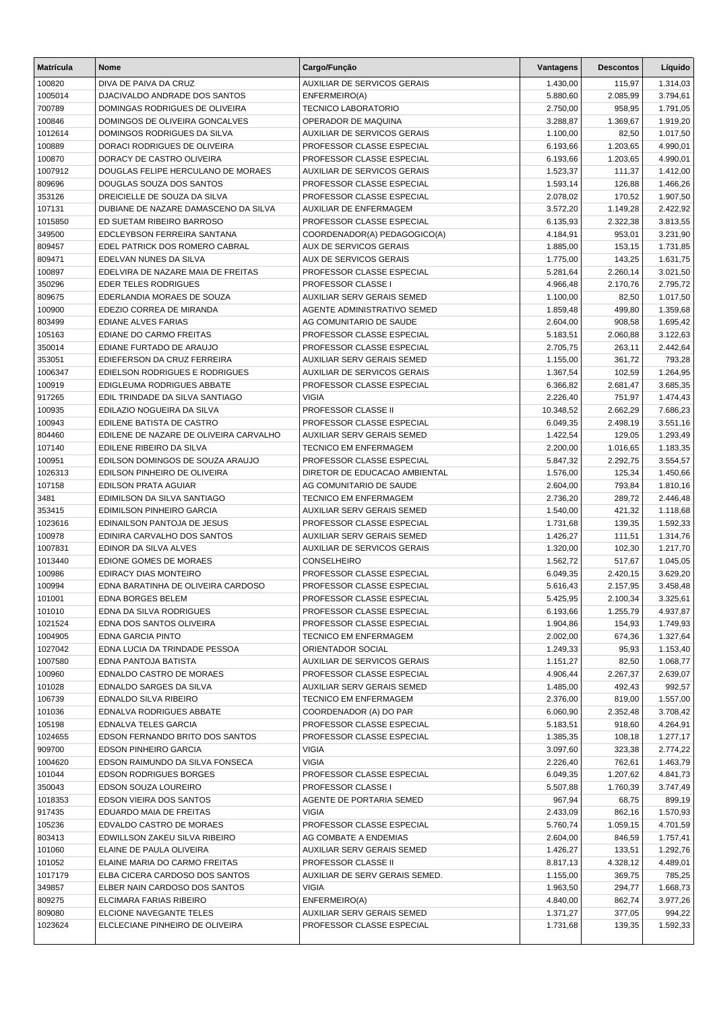| <b>Matrícula</b>  | Nome                                                              | Cargo/Função                                             | Vantagens            | <b>Descontos</b>     | Líquido              |
|-------------------|-------------------------------------------------------------------|----------------------------------------------------------|----------------------|----------------------|----------------------|
| 100820            | DIVA DE PAIVA DA CRUZ                                             | AUXILIAR DE SERVICOS GERAIS                              | 1.430,00             | 115,97               | 1.314,03             |
| 1005014           | DJACIVALDO ANDRADE DOS SANTOS                                     | ENFERMEIRO(A)                                            | 5.880,60             | 2.085,99             | 3.794,61             |
| 700789            | DOMINGAS RODRIGUES DE OLIVEIRA                                    | <b>TECNICO LABORATORIO</b>                               | 2.750,00             | 958,95               | 1.791,05             |
| 100846            | DOMINGOS DE OLIVEIRA GONCALVES                                    | OPERADOR DE MAQUINA                                      | 3.288,87             | 1.369,67             | 1.919,20             |
| 1012614           | DOMINGOS RODRIGUES DA SILVA                                       | <b>AUXILIAR DE SERVICOS GERAIS</b>                       | 1.100,00             | 82,50                | 1.017,50             |
| 100889            | DORACI RODRIGUES DE OLIVEIRA                                      | PROFESSOR CLASSE ESPECIAL                                | 6.193,66             | 1.203,65             | 4.990,01             |
| 100870            | DORACY DE CASTRO OLIVEIRA                                         | PROFESSOR CLASSE ESPECIAL                                | 6.193,66             | 1.203,65             | 4.990,01             |
| 1007912           | DOUGLAS FELIPE HERCULANO DE MORAES                                | <b>AUXILIAR DE SERVICOS GERAIS</b>                       | 1.523,37             | 111,37               | 1.412,00             |
| 809696            | DOUGLAS SOUZA DOS SANTOS                                          | PROFESSOR CLASSE ESPECIAL                                | 1.593,14             | 126,88               | 1.466,26             |
| 353126            | DREICIELLE DE SOUZA DA SILVA                                      | PROFESSOR CLASSE ESPECIAL                                | 2.078,02             | 170,52               | 1.907,50             |
| 107131<br>1015850 | DUBIANE DE NAZARE DAMASCENO DA SILVA<br>ED SUETAM RIBEIRO BARROSO | AUXILIAR DE ENFERMAGEM<br>PROFESSOR CLASSE ESPECIAL      | 3.572,20<br>6.135,93 | 1.149,28<br>2.322,38 | 2.422,92             |
| 349500            | EDCLEYBSON FERREIRA SANTANA                                       | COORDENADOR(A) PEDAGOGICO(A)                             | 4.184,91             | 953,01               | 3.813,55<br>3.231,90 |
| 809457            | EDEL PATRICK DOS ROMERO CABRAL                                    | <b>AUX DE SERVICOS GERAIS</b>                            | 1.885,00             | 153,15               | 1.731,85             |
| 809471            | EDELVAN NUNES DA SILVA                                            | <b>AUX DE SERVICOS GERAIS</b>                            | 1.775,00             | 143,25               | 1.631,75             |
| 100897            | EDELVIRA DE NAZARE MAIA DE FREITAS                                | PROFESSOR CLASSE ESPECIAL                                | 5.281,64             | 2.260,14             | 3.021,50             |
| 350296            | <b>EDER TELES RODRIGUES</b>                                       | PROFESSOR CLASSE I                                       | 4.966,48             | 2.170,76             | 2.795,72             |
| 809675            | EDERLANDIA MORAES DE SOUZA                                        | <b>AUXILIAR SERV GERAIS SEMED</b>                        | 1.100,00             | 82,50                | 1.017,50             |
| 100900            | EDEZIO CORREA DE MIRANDA                                          | AGENTE ADMINISTRATIVO SEMED                              | 1.859,48             | 499,80               | 1.359,68             |
| 803499            | <b>EDIANE ALVES FARIAS</b>                                        | AG COMUNITARIO DE SAUDE                                  | 2.604,00             | 908,58               | 1.695,42             |
| 105163            | EDIANE DO CARMO FREITAS                                           | PROFESSOR CLASSE ESPECIAL                                | 5.183,51             | 2.060,88             | 3.122,63             |
| 350014            | EDIANE FURTADO DE ARAUJO                                          | PROFESSOR CLASSE ESPECIAL                                | 2.705,75             | 263,11               | 2.442,64             |
| 353051            | EDIEFERSON DA CRUZ FERREIRA                                       | <b>AUXILIAR SERV GERAIS SEMED</b>                        | 1.155,00             | 361,72               | 793,28               |
| 1006347           | EDIELSON RODRIGUES E RODRIGUES                                    | <b>AUXILIAR DE SERVICOS GERAIS</b>                       | 1.367,54             | 102,59               | 1.264,95             |
| 100919            | EDIGLEUMA RODRIGUES ABBATE                                        | PROFESSOR CLASSE ESPECIAL                                | 6.366,82             | 2.681,47             | 3.685,35             |
| 917265            | EDIL TRINDADE DA SILVA SANTIAGO                                   | <b>VIGIA</b>                                             | 2.226,40             | 751,97               | 1.474,43             |
| 100935            | EDILAZIO NOGUEIRA DA SILVA                                        | PROFESSOR CLASSE II                                      | 10.348,52            | 2.662,29             | 7.686,23             |
| 100943            | EDILENE BATISTA DE CASTRO                                         | PROFESSOR CLASSE ESPECIAL                                | 6.049,35             | 2.498,19             | 3.551,16             |
| 804460            | EDILENE DE NAZARE DE OLIVEIRA CARVALHO                            | AUXILIAR SERV GERAIS SEMED                               | 1.422,54             | 129,05               | 1.293,49             |
| 107140            | EDILENE RIBEIRO DA SILVA                                          | <b>TECNICO EM ENFERMAGEM</b>                             | 2.200,00             | 1.016,65             | 1.183,35             |
| 100951            | EDILSON DOMINGOS DE SOUZA ARAUJO                                  | PROFESSOR CLASSE ESPECIAL                                | 5.847,32             | 2.292,75             | 3.554,57             |
| 1026313           | EDILSON PINHEIRO DE OLIVEIRA<br><b>EDILSON PRATA AGUIAR</b>       | DIRETOR DE EDUCACAO AMBIENTAL<br>AG COMUNITARIO DE SAUDE | 1.576,00             | 125,34<br>793,84     | 1.450,66             |
| 107158<br>3481    | EDIMILSON DA SILVA SANTIAGO                                       | TECNICO EM ENFERMAGEM                                    | 2.604,00<br>2.736,20 | 289,72               | 1.810,16<br>2.446,48 |
| 353415            | EDIMILSON PINHEIRO GARCIA                                         | <b>AUXILIAR SERV GERAIS SEMED</b>                        | 1.540,00             | 421,32               | 1.118,68             |
| 1023616           | EDINAILSON PANTOJA DE JESUS                                       | PROFESSOR CLASSE ESPECIAL                                | 1.731,68             | 139,35               | 1.592,33             |
| 100978            | EDINIRA CARVALHO DOS SANTOS                                       | <b>AUXILIAR SERV GERAIS SEMED</b>                        | 1.426,27             | 111,51               | 1.314,76             |
| 1007831           | EDINOR DA SILVA ALVES                                             | <b>AUXILIAR DE SERVICOS GERAIS</b>                       | 1.320,00             | 102,30               | 1.217,70             |
| 1013440           | EDIONE GOMES DE MORAES                                            | CONSELHEIRO                                              | 1.562,72             | 517,67               | 1.045,05             |
| 100986            | EDIRACY DIAS MONTEIRO                                             | PROFESSOR CLASSE ESPECIAL                                | 6.049,35             | 2.420,15             | 3.629,20             |
| 100994            | EDNA BARATINHA DE OLIVEIRA CARDOSO                                | PROFESSOR CLASSE ESPECIAL                                | 5.616,43             | 2.157,95             | 3.458,48             |
| 101001            | EDNA BORGES BELEM                                                 | PROFESSOR CLASSE ESPECIAL                                | 5.425,95             | 2.100,34             | 3.325,61             |
| 101010            | EDNA DA SILVA RODRIGUES                                           | PROFESSOR CLASSE ESPECIAL                                | 6.193,66             | 1.255,79             | 4.937,87             |
| 1021524           | EDNA DOS SANTOS OLIVEIRA                                          | PROFESSOR CLASSE ESPECIAL                                | 1.904,86             | 154,93               | 1.749,93             |
| 1004905           | <b>EDNA GARCIA PINTO</b>                                          | <b>TECNICO EM ENFERMAGEM</b>                             | 2.002,00             | 674,36               | 1.327,64             |
| 1027042           | EDNA LUCIA DA TRINDADE PESSOA                                     | ORIENTADOR SOCIAL                                        | 1.249,33             | 95,93                | 1.153,40             |
| 1007580           | EDNA PANTOJA BATISTA                                              | AUXILIAR DE SERVICOS GERAIS                              | 1.151,27             | 82,50                | 1.068,77             |
| 100960            | EDNALDO CASTRO DE MORAES                                          | PROFESSOR CLASSE ESPECIAL                                | 4.906,44             | 2.267,37             | 2.639,07             |
| 101028            | EDNALDO SARGES DA SILVA                                           | AUXILIAR SERV GERAIS SEMED                               | 1.485,00             | 492,43               | 992,57               |
| 106739            | <b>EDNALDO SILVA RIBEIRO</b>                                      | TECNICO EM ENFERMAGEM                                    | 2.376,00             | 819,00               | 1.557,00             |
| 101036            | EDNALVA RODRIGUES ABBATE                                          | COORDENADOR (A) DO PAR<br>PROFESSOR CLASSE ESPECIAL      | 6.060,90             | 2.352,48             | 3.708,42             |
| 105198<br>1024655 | EDNALVA TELES GARCIA<br>EDSON FERNANDO BRITO DOS SANTOS           | PROFESSOR CLASSE ESPECIAL                                | 5.183,51<br>1.385,35 | 918,60<br>108,18     | 4.264,91<br>1.277,17 |
| 909700            | <b>EDSON PINHEIRO GARCIA</b>                                      | <b>VIGIA</b>                                             | 3.097,60             | 323,38               | 2.774,22             |
| 1004620           | EDSON RAIMUNDO DA SILVA FONSECA                                   | <b>VIGIA</b>                                             | 2.226,40             | 762,61               | 1.463,79             |
| 101044            | <b>EDSON RODRIGUES BORGES</b>                                     | PROFESSOR CLASSE ESPECIAL                                | 6.049,35             | 1.207,62             | 4.841,73             |
| 350043            | EDSON SOUZA LOUREIRO                                              | PROFESSOR CLASSE I                                       | 5.507,88             | 1.760,39             | 3.747,49             |
| 1018353           | EDSON VIEIRA DOS SANTOS                                           | AGENTE DE PORTARIA SEMED                                 | 967,94               | 68,75                | 899,19               |
| 917435            | EDUARDO MAIA DE FREITAS                                           | <b>VIGIA</b>                                             | 2.433,09             | 862,16               | 1.570,93             |
| 105236            | EDVALDO CASTRO DE MORAES                                          | PROFESSOR CLASSE ESPECIAL                                | 5.760,74             | 1.059,15             | 4.701,59             |
| 803413            | EDWILLSON ZAKEU SILVA RIBEIRO                                     | AG COMBATE A ENDEMIAS                                    | 2.604,00             | 846,59               | 1.757,41             |
| 101060            | ELAINE DE PAULA OLIVEIRA                                          | AUXILIAR SERV GERAIS SEMED                               | 1.426,27             | 133,51               | 1.292,76             |
| 101052            | ELAINE MARIA DO CARMO FREITAS                                     | PROFESSOR CLASSE II                                      | 8.817,13             | 4.328,12             | 4.489,01             |
| 1017179           | ELBA CICERA CARDOSO DOS SANTOS                                    | AUXILIAR DE SERV GERAIS SEMED.                           | 1.155,00             | 369,75               | 785,25               |
| 349857            | ELBER NAIN CARDOSO DOS SANTOS                                     | <b>VIGIA</b>                                             | 1.963,50             | 294,77               | 1.668,73             |
| 809275            | ELCIMARA FARIAS RIBEIRO                                           | ENFERMEIRO(A)                                            | 4.840,00             | 862,74               | 3.977,26             |
| 809080            | ELCIONE NAVEGANTE TELES                                           | AUXILIAR SERV GERAIS SEMED                               | 1.371,27             | 377,05               | 994,22               |
| 1023624           | ELCLECIANE PINHEIRO DE OLIVEIRA                                   | PROFESSOR CLASSE ESPECIAL                                | 1.731,68             | 139,35               | 1.592,33             |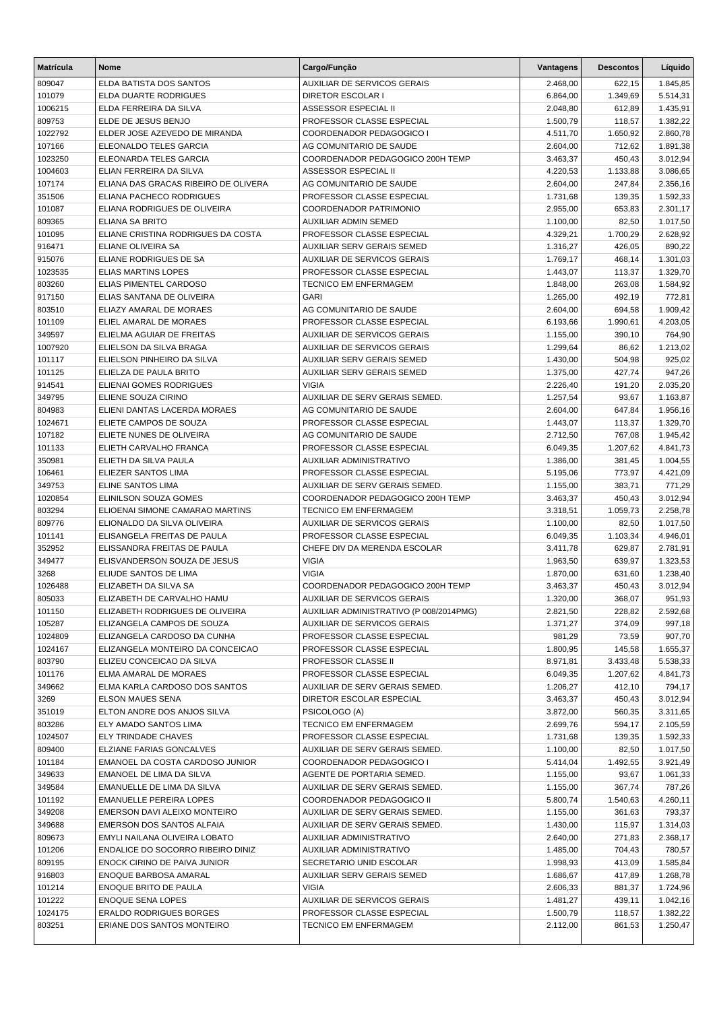| <b>Matrícula</b> | <b>Nome</b>                                  | Cargo/Função                                         | Vantagens            | <b>Descontos</b> | Líquido            |
|------------------|----------------------------------------------|------------------------------------------------------|----------------------|------------------|--------------------|
| 809047           | ELDA BATISTA DOS SANTOS                      | <b>AUXILIAR DE SERVICOS GERAIS</b>                   | 2.468,00             | 622,15           | 1.845,85           |
| 101079           | <b>ELDA DUARTE RODRIGUES</b>                 | <b>DIRETOR ESCOLAR I</b>                             | 6.864,00             | 1.349,69         | 5.514,31           |
| 1006215          | ELDA FERREIRA DA SILVA                       | ASSESSOR ESPECIAL II                                 | 2.048,80             | 612,89           | 1.435,91           |
| 809753           | ELDE DE JESUS BENJO                          | PROFESSOR CLASSE ESPECIAL                            | 1.500,79             | 118,57           | 1.382,22           |
| 1022792          | ELDER JOSE AZEVEDO DE MIRANDA                | COORDENADOR PEDAGOGICO I                             | 4.511,70             | 1.650,92         | 2.860,78           |
| 107166           | ELEONALDO TELES GARCIA                       | AG COMUNITARIO DE SAUDE                              | 2.604,00             | 712,62           | 1.891,38           |
| 1023250          | ELEONARDA TELES GARCIA                       | COORDENADOR PEDAGOGICO 200H TEMP                     | 3.463,37             | 450,43           | 3.012,94           |
| 1004603          | ELIAN FERREIRA DA SILVA                      | ASSESSOR ESPECIAL II                                 | 4.220,53             | 1.133,88         | 3.086,65           |
| 107174           | ELIANA DAS GRACAS RIBEIRO DE OLIVERA         | AG COMUNITARIO DE SAUDE                              | 2.604,00             | 247,84           | 2.356,16           |
| 351506           | ELIANA PACHECO RODRIGUES                     | PROFESSOR CLASSE ESPECIAL                            | 1.731,68             | 139,35           | 1.592,33           |
| 101087           | ELIANA RODRIGUES DE OLIVEIRA                 | COORDENADOR PATRIMONIO                               | 2.955,00             | 653,83           | 2.301,17           |
| 809365           | ELIANA SA BRITO                              | AUXILIAR ADMIN SEMED                                 | 1.100,00             | 82,50            | 1.017,50           |
| 101095           | ELIANE CRISTINA RODRIGUES DA COSTA           | PROFESSOR CLASSE ESPECIAL                            | 4.329,21             | 1.700,29         | 2.628,92           |
| 916471           | ELIANE OLIVEIRA SA                           | AUXILIAR SERV GERAIS SEMED                           | 1.316,27             | 426,05           | 890,22             |
| 915076           | ELIANE RODRIGUES DE SA                       | <b>AUXILIAR DE SERVICOS GERAIS</b>                   | 1.769,17             | 468,14           | 1.301,03           |
| 1023535          | <b>ELIAS MARTINS LOPES</b>                   | PROFESSOR CLASSE ESPECIAL                            | 1.443,07             | 113,37           | 1.329,70           |
| 803260           | ELIAS PIMENTEL CARDOSO                       | <b>TECNICO EM ENFERMAGEM</b>                         | 1.848,00             | 263,08           | 1.584,92           |
| 917150           | ELIAS SANTANA DE OLIVEIRA                    | <b>GARI</b>                                          | 1.265,00             | 492,19           | 772,81             |
| 803510           | ELIAZY AMARAL DE MORAES                      | AG COMUNITARIO DE SAUDE                              | 2.604,00             | 694,58           | 1.909,42           |
| 101109           | ELIEL AMARAL DE MORAES                       | PROFESSOR CLASSE ESPECIAL                            | 6.193,66             | 1.990,61         | 4.203,05           |
| 349597           | ELIELMA AGUIAR DE FREITAS                    | <b>AUXILIAR DE SERVICOS GERAIS</b>                   | 1.155,00             | 390,10           | 764,90             |
| 1007920          | ELIELSON DA SILVA BRAGA                      | <b>AUXILIAR DE SERVICOS GERAIS</b>                   | 1.299,64             | 86,62            | 1.213,02           |
| 101117           | ELIELSON PINHEIRO DA SILVA                   | AUXILIAR SERV GERAIS SEMED                           | 1.430,00             | 504,98           | 925,02             |
| 101125           | ELIELZA DE PAULA BRITO                       | AUXILIAR SERV GERAIS SEMED                           | 1.375,00             | 427,74           | 947,26             |
| 914541           | <b>ELIENAI GOMES RODRIGUES</b>               | <b>VIGIA</b>                                         | 2.226,40             | 191,20           | 2.035,20           |
| 349795           | ELIENE SOUZA CIRINO                          | AUXILIAR DE SERV GERAIS SEMED.                       | 1.257,54             | 93,67            | 1.163,87           |
| 804983           | ELIENI DANTAS LACERDA MORAES                 | AG COMUNITARIO DE SAUDE                              | 2.604,00             | 647,84           | 1.956,16           |
| 1024671          | ELIETE CAMPOS DE SOUZA                       | PROFESSOR CLASSE ESPECIAL                            | 1.443,07             | 113,37           | 1.329,70           |
| 107182           | ELIETE NUNES DE OLIVEIRA                     | AG COMUNITARIO DE SAUDE                              | 2.712,50             | 767,08           | 1.945,42           |
| 101133           | ELIETH CARVALHO FRANCA                       | PROFESSOR CLASSE ESPECIAL                            | 6.049,35             | 1.207,62         | 4.841,73           |
| 350981<br>106461 | ELIETH DA SILVA PAULA<br>ELIEZER SANTOS LIMA | AUXILIAR ADMINISTRATIVO<br>PROFESSOR CLASSE ESPECIAL | 1.386,00             | 381,45           | 1.004,55           |
| 349753           | ELINE SANTOS LIMA                            | AUXILIAR DE SERV GERAIS SEMED.                       | 5.195,06<br>1.155,00 | 773,97<br>383,71 | 4.421,09<br>771,29 |
| 1020854          | ELINILSON SOUZA GOMES                        | COORDENADOR PEDAGOGICO 200H TEMP                     | 3.463,37             | 450,43           | 3.012,94           |
| 803294           | ELIOENAI SIMONE CAMARAO MARTINS              | <b>TECNICO EM ENFERMAGEM</b>                         | 3.318,51             | 1.059,73         | 2.258,78           |
| 809776           | ELIONALDO DA SILVA OLIVEIRA                  | AUXILIAR DE SERVICOS GERAIS                          | 1.100,00             | 82,50            | 1.017,50           |
| 101141           | ELISANGELA FREITAS DE PAULA                  | PROFESSOR CLASSE ESPECIAL                            | 6.049,35             | 1.103,34         | 4.946,01           |
| 352952           | ELISSANDRA FREITAS DE PAULA                  | CHEFE DIV DA MERENDA ESCOLAR                         | 3.411,78             | 629,87           | 2.781,91           |
| 349477           | ELISVANDERSON SOUZA DE JESUS                 | <b>VIGIA</b>                                         | 1.963,50             | 639,97           | 1.323,53           |
| 3268             | ELIUDE SANTOS DE LIMA                        | <b>VIGIA</b>                                         | 1.870,00             | 631,60           | 1.238,40           |
| 1026488          | ELIZABETH DA SILVA SA                        | COORDENADOR PEDAGOGICO 200H TEMP                     | 3.463,37             | 450,43           | 3.012,94           |
| 805033           | ELIZABETH DE CARVALHO HAMU                   | AUXILIAR DE SERVICOS GERAIS                          | 1.320,00             | 368,07           | 951,93             |
| 101150           | ELIZABETH RODRIGUES DE OLIVEIRA              | AUXILIAR ADMINISTRATIVO (P 008/2014PMG)              | 2.821,50             | 228,82           | 2.592,68           |
| 105287           | ELIZANGELA CAMPOS DE SOUZA                   | AUXILIAR DE SERVICOS GERAIS                          | 1.371,27             | 374,09           | 997,18             |
| 1024809          | ELIZANGELA CARDOSO DA CUNHA                  | PROFESSOR CLASSE ESPECIAL                            | 981,29               | 73,59            | 907,70             |
| 1024167          | ELIZANGELA MONTEIRO DA CONCEICAO             | PROFESSOR CLASSE ESPECIAL                            | 1.800,95             | 145,58           | 1.655,37           |
| 803790           | ELIZEU CONCEICAO DA SILVA                    | PROFESSOR CLASSE II                                  | 8.971,81             | 3.433,48         | 5.538,33           |
| 101176           | <b>ELMA AMARAL DE MORAES</b>                 | PROFESSOR CLASSE ESPECIAL                            | 6.049,35             | 1.207,62         | 4.841,73           |
| 349662           | ELMA KARLA CARDOSO DOS SANTOS                | AUXILIAR DE SERV GERAIS SEMED.                       | 1.206,27             | 412,10           | 794,17             |
| 3269             | <b>ELSON MAUES SENA</b>                      | DIRETOR ESCOLAR ESPECIAL                             | 3.463,37             | 450,43           | 3.012,94           |
| 351019           | ELTON ANDRE DOS ANJOS SILVA                  | PSICOLOGO (A)                                        | 3.872,00             | 560,35           | 3.311,65           |
| 803286           | ELY AMADO SANTOS LIMA                        | <b>TECNICO EM ENFERMAGEM</b>                         | 2.699,76             | 594,17           | 2.105,59           |
| 1024507          | ELY TRINDADE CHAVES                          | PROFESSOR CLASSE ESPECIAL                            | 1.731,68             | 139,35           | 1.592,33           |
| 809400           | ELZIANE FARIAS GONCALVES                     | AUXILIAR DE SERV GERAIS SEMED.                       | 1.100,00             | 82,50            | 1.017,50           |
| 101184           | EMANOEL DA COSTA CARDOSO JUNIOR              | COORDENADOR PEDAGOGICO I                             | 5.414,04             | 1.492,55         | 3.921,49           |
| 349633           | EMANOEL DE LIMA DA SILVA                     | AGENTE DE PORTARIA SEMED.                            | 1.155,00             | 93,67            | 1.061,33           |
| 349584           | EMANUELLE DE LIMA DA SILVA                   | AUXILIAR DE SERV GERAIS SEMED.                       | 1.155,00             | 367,74           | 787,26             |
| 101192           | <b>EMANUELLE PEREIRA LOPES</b>               | COORDENADOR PEDAGOGICO II                            | 5.800,74             | 1.540,63         | 4.260,11           |
| 349208           | EMERSON DAVI ALEIXO MONTEIRO                 | AUXILIAR DE SERV GERAIS SEMED.                       | 1.155,00             | 361,63           | 793,37             |
| 349688           | EMERSON DOS SANTOS ALFAIA                    | AUXILIAR DE SERV GERAIS SEMED.                       | 1.430,00             | 115,97           | 1.314,03           |
| 809673           | EMYLI NAILANA OLIVEIRA LOBATO                | AUXILIAR ADMINISTRATIVO                              | 2.640,00             | 271,83           | 2.368,17           |
| 101206           | ENDALICE DO SOCORRO RIBEIRO DINIZ            | AUXILIAR ADMINISTRATIVO                              | 1.485,00             | 704,43           | 780,57             |
| 809195           | ENOCK CIRINO DE PAIVA JUNIOR                 | SECRETARIO UNID ESCOLAR                              | 1.998,93             | 413,09           | 1.585,84           |
| 916803           | ENOQUE BARBOSA AMARAL                        | AUXILIAR SERV GERAIS SEMED                           | 1.686,67             | 417,89           | 1.268,78           |
| 101214           | ENOQUE BRITO DE PAULA                        | <b>VIGIA</b>                                         | 2.606,33             | 881,37           | 1.724,96           |
| 101222           | <b>ENOQUE SENA LOPES</b>                     | AUXILIAR DE SERVICOS GERAIS                          | 1.481,27             | 439,11           | 1.042,16           |
| 1024175          | <b>ERALDO RODRIGUES BORGES</b>               | PROFESSOR CLASSE ESPECIAL                            | 1.500,79             | 118,57           | 1.382,22           |
| 803251           | ERIANE DOS SANTOS MONTEIRO                   | <b>TECNICO EM ENFERMAGEM</b>                         | 2.112,00             | 861,53           | 1.250,47           |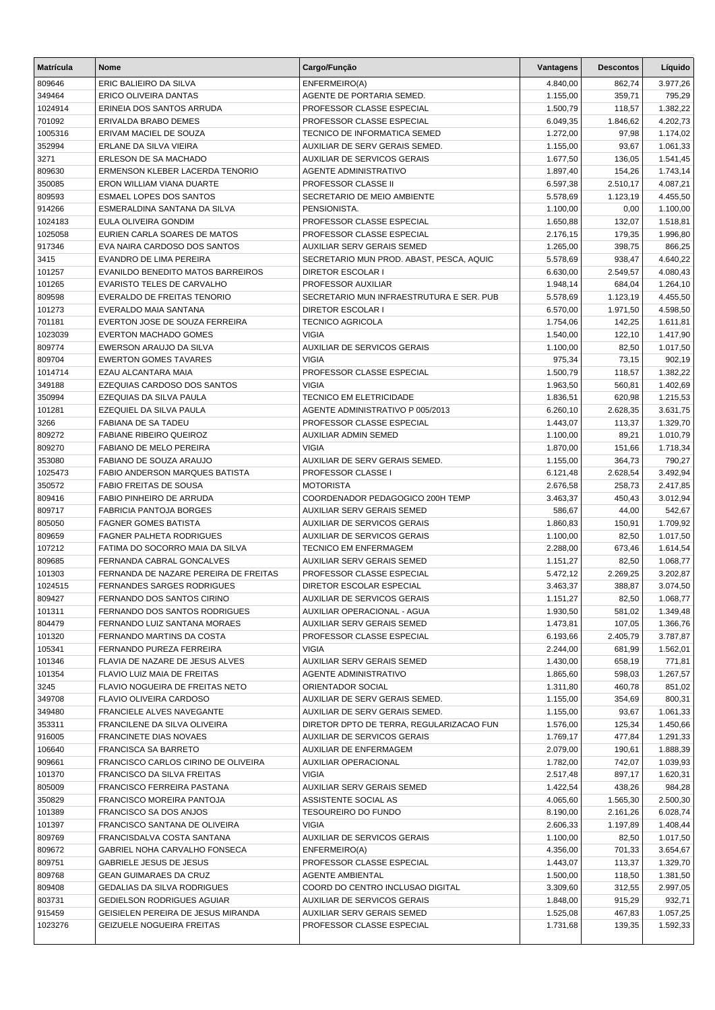| <b>Matrícula</b> | Nome                                                          | Cargo/Função                                                      | Vantagens            | <b>Descontos</b> | Líquido              |
|------------------|---------------------------------------------------------------|-------------------------------------------------------------------|----------------------|------------------|----------------------|
| 809646           | ERIC BALIEIRO DA SILVA                                        | ENFERMEIRO(A)                                                     | 4.840,00             | 862,74           | 3.977,26             |
| 349464           | ERICO OLIVEIRA DANTAS                                         | AGENTE DE PORTARIA SEMED.                                         | 1.155,00             | 359,71           | 795,29               |
| 1024914          | ERINEIA DOS SANTOS ARRUDA                                     | PROFESSOR CLASSE ESPECIAL                                         | 1.500,79             | 118,57           | 1.382,22             |
| 701092           | ERIVALDA BRABO DEMES                                          | PROFESSOR CLASSE ESPECIAL                                         | 6.049,35             | 1.846,62         | 4.202,73             |
| 1005316          | ERIVAM MACIEL DE SOUZA                                        | TECNICO DE INFORMATICA SEMED                                      | 1.272,00             | 97,98            | 1.174,02             |
| 352994           | ERLANE DA SILVA VIEIRA                                        | AUXILIAR DE SERV GERAIS SEMED.                                    | 1.155,00             | 93,67            | 1.061,33             |
| 3271             | ERLESON DE SA MACHADO                                         | <b>AUXILIAR DE SERVICOS GERAIS</b>                                | 1.677,50             | 136,05           | 1.541,45             |
| 809630           | ERMENSON KLEBER LACERDA TENORIO                               | <b>AGENTE ADMINISTRATIVO</b>                                      | 1.897,40             | 154,26           | 1.743,14             |
| 350085           | ERON WILLIAM VIANA DUARTE                                     | PROFESSOR CLASSE II                                               | 6.597,38             | 2.510,17         | 4.087,21             |
| 809593           | <b>ESMAEL LOPES DOS SANTOS</b>                                | SECRETARIO DE MEIO AMBIENTE                                       | 5.578,69             | 1.123,19         | 4.455,50             |
| 914266           | ESMERALDINA SANTANA DA SILVA                                  | PENSIONISTA.                                                      | 1.100,00             | 0,00             | 1.100,00             |
| 1024183          | <b>EULA OLIVEIRA GONDIM</b>                                   | PROFESSOR CLASSE ESPECIAL                                         | 1.650,88             | 132,07           | 1.518,81             |
| 1025058          | EURIEN CARLA SOARES DE MATOS                                  | PROFESSOR CLASSE ESPECIAL                                         | 2.176,15             | 179,35           | 1.996,80             |
| 917346           | EVA NAIRA CARDOSO DOS SANTOS                                  | AUXILIAR SERV GERAIS SEMED                                        | 1.265,00             | 398,75           | 866,25               |
| 3415             | EVANDRO DE LIMA PEREIRA                                       | SECRETARIO MUN PROD. ABAST, PESCA, AQUIC                          | 5.578,69             | 938,47           | 4.640,22             |
| 101257           | EVANILDO BENEDITO MATOS BARREIROS                             | <b>DIRETOR ESCOLAR I</b>                                          | 6.630,00             | 2.549,57         | 4.080,43             |
| 101265           | EVARISTO TELES DE CARVALHO                                    | PROFESSOR AUXILIAR                                                | 1.948,14             | 684,04           | 1.264,10             |
| 809598           | EVERALDO DE FREITAS TENORIO                                   | SECRETARIO MUN INFRAESTRUTURA E SER. PUB                          | 5.578,69             | 1.123,19         | 4.455,50             |
| 101273           | EVERALDO MAIA SANTANA                                         | <b>DIRETOR ESCOLAR I</b>                                          | 6.570,00             | 1.971,50         | 4.598,50             |
| 701181           | EVERTON JOSE DE SOUZA FERREIRA                                | <b>TECNICO AGRICOLA</b>                                           | 1.754,06             | 142,25           | 1.611,81             |
| 1023039          | <b>EVERTON MACHADO GOMES</b>                                  | <b>VIGIA</b>                                                      | 1.540,00             | 122,10           | 1.417,90             |
| 809774           | EWERSON ARAUJO DA SILVA                                       | <b>AUXILIAR DE SERVICOS GERAIS</b>                                | 1.100,00             | 82,50            | 1.017,50             |
| 809704           | <b>EWERTON GOMES TAVARES</b>                                  | <b>VIGIA</b>                                                      | 975,34               | 73,15            | 902,19               |
| 1014714          | EZAU ALCANTARA MAIA                                           | PROFESSOR CLASSE ESPECIAL                                         | 1.500,79             | 118,57           | 1.382,22             |
| 349188           | EZEQUIAS CARDOSO DOS SANTOS                                   | <b>VIGIA</b>                                                      | 1.963,50             | 560,81           | 1.402,69             |
| 350994           | EZEQUIAS DA SILVA PAULA                                       | TECNICO EM ELETRICIDADE                                           | 1.836,51             | 620,98           | 1.215,53             |
| 101281           | EZEQUIEL DA SILVA PAULA                                       | AGENTE ADMINISTRATIVO P 005/2013                                  | 6.260,10             | 2.628,35         | 3.631,75             |
| 3266             | <b>FABIANA DE SA TADEU</b>                                    | PROFESSOR CLASSE ESPECIAL                                         | 1.443,07             | 113,37           | 1.329,70             |
| 809272           | <b>FABIANE RIBEIRO QUEIROZ</b>                                | <b>AUXILIAR ADMIN SEMED</b>                                       | 1.100,00             | 89,21            | 1.010,79             |
| 809270           | FABIANO DE MELO PEREIRA                                       | <b>VIGIA</b>                                                      | 1.870,00             | 151,66           | 1.718,34             |
| 353080           | FABIANO DE SOUZA ARAUJO                                       | AUXILIAR DE SERV GERAIS SEMED.                                    | 1.155,00             | 364,73           | 790,27               |
| 1025473          | <b>FABIO ANDERSON MARQUES BATISTA</b>                         | PROFESSOR CLASSE I                                                | 6.121,48             | 2.628,54         | 3.492,94             |
| 350572           | <b>FABIO FREITAS DE SOUSA</b>                                 | <b>MOTORISTA</b>                                                  | 2.676,58             | 258,73           | 2.417,85             |
| 809416           | FABIO PINHEIRO DE ARRUDA                                      | COORDENADOR PEDAGOGICO 200H TEMP                                  | 3.463,37             | 450,43           | 3.012,94             |
| 809717           | <b>FABRICIA PANTOJA BORGES</b><br><b>FAGNER GOMES BATISTA</b> | <b>AUXILIAR SERV GERAIS SEMED</b>                                 | 586,67               | 44,00            | 542,67               |
| 805050           | <b>FAGNER PALHETA RODRIGUES</b>                               | <b>AUXILIAR DE SERVICOS GERAIS</b><br>AUXILIAR DE SERVICOS GERAIS | 1.860,83             | 150,91           | 1.709,92             |
| 809659           | FATIMA DO SOCORRO MAIA DA SILVA                               | <b>TECNICO EM ENFERMAGEM</b>                                      | 1.100,00             | 82,50            | 1.017,50             |
| 107212           | FERNANDA CABRAL GONCALVES                                     | <b>AUXILIAR SERV GERAIS SEMED</b>                                 | 2.288,00             | 673,46<br>82,50  | 1.614,54             |
| 809685<br>101303 | FERNANDA DE NAZARE PEREIRA DE FREITAS                         | PROFESSOR CLASSE ESPECIAL                                         | 1.151,27<br>5.472,12 | 2.269,25         | 1.068,77<br>3.202,87 |
| 1024515          | <b>FERNANDES SARGES RODRIGUES</b>                             | DIRETOR ESCOLAR ESPECIAL                                          | 3.463,37             | 388,87           | 3.074,50             |
| 809427           | FERNANDO DOS SANTOS CIRINO                                    |                                                                   | 1.151,27             |                  | 1.068,77             |
|                  | FERNANDO DOS SANTOS RODRIGUES                                 | AUXILIAR DE SERVICOS GERAIS                                       |                      | 82,50            |                      |
| 101311<br>804479 | FERNANDO LUIZ SANTANA MORAES                                  | AUXILIAR OPERACIONAL - AGUA<br>AUXILIAR SERV GERAIS SEMED         | 1.930,50<br>1.473,81 | 581,02<br>107,05 | 1.349,48<br>1.366,76 |
| 101320           | FERNANDO MARTINS DA COSTA                                     | PROFESSOR CLASSE ESPECIAL                                         | 6.193,66             | 2.405,79         | 3.787,87             |
| 105341           | FERNANDO PUREZA FERREIRA                                      | <b>VIGIA</b>                                                      | 2.244,00             | 681,99           | 1.562,01             |
| 101346           | FLAVIA DE NAZARE DE JESUS ALVES                               | <b>AUXILIAR SERV GERAIS SEMED</b>                                 | 1.430,00             | 658,19           | 771,81               |
| 101354           | FLAVIO LUIZ MAIA DE FREITAS                                   | <b>AGENTE ADMINISTRATIVO</b>                                      | 1.865,60             | 598,03           |                      |
| 3245             | FLAVIO NOGUEIRA DE FREITAS NETO                               | ORIENTADOR SOCIAL                                                 | 1.311,80             | 460,78           | 1.267,57<br>851,02   |
| 349708           | FLAVIO OLIVEIRA CARDOSO                                       | AUXILIAR DE SERV GERAIS SEMED.                                    | 1.155,00             | 354,69           | 800,31               |
| 349480           | FRANCIELE ALVES NAVEGANTE                                     | AUXILIAR DE SERV GERAIS SEMED.                                    | 1.155,00             | 93,67            | 1.061,33             |
| 353311           | FRANCILENE DA SILVA OLIVEIRA                                  | DIRETOR DPTO DE TERRA, REGULARIZACAO FUN                          | 1.576,00             | 125,34           | 1.450,66             |
| 916005           | <b>FRANCINETE DIAS NOVAES</b>                                 | <b>AUXILIAR DE SERVICOS GERAIS</b>                                | 1.769,17             | 477,84           | 1.291,33             |
| 106640           | FRANCISCA SA BARRETO                                          | <b>AUXILIAR DE ENFERMAGEM</b>                                     | 2.079,00             | 190,61           | 1.888,39             |
| 909661           | FRANCISCO CARLOS CIRINO DE OLIVEIRA                           | <b>AUXILIAR OPERACIONAL</b>                                       | 1.782,00             | 742,07           | 1.039,93             |
| 101370           | FRANCISCO DA SILVA FREITAS                                    | <b>VIGIA</b>                                                      | 2.517,48             | 897,17           | 1.620,31             |
| 805009           | FRANCISCO FERREIRA PASTANA                                    | AUXILIAR SERV GERAIS SEMED                                        | 1.422,54             | 438,26           | 984,28               |
| 350829           | FRANCISCO MOREIRA PANTOJA                                     | ASSISTENTE SOCIAL AS                                              | 4.065,60             | 1.565,30         | 2.500,30             |
| 101389           | FRANCISCO SA DOS ANJOS                                        | <b>TESOUREIRO DO FUNDO</b>                                        | 8.190,00             | 2.161,26         | 6.028,74             |
| 101397           | FRANCISCO SANTANA DE OLIVEIRA                                 | <b>VIGIA</b>                                                      | 2.606,33             | 1.197,89         | 1.408,44             |
| 809769           | FRANCISDALVA COSTA SANTANA                                    | AUXILIAR DE SERVICOS GERAIS                                       | 1.100,00             | 82,50            | 1.017,50             |
| 809672           | GABRIEL NOHA CARVALHO FONSECA                                 | ENFERMEIRO(A)                                                     | 4.356,00             | 701,33           | 3.654,67             |
| 809751           | GABRIELE JESUS DE JESUS                                       | PROFESSOR CLASSE ESPECIAL                                         | 1.443,07             | 113,37           | 1.329,70             |
| 809768           | <b>GEAN GUIMARAES DA CRUZ</b>                                 | AGENTE AMBIENTAL                                                  | 1.500,00             | 118,50           | 1.381,50             |
| 809408           | <b>GEDALIAS DA SILVA RODRIGUES</b>                            | COORD DO CENTRO INCLUSAO DIGITAL                                  | 3.309,60             | 312,55           | 2.997,05             |
| 803731           | GEDIELSON RODRIGUES AGUIAR                                    | AUXILIAR DE SERVICOS GERAIS                                       | 1.848,00             | 915,29           | 932,71               |
| 915459           | GEISIELEN PEREIRA DE JESUS MIRANDA                            | AUXILIAR SERV GERAIS SEMED                                        | 1.525,08             | 467,83           | 1.057,25             |
| 1023276          | <b>GEIZUELE NOGUEIRA FREITAS</b>                              | PROFESSOR CLASSE ESPECIAL                                         | 1.731,68             | 139,35           | 1.592,33             |
|                  |                                                               |                                                                   |                      |                  |                      |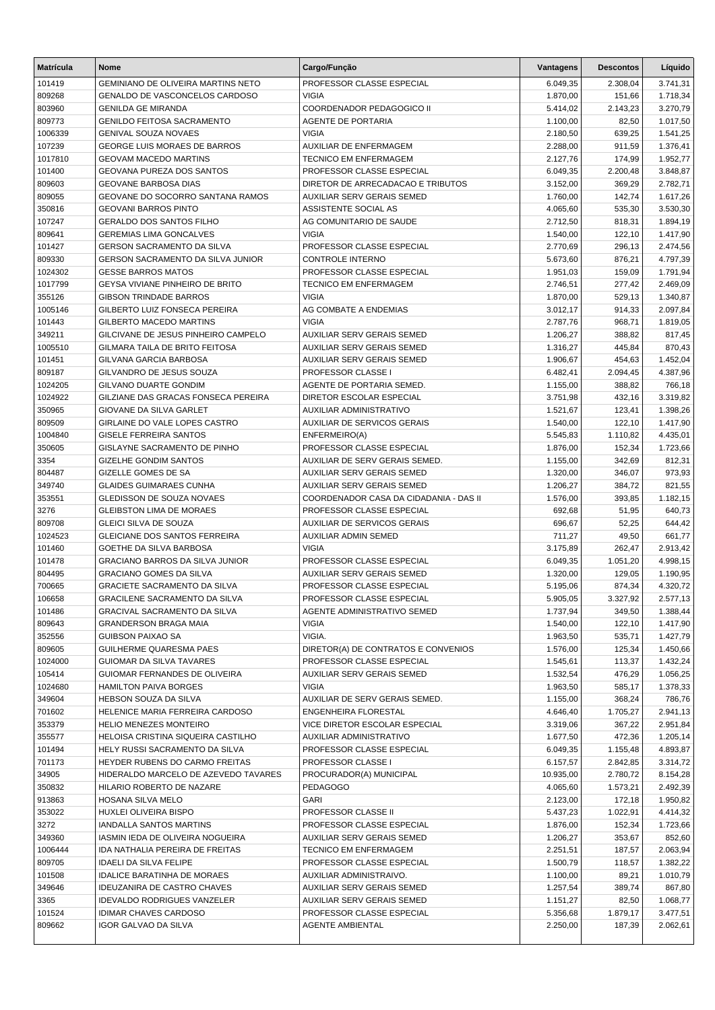| <b>Matrícula</b>  | <b>Nome</b>                                                       | Cargo/Função                                                     | <b>Vantagens</b>     | <b>Descontos</b> | Líquido              |
|-------------------|-------------------------------------------------------------------|------------------------------------------------------------------|----------------------|------------------|----------------------|
| 101419            | GEMINIANO DE OLIVEIRA MARTINS NETO                                | PROFESSOR CLASSE ESPECIAL                                        | 6.049,35             | 2.308,04         | 3.741,31             |
| 809268            | GENALDO DE VASCONCELOS CARDOSO                                    | <b>VIGIA</b>                                                     | 1.870,00             | 151,66           | 1.718,34             |
| 803960            | <b>GENILDA GE MIRANDA</b>                                         | COORDENADOR PEDAGOGICO II                                        | 5.414,02             | 2.143,23         | 3.270,79             |
| 809773            | <b>GENILDO FEITOSA SACRAMENTO</b>                                 | AGENTE DE PORTARIA                                               | 1.100,00             | 82,50            | 1.017,50             |
| 1006339           | <b>GENIVAL SOUZA NOVAES</b>                                       | <b>VIGIA</b>                                                     | 2.180,50             | 639,25           | 1.541,25             |
| 107239            | <b>GEORGE LUIS MORAES DE BARROS</b>                               | AUXILIAR DE ENFERMAGEM                                           | 2.288,00             | 911,59           | 1.376,41             |
| 1017810           | <b>GEOVAM MACEDO MARTINS</b>                                      | <b>TECNICO EM ENFERMAGEM</b>                                     | 2.127,76             | 174,99           | 1.952,77             |
| 101400            | GEOVANA PUREZA DOS SANTOS                                         | PROFESSOR CLASSE ESPECIAL                                        | 6.049,35             | 2.200,48         | 3.848,87             |
| 809603            | GEOVANE BARBOSA DIAS                                              | DIRETOR DE ARRECADACAO E TRIBUTOS                                | 3.152,00             | 369,29           | 2.782,71             |
| 809055            | GEOVANE DO SOCORRO SANTANA RAMOS                                  | <b>AUXILIAR SERV GERAIS SEMED</b>                                | 1.760,00             | 142,74           | 1.617,26             |
| 350816<br>107247  | <b>GEOVANI BARROS PINTO</b><br><b>GERALDO DOS SANTOS FILHO</b>    | ASSISTENTE SOCIAL AS<br>AG COMUNITARIO DE SAUDE                  | 4.065,60             | 535,30<br>818,31 | 3.530,30<br>1.894,19 |
| 809641            | <b>GEREMIAS LIMA GONCALVES</b>                                    | <b>VIGIA</b>                                                     | 2.712,50<br>1.540,00 | 122,10           | 1.417,90             |
| 101427            | GERSON SACRAMENTO DA SILVA                                        | PROFESSOR CLASSE ESPECIAL                                        | 2.770,69             | 296,13           | 2.474,56             |
| 809330            | GERSON SACRAMENTO DA SILVA JUNIOR                                 | <b>CONTROLE INTERNO</b>                                          | 5.673,60             | 876,21           | 4.797,39             |
| 1024302           | <b>GESSE BARROS MATOS</b>                                         | PROFESSOR CLASSE ESPECIAL                                        | 1.951,03             | 159,09           | 1.791,94             |
| 1017799           | GEYSA VIVIANE PINHEIRO DE BRITO                                   | <b>TECNICO EM ENFERMAGEM</b>                                     | 2.746,51             | 277,42           | 2.469,09             |
| 355126            | <b>GIBSON TRINDADE BARROS</b>                                     | <b>VIGIA</b>                                                     | 1.870,00             | 529,13           | 1.340,87             |
| 1005146           | GILBERTO LUIZ FONSECA PEREIRA                                     | AG COMBATE A ENDEMIAS                                            | 3.012,17             | 914,33           | 2.097,84             |
| 101443            | <b>GILBERTO MACEDO MARTINS</b>                                    | <b>VIGIA</b>                                                     | 2.787,76             | 968,71           | 1.819,05             |
| 349211            | GILCIVANE DE JESUS PINHEIRO CAMPELO                               | <b>AUXILIAR SERV GERAIS SEMED</b>                                | 1.206,27             | 388,82           | 817,45               |
| 1005510           | GILMARA TAILA DE BRITO FEITOSA                                    | <b>AUXILIAR SERV GERAIS SEMED</b>                                | 1.316,27             | 445,84           | 870,43               |
| 101451            | GILVANA GARCIA BARBOSA                                            | <b>AUXILIAR SERV GERAIS SEMED</b>                                | 1.906,67             | 454,63           | 1.452,04             |
| 809187            | GILVANDRO DE JESUS SOUZA                                          | PROFESSOR CLASSE I                                               | 6.482,41             | 2.094,45         | 4.387,96             |
| 1024205           | <b>GILVANO DUARTE GONDIM</b>                                      | AGENTE DE PORTARIA SEMED.                                        | 1.155,00             | 388,82           | 766,18               |
| 1024922           | GILZIANE DAS GRACAS FONSECA PEREIRA                               | DIRETOR ESCOLAR ESPECIAL                                         | 3.751,98             | 432,16           | 3.319,82             |
| 350965            | GIOVANE DA SILVA GARLET                                           | AUXILIAR ADMINISTRATIVO                                          | 1.521,67             | 123,41           | 1.398,26             |
| 809509            | GIRLAINE DO VALE LOPES CASTRO                                     | AUXILIAR DE SERVICOS GERAIS                                      | 1.540,00             | 122,10           | 1.417,90             |
| 1004840           | GISELE FERREIRA SANTOS                                            | ENFERMEIRO(A)                                                    | 5.545,83             | 1.110,82         | 4.435,01             |
| 350605<br>3354    | GISLAYNE SACRAMENTO DE PINHO<br><b>GIZELHE GONDIM SANTOS</b>      | PROFESSOR CLASSE ESPECIAL<br>AUXILIAR DE SERV GERAIS SEMED.      | 1.876,00<br>1.155,00 | 152,34<br>342,69 | 1.723,66<br>812,31   |
| 804487            | GIZELLE GOMES DE SA                                               | <b>AUXILIAR SERV GERAIS SEMED</b>                                | 1.320,00             | 346,07           | 973,93               |
| 349740            | <b>GLAIDES GUIMARAES CUNHA</b>                                    | AUXILIAR SERV GERAIS SEMED                                       | 1.206,27             | 384,72           | 821,55               |
| 353551            | GLEDISSON DE SOUZA NOVAES                                         | COORDENADOR CASA DA CIDADANIA - DAS II                           | 1.576,00             | 393,85           | 1.182,15             |
| 3276              | <b>GLEIBSTON LIMA DE MORAES</b>                                   | PROFESSOR CLASSE ESPECIAL                                        | 692,68               | 51,95            | 640,73               |
| 809708            | <b>GLEICI SILVA DE SOUZA</b>                                      | AUXILIAR DE SERVICOS GERAIS                                      | 696,67               | 52,25            | 644,42               |
| 1024523           | <b>GLEICIANE DOS SANTOS FERREIRA</b>                              | <b>AUXILIAR ADMIN SEMED</b>                                      | 711,27               | 49,50            | 661,77               |
| 101460            | GOETHE DA SILVA BARBOSA                                           | <b>VIGIA</b>                                                     | 3.175,89             | 262,47           | 2.913,42             |
| 101478            | <b>GRACIANO BARROS DA SILVA JUNIOR</b>                            | PROFESSOR CLASSE ESPECIAL                                        | 6.049,35             | 1.051,20         | 4.998,15             |
| 804495            | <b>GRACIANO GOMES DA SILVA</b>                                    | AUXILIAR SERV GERAIS SEMED                                       | 1.320,00             | 129,05           | 1.190,95             |
| 700665            | <b>GRACIETE SACRAMENTO DA SILVA</b>                               | PROFESSOR CLASSE ESPECIAL                                        | 5.195,06             | 874,34           | 4.320,72             |
| 106658            | GRACILENE SACRAMENTO DA SILVA                                     | PROFESSOR CLASSE ESPECIAL                                        | 5.905,05             | 3.327,92         | 2.577,13             |
| 101486            | GRACIVAL SACRAMENTO DA SILVA                                      | AGENTE ADMINISTRATIVO SEMED                                      | 1.737,94             | 349,50           | 1.388,44             |
| 809643            | GRANDERSON BRAGA MAIA                                             | VIGIA                                                            | 1.540,00             | 122,10           | 1.417,90             |
| 352556            | <b>GUIBSON PAIXAO SA</b>                                          | VIGIA.                                                           | 1.963,50             | 535,71           | 1.427,79             |
| 809605<br>1024000 | GUILHERME QUARESMA PAES<br>GUIOMAR DA SILVA TAVARES               | DIRETOR(A) DE CONTRATOS E CONVENIOS<br>PROFESSOR CLASSE ESPECIAL | 1.576,00<br>1.545,61 | 125,34<br>113,37 | 1.450,66<br>1.432,24 |
| 105414            | GUIOMAR FERNANDES DE OLIVEIRA                                     | <b>AUXILIAR SERV GERAIS SEMED</b>                                | 1.532,54             | 476,29           | 1.056,25             |
| 1024680           | <b>HAMILTON PAIVA BORGES</b>                                      | <b>VIGIA</b>                                                     | 1.963,50             | 585,17           | 1.378,33             |
| 349604            | HEBSON SOUZA DA SILVA                                             | AUXILIAR DE SERV GERAIS SEMED.                                   | 1.155,00             | 368,24           | 786,76               |
| 701602            | HELENICE MARIA FERREIRA CARDOSO                                   | ENGENHEIRA FLORESTAL                                             | 4.646,40             | 1.705,27         | 2.941,13             |
| 353379            | HELIO MENEZES MONTEIRO                                            | VICE DIRETOR ESCOLAR ESPECIAL                                    | 3.319,06             | 367,22           | 2.951,84             |
| 355577            | HELOISA CRISTINA SIQUEIRA CASTILHO                                | AUXILIAR ADMINISTRATIVO                                          | 1.677,50             | 472,36           | 1.205,14             |
| 101494            | HELY RUSSI SACRAMENTO DA SILVA                                    | PROFESSOR CLASSE ESPECIAL                                        | 6.049,35             | 1.155,48         | 4.893,87             |
| 701173            | HEYDER RUBENS DO CARMO FREITAS                                    | PROFESSOR CLASSE I                                               | 6.157,57             | 2.842,85         | 3.314,72             |
| 34905             | HIDERALDO MARCELO DE AZEVEDO TAVARES                              | PROCURADOR(A) MUNICIPAL                                          | 10.935,00            | 2.780,72         | 8.154,28             |
| 350832            | HILARIO ROBERTO DE NAZARE                                         | <b>PEDAGOGO</b>                                                  | 4.065,60             | 1.573,21         | 2.492,39             |
| 913863            | HOSANA SILVA MELO                                                 | GARI                                                             | 2.123,00             | 172,18           | 1.950,82             |
| 353022            | HUXLEI OLIVEIRA BISPO                                             | <b>PROFESSOR CLASSE II</b>                                       | 5.437,23             | 1.022,91         | 4.414,32             |
| 3272              | IANDALLA SANTOS MARTINS                                           | PROFESSOR CLASSE ESPECIAL                                        | 1.876,00             | 152,34           | 1.723,66             |
| 349360            | IASMIN IEDA DE OLIVEIRA NOGUEIRA                                  | AUXILIAR SERV GERAIS SEMED                                       | 1.206,27             | 353,67           | 852,60               |
| 1006444           | IDA NATHALIA PEREIRA DE FREITAS                                   | TECNICO EM ENFERMAGEM                                            | 2.251,51             | 187,57           | 2.063,94             |
| 809705            | <b>IDAELI DA SILVA FELIPE</b>                                     | PROFESSOR CLASSE ESPECIAL                                        | 1.500,79             | 118,57           | 1.382,22             |
| 101508<br>349646  | <b>IDALICE BARATINHA DE MORAES</b><br>IDEUZANIRA DE CASTRO CHAVES | AUXILIAR ADMINISTRAIVO.<br>AUXILIAR SERV GERAIS SEMED            | 1.100,00<br>1.257,54 | 89,21<br>389,74  | 1.010,79<br>867,80   |
| 3365              | <b>IDEVALDO RODRIGUES VANZELER</b>                                | AUXILIAR SERV GERAIS SEMED                                       | 1.151,27             | 82,50            | 1.068,77             |
| 101524            | <b>IDIMAR CHAVES CARDOSO</b>                                      | PROFESSOR CLASSE ESPECIAL                                        | 5.356,68             | 1.879,17         | 3.477,51             |
| 809662            | <b>IGOR GALVAO DA SILVA</b>                                       | AGENTE AMBIENTAL                                                 | 2.250,00             | 187,39           | 2.062,61             |
|                   |                                                                   |                                                                  |                      |                  |                      |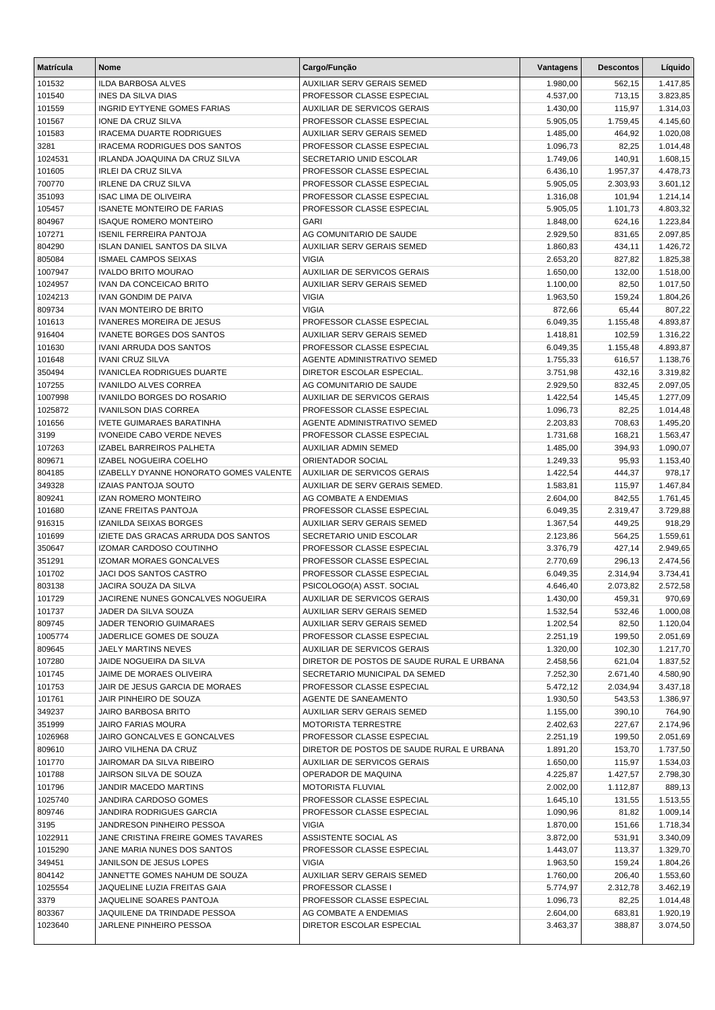| <b>Matrícula</b> | <b>Nome</b>                                              | Cargo/Função                                             | <b>Vantagens</b>     | <b>Descontos</b>   | Líquido              |
|------------------|----------------------------------------------------------|----------------------------------------------------------|----------------------|--------------------|----------------------|
| 101532           | <b>ILDA BARBOSA ALVES</b>                                | <b>AUXILIAR SERV GERAIS SEMED</b>                        | 1.980,00             | 562,15             | 1.417,85             |
| 101540           | <b>INES DA SILVA DIAS</b>                                | PROFESSOR CLASSE ESPECIAL                                | 4.537,00             | 713,15             | 3.823,85             |
| 101559           | <b>INGRID EYTYENE GOMES FARIAS</b>                       | <b>AUXILIAR DE SERVICOS GERAIS</b>                       | 1.430,00             | 115,97             | 1.314,03             |
| 101567           | IONE DA CRUZ SILVA                                       | PROFESSOR CLASSE ESPECIAL                                | 5.905,05             | 1.759,45           | 4.145,60             |
| 101583           | <b>IRACEMA DUARTE RODRIGUES</b>                          | <b>AUXILIAR SERV GERAIS SEMED</b>                        | 1.485,00             | 464,92             | 1.020,08             |
| 3281             | <b>IRACEMA RODRIGUES DOS SANTOS</b>                      | PROFESSOR CLASSE ESPECIAL                                | 1.096,73             | 82,25              | 1.014,48             |
| 1024531          | IRLANDA JOAQUINA DA CRUZ SILVA                           | SECRETARIO UNID ESCOLAR                                  | 1.749,06             | 140,91             | 1.608,15             |
| 101605           | <b>IRLEI DA CRUZ SILVA</b>                               | PROFESSOR CLASSE ESPECIAL                                | 6.436,10             | 1.957,37           | 4.478,73             |
| 700770           | <b>IRLENE DA CRUZ SILVA</b>                              | PROFESSOR CLASSE ESPECIAL                                | 5.905,05             | 2.303,93           | 3.601,12             |
| 351093           | <b>ISAC LIMA DE OLIVEIRA</b>                             | PROFESSOR CLASSE ESPECIAL                                | 1.316,08             | 101,94             | 1.214,14             |
| 105457           | <b>ISANETE MONTEIRO DE FARIAS</b>                        | PROFESSOR CLASSE ESPECIAL                                | 5.905,05             | 1.101,73           | 4.803,32             |
| 804967           | <b>ISAQUE ROMERO MONTEIRO</b>                            | <b>GARI</b>                                              | 1.848,00             | 624,16             | 1.223,84             |
| 107271           | <b>ISENIL FERREIRA PANTOJA</b>                           | AG COMUNITARIO DE SAUDE                                  | 2.929,50             | 831,65             | 2.097,85             |
| 804290           | <b>ISLAN DANIEL SANTOS DA SILVA</b>                      | <b>AUXILIAR SERV GERAIS SEMED</b>                        | 1.860,83             | 434,11             | 1.426,72             |
| 805084           | <b>ISMAEL CAMPOS SEIXAS</b>                              | <b>VIGIA</b>                                             | 2.653,20             | 827,82             | 1.825,38             |
| 1007947          | <b>IVALDO BRITO MOURAO</b>                               | <b>AUXILIAR DE SERVICOS GERAIS</b>                       | 1.650,00             | 132,00             | 1.518,00             |
| 1024957          | IVAN DA CONCEICAO BRITO<br><b>IVAN GONDIM DE PAIVA</b>   | <b>AUXILIAR SERV GERAIS SEMED</b>                        | 1.100,00             | 82,50              | 1.017,50             |
| 1024213          | <b>IVAN MONTEIRO DE BRITO</b>                            | <b>VIGIA</b><br><b>VIGIA</b>                             | 1.963,50             | 159,24             | 1.804,26             |
| 809734<br>101613 | <b>IVANERES MOREIRA DE JESUS</b>                         | PROFESSOR CLASSE ESPECIAL                                | 872,66<br>6.049,35   | 65,44<br>1.155,48  | 807,22<br>4.893,87   |
| 916404           | <b>IVANETE BORGES DOS SANTOS</b>                         | AUXILIAR SERV GERAIS SEMED                               | 1.418,81             | 102,59             | 1.316,22             |
| 101630           | <b>IVANI ARRUDA DOS SANTOS</b>                           | PROFESSOR CLASSE ESPECIAL                                | 6.049,35             | 1.155,48           | 4.893,87             |
| 101648           | <b>IVANI CRUZ SILVA</b>                                  | AGENTE ADMINISTRATIVO SEMED                              | 1.755,33             | 616,57             | 1.138,76             |
| 350494           | <b>IVANICLEA RODRIGUES DUARTE</b>                        | DIRETOR ESCOLAR ESPECIAL.                                | 3.751,98             | 432,16             | 3.319,82             |
| 107255           | <b>IVANILDO ALVES CORREA</b>                             | AG COMUNITARIO DE SAUDE                                  | 2.929,50             | 832,45             | 2.097,05             |
| 1007998          | IVANILDO BORGES DO ROSARIO                               | AUXILIAR DE SERVICOS GERAIS                              | 1.422,54             | 145,45             | 1.277,09             |
| 1025872          | <b>IVANILSON DIAS CORREA</b>                             | PROFESSOR CLASSE ESPECIAL                                | 1.096,73             | 82,25              | 1.014,48             |
| 101656           | <b>IVETE GUIMARAES BARATINHA</b>                         | AGENTE ADMINISTRATIVO SEMED                              | 2.203,83             | 708,63             | 1.495,20             |
| 3199             | <b>IVONEIDE CABO VERDE NEVES</b>                         | PROFESSOR CLASSE ESPECIAL                                | 1.731,68             | 168,21             | 1.563,47             |
| 107263           | IZABEL BARREIROS PALHETA                                 | <b>AUXILIAR ADMIN SEMED</b>                              | 1.485,00             | 394,93             | 1.090,07             |
| 809671           | IZABEL NOGUEIRA COELHO                                   | ORIENTADOR SOCIAL                                        | 1.249,33             | 95,93              | 1.153,40             |
| 804185           | IZABELLY DYANNE HONORATO GOMES VALENTE                   | AUXILIAR DE SERVICOS GERAIS                              | 1.422,54             | 444,37             | 978,17               |
| 349328           | <b>IZAIAS PANTOJA SOUTO</b>                              | AUXILIAR DE SERV GERAIS SEMED.                           | 1.583,81             | 115,97             | 1.467,84             |
| 809241           | IZAN ROMERO MONTEIRO                                     | AG COMBATE A ENDEMIAS                                    | 2.604,00             | 842,55             | 1.761,45             |
| 101680           | <b>IZANE FREITAS PANTOJA</b>                             | PROFESSOR CLASSE ESPECIAL                                | 6.049,35             | 2.319,47           | 3.729,88             |
| 916315           | <b>IZANILDA SEIXAS BORGES</b>                            | AUXILIAR SERV GERAIS SEMED                               | 1.367,54             | 449,25             | 918,29               |
| 101699           | IZIETE DAS GRACAS ARRUDA DOS SANTOS                      | SECRETARIO UNID ESCOLAR                                  | 2.123,86             | 564,25             | 1.559,61             |
| 350647           | <b>IZOMAR CARDOSO COUTINHO</b>                           | PROFESSOR CLASSE ESPECIAL                                | 3.376,79             | 427,14             | 2.949,65             |
| 351291           | <b>IZOMAR MORAES GONCALVES</b>                           | PROFESSOR CLASSE ESPECIAL                                | 2.770,69             | 296,13             | 2.474,56             |
| 101702           | JACI DOS SANTOS CASTRO                                   | PROFESSOR CLASSE ESPECIAL                                | 6.049,35             | 2.314,94           | 3.734,41             |
| 803138           | <b>JACIRA SOUZA DA SILVA</b>                             | PSICOLOGO(A) ASST. SOCIAL                                | 4.646,40             | 2.073,82           | 2.572,58             |
| 101729           | JACIRENE NUNES GONCALVES NOGUEIRA                        | AUXILIAR DE SERVICOS GERAIS                              | 1.430,00             | 459,31             | 970,69               |
| 101737           | JADER DA SILVA SOUZA                                     | AUXILIAR SERV GERAIS SEMED                               | 1.532,54             | 532,46             | 1.000,08             |
| 809745           | JADER TENORIO GUIMARAES                                  | AUXILIAR SERV GERAIS SEMED                               | 1.202,54             | 82,50              | 1.120,04             |
| 1005774          | JADERLICE GOMES DE SOUZA                                 | PROFESSOR CLASSE ESPECIAL                                | 2.251,19             | 199,50             | 2.051,69             |
| 809645           | JAELY MARTINS NEVES                                      | <b>AUXILIAR DE SERVICOS GERAIS</b>                       | 1.320,00             | 102,30             | 1.217,70             |
| 107280           | JAIDE NOGUEIRA DA SILVA                                  | DIRETOR DE POSTOS DE SAUDE RURAL E URBANA                | 2.458,56             | 621,04             | 1.837,52             |
| 101745           | JAIME DE MORAES OLIVEIRA                                 | SECRETARIO MUNICIPAL DA SEMED                            | 7.252,30             | 2.671,40           | 4.580,90             |
| 101753<br>101761 | JAIR DE JESUS GARCIA DE MORAES<br>JAIR PINHEIRO DE SOUZA | PROFESSOR CLASSE ESPECIAL<br><b>AGENTE DE SANEAMENTO</b> | 5.472,12<br>1.930,50 | 2.034,94<br>543,53 | 3.437,18<br>1.386,97 |
| 349237           | JAIRO BARBOSA BRITO                                      | AUXILIAR SERV GERAIS SEMED                               | 1.155,00             | 390,10             | 764,90               |
| 351999           | <b>JAIRO FARIAS MOURA</b>                                | <b>MOTORISTA TERRESTRE</b>                               | 2.402,63             | 227,67             | 2.174,96             |
| 1026968          | JAIRO GONCALVES E GONCALVES                              | PROFESSOR CLASSE ESPECIAL                                | 2.251,19             | 199,50             | 2.051,69             |
| 809610           | JAIRO VILHENA DA CRUZ                                    | DIRETOR DE POSTOS DE SAUDE RURAL E URBANA                | 1.891,20             | 153,70             | 1.737,50             |
| 101770           | JAIROMAR DA SILVA RIBEIRO                                | AUXILIAR DE SERVICOS GERAIS                              | 1.650,00             | 115,97             | 1.534,03             |
| 101788           | JAIRSON SILVA DE SOUZA                                   | OPERADOR DE MAQUINA                                      | 4.225,87             | 1.427,57           | 2.798,30             |
| 101796           | JANDIR MACEDO MARTINS                                    | <b>MOTORISTA FLUVIAL</b>                                 | 2.002,00             | 1.112,87           | 889,13               |
| 1025740          | JANDIRA CARDOSO GOMES                                    | PROFESSOR CLASSE ESPECIAL                                | 1.645,10             | 131,55             | 1.513,55             |
| 809746           | JANDIRA RODRIGUES GARCIA                                 | PROFESSOR CLASSE ESPECIAL                                | 1.090,96             | 81,82              | 1.009,14             |
| 3195             | JANDRESON PINHEIRO PESSOA                                | <b>VIGIA</b>                                             | 1.870,00             | 151,66             | 1.718,34             |
| 1022911          | JANE CRISTINA FREIRE GOMES TAVARES                       | ASSISTENTE SOCIAL AS                                     | 3.872,00             | 531,91             | 3.340,09             |
| 1015290          | JANE MARIA NUNES DOS SANTOS                              | PROFESSOR CLASSE ESPECIAL                                | 1.443,07             | 113,37             | 1.329,70             |
| 349451           | JANILSON DE JESUS LOPES                                  | <b>VIGIA</b>                                             | 1.963,50             | 159,24             | 1.804,26             |
| 804142           | JANNETTE GOMES NAHUM DE SOUZA                            | AUXILIAR SERV GERAIS SEMED                               | 1.760,00             | 206,40             | 1.553,60             |
| 1025554          | JAQUELINE LUZIA FREITAS GAIA                             | <b>PROFESSOR CLASSE I</b>                                | 5.774,97             | 2.312,78           | 3.462,19             |
| 3379             | JAQUELINE SOARES PANTOJA                                 | PROFESSOR CLASSE ESPECIAL                                | 1.096,73             | 82,25              | 1.014,48             |
| 803367           | JAQUILENE DA TRINDADE PESSOA                             | AG COMBATE A ENDEMIAS                                    | 2.604,00             | 683,81             | 1.920,19             |
| 1023640          | JARLENE PINHEIRO PESSOA                                  | DIRETOR ESCOLAR ESPECIAL                                 | 3.463,37             | 388,87             | 3.074,50             |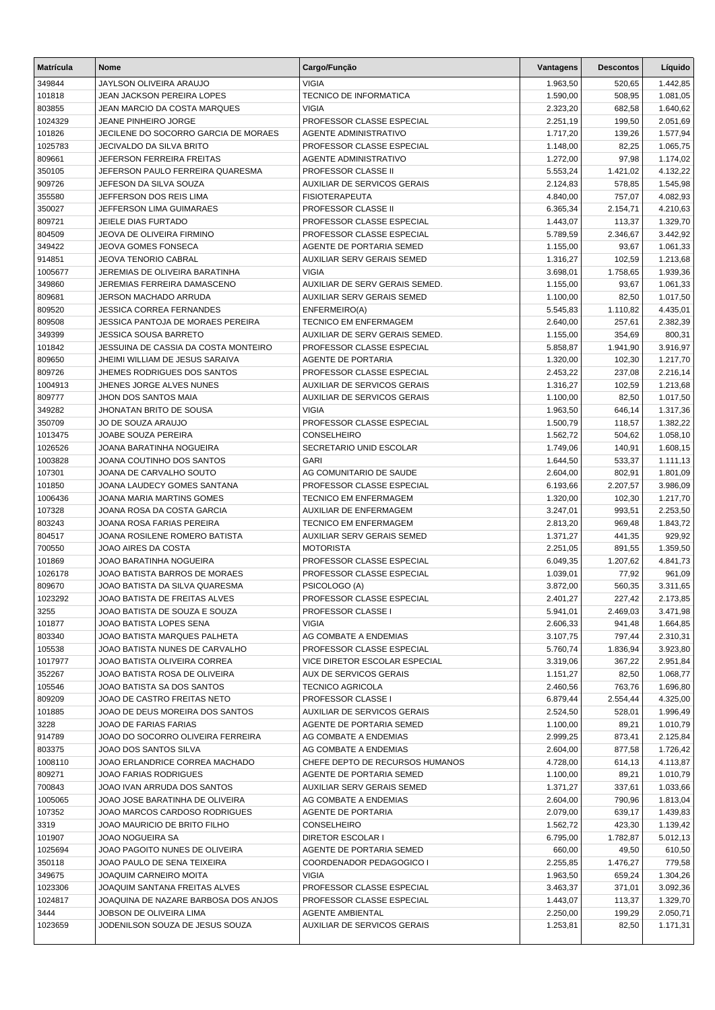| <b>Matrícula</b> | Nome                                                           | Cargo/Função                                           | Vantagens            | <b>Descontos</b>   | Líquido              |
|------------------|----------------------------------------------------------------|--------------------------------------------------------|----------------------|--------------------|----------------------|
| 349844           | JAYLSON OLIVEIRA ARAUJO                                        | <b>VIGIA</b>                                           | 1.963,50             | 520,65             | 1.442,85             |
| 101818           | JEAN JACKSON PEREIRA LOPES                                     | <b>TECNICO DE INFORMATICA</b>                          | 1.590,00             | 508,95             | 1.081,05             |
| 803855           | JEAN MARCIO DA COSTA MARQUES                                   | <b>VIGIA</b>                                           | 2.323,20             | 682,58             | 1.640,62             |
| 1024329          | <b>JEANE PINHEIRO JORGE</b>                                    | PROFESSOR CLASSE ESPECIAL                              | 2.251,19             | 199,50             | 2.051,69             |
| 101826           | JECILENE DO SOCORRO GARCIA DE MORAES                           | <b>AGENTE ADMINISTRATIVO</b>                           | 1.717,20             | 139,26             | 1.577,94             |
| 1025783          | JECIVALDO DA SILVA BRITO                                       | PROFESSOR CLASSE ESPECIAL                              | 1.148,00             | 82,25              | 1.065,75             |
| 809661           | JEFERSON FERREIRA FREITAS                                      | <b>AGENTE ADMINISTRATIVO</b>                           | 1.272,00             | 97,98              | 1.174,02             |
| 350105           | JEFERSON PAULO FERREIRA QUARESMA                               | PROFESSOR CLASSE II                                    | 5.553,24             | 1.421,02           | 4.132,22             |
| 909726           | JEFESON DA SILVA SOUZA                                         | <b>AUXILIAR DE SERVICOS GERAIS</b>                     | 2.124,83             | 578,85             | 1.545,98             |
| 355580           | JEFFERSON DOS REIS LIMA                                        | <b>FISIOTERAPEUTA</b>                                  | 4.840,00             | 757,07             | 4.082,93             |
| 350027           | JEFFERSON LIMA GUIMARAES                                       | <b>PROFESSOR CLASSE II</b>                             | 6.365,34             | 2.154,71           | 4.210,63             |
| 809721<br>804509 | JEIELE DIAS FURTADO<br>JEOVA DE OLIVEIRA FIRMINO               | PROFESSOR CLASSE ESPECIAL<br>PROFESSOR CLASSE ESPECIAL | 1.443,07<br>5.789,59 | 113,37<br>2.346,67 | 1.329,70<br>3.442,92 |
| 349422           | JEOVA GOMES FONSECA                                            | AGENTE DE PORTARIA SEMED                               | 1.155,00             | 93,67              | 1.061,33             |
| 914851           | JEOVA TENORIO CABRAL                                           | AUXILIAR SERV GERAIS SEMED                             | 1.316,27             | 102,59             | 1.213,68             |
| 1005677          | JEREMIAS DE OLIVEIRA BARATINHA                                 | <b>VIGIA</b>                                           | 3.698,01             | 1.758,65           | 1.939,36             |
| 349860           | JEREMIAS FERREIRA DAMASCENO                                    | AUXILIAR DE SERV GERAIS SEMED.                         | 1.155,00             | 93,67              | 1.061,33             |
| 809681           | JERSON MACHADO ARRUDA                                          | AUXILIAR SERV GERAIS SEMED                             | 1.100,00             | 82,50              | 1.017,50             |
| 809520           | <b>JESSICA CORREA FERNANDES</b>                                | ENFERMEIRO(A)                                          | 5.545,83             | 1.110,82           | 4.435,01             |
| 809508           | JESSICA PANTOJA DE MORAES PEREIRA                              | TECNICO EM ENFERMAGEM                                  | 2.640,00             | 257,61             | 2.382,39             |
| 349399           | <b>JESSICA SOUSA BARRETO</b>                                   | AUXILIAR DE SERV GERAIS SEMED.                         | 1.155,00             | 354,69             | 800,31               |
| 101842           | JESSUINA DE CASSIA DA COSTA MONTEIRO                           | PROFESSOR CLASSE ESPECIAL                              | 5.858,87             | 1.941,90           | 3.916,97             |
| 809650           | JHEIMI WILLIAM DE JESUS SARAIVA                                | <b>AGENTE DE PORTARIA</b>                              | 1.320,00             | 102,30             | 1.217,70             |
| 809726           | JHEMES RODRIGUES DOS SANTOS                                    | PROFESSOR CLASSE ESPECIAL                              | 2.453,22             | 237,08             | 2.216,14             |
| 1004913          | JHENES JORGE ALVES NUNES                                       | <b>AUXILIAR DE SERVICOS GERAIS</b>                     | 1.316,27             | 102,59             | 1.213,68             |
| 809777           | JHON DOS SANTOS MAIA                                           | AUXILIAR DE SERVICOS GERAIS                            | 1.100,00             | 82,50              | 1.017,50             |
| 349282           | JHONATAN BRITO DE SOUSA                                        | <b>VIGIA</b>                                           | 1.963,50             | 646,14             | 1.317,36             |
| 350709           | JO DE SOUZA ARAUJO                                             | PROFESSOR CLASSE ESPECIAL                              | 1.500,79             | 118,57             | 1.382,22             |
| 1013475          | JOABE SOUZA PEREIRA                                            | CONSELHEIRO                                            | 1.562,72             | 504,62             | 1.058,10             |
| 1026526          | JOANA BARATINHA NOGUEIRA                                       | SECRETARIO UNID ESCOLAR                                | 1.749,06             | 140,91             | 1.608,15             |
| 1003828          | JOANA COUTINHO DOS SANTOS                                      | <b>GARI</b>                                            | 1.644,50             | 533,37             | 1.111,13             |
| 107301<br>101850 | JOANA DE CARVALHO SOUTO<br>JOANA LAUDECY GOMES SANTANA         | AG COMUNITARIO DE SAUDE<br>PROFESSOR CLASSE ESPECIAL   | 2.604,00             | 802,91<br>2.207,57 | 1.801,09             |
| 1006436          | JOANA MARIA MARTINS GOMES                                      | <b>TECNICO EM ENFERMAGEM</b>                           | 6.193,66<br>1.320,00 | 102,30             | 3.986,09<br>1.217,70 |
| 107328           | JOANA ROSA DA COSTA GARCIA                                     | AUXILIAR DE ENFERMAGEM                                 | 3.247,01             | 993,51             | 2.253,50             |
| 803243           | JOANA ROSA FARIAS PEREIRA                                      | <b>TECNICO EM ENFERMAGEM</b>                           | 2.813,20             | 969,48             | 1.843,72             |
| 804517           | JOANA ROSILENE ROMERO BATISTA                                  | <b>AUXILIAR SERV GERAIS SEMED</b>                      | 1.371,27             | 441,35             | 929,92               |
| 700550           | JOAO AIRES DA COSTA                                            | <b>MOTORISTA</b>                                       | 2.251,05             | 891,55             | 1.359,50             |
| 101869           | JOAO BARATINHA NOGUEIRA                                        | PROFESSOR CLASSE ESPECIAL                              | 6.049,35             | 1.207,62           | 4.841,73             |
| 1026178          | JOAO BATISTA BARROS DE MORAES                                  | PROFESSOR CLASSE ESPECIAL                              | 1.039,01             | 77,92              | 961,09               |
| 809670           | JOAO BATISTA DA SILVA QUARESMA                                 | PSICOLOGO (A)                                          | 3.872,00             | 560,35             | 3.311,65             |
| 1023292          | JOAO BATISTA DE FREITAS ALVES                                  | PROFESSOR CLASSE ESPECIAL                              | 2.401,27             | 227,42             | 2.173,85             |
| 3255             | JOAO BATISTA DE SOUZA E SOUZA                                  | <b>PROFESSOR CLASSE I</b>                              | 5.941,01             | 2.469,03           | 3.471,98             |
| 101877           | JOAO BATISTA LOPES SENA                                        | <b>VIGIA</b>                                           | 2.606,33             | 941,48             | 1.664,85             |
| 803340           | JOAO BATISTA MARQUES PALHETA                                   | AG COMBATE A ENDEMIAS                                  | 3.107,75             | 797,44             | 2.310,31             |
| 105538           | JOAO BATISTA NUNES DE CARVALHO                                 | PROFESSOR CLASSE ESPECIAL                              | 5.760,74             | 1.836,94           | 3.923,80             |
| 1017977          | JOAO BATISTA OLIVEIRA CORREA                                   | VICE DIRETOR ESCOLAR ESPECIAL                          | 3.319,06             | 367,22             | 2.951,84             |
| 352267           | JOAO BATISTA ROSA DE OLIVEIRA                                  | AUX DE SERVICOS GERAIS                                 | 1.151,27             | 82,50              | 1.068,77             |
| 105546           | JOAO BATISTA SA DOS SANTOS                                     | <b>TECNICO AGRICOLA</b>                                | 2.460,56             | 763,76             | 1.696,80             |
| 809209           | JOAO DE CASTRO FREITAS NETO<br>JOAO DE DEUS MOREIRA DOS SANTOS | PROFESSOR CLASSE I<br>AUXILIAR DE SERVICOS GERAIS      | 6.879,44<br>2.524,50 | 2.554,44           | 4.325,00<br>1.996,49 |
| 101885<br>3228   | JOAO DE FARIAS FARIAS                                          | AGENTE DE PORTARIA SEMED                               | 1.100,00             | 528,01<br>89,21    | 1.010,79             |
| 914789           | JOAO DO SOCORRO OLIVEIRA FERREIRA                              | AG COMBATE A ENDEMIAS                                  | 2.999,25             | 873,41             | 2.125,84             |
| 803375           | JOAO DOS SANTOS SILVA                                          | AG COMBATE A ENDEMIAS                                  | 2.604,00             | 877,58             | 1.726,42             |
| 1008110          | JOAO ERLANDRICE CORREA MACHADO                                 | CHEFE DEPTO DE RECURSOS HUMANOS                        | 4.728,00             | 614,13             | 4.113,87             |
| 809271           | <b>JOAO FARIAS RODRIGUES</b>                                   | AGENTE DE PORTARIA SEMED                               | 1.100,00             | 89,21              | 1.010,79             |
| 700843           | JOAO IVAN ARRUDA DOS SANTOS                                    | AUXILIAR SERV GERAIS SEMED                             | 1.371,27             | 337,61             | 1.033,66             |
| 1005065          | JOAO JOSE BARATINHA DE OLIVEIRA                                | AG COMBATE A ENDEMIAS                                  | 2.604,00             | 790,96             | 1.813,04             |
| 107352           | JOAO MARCOS CARDOSO RODRIGUES                                  | AGENTE DE PORTARIA                                     | 2.079,00             | 639,17             | 1.439,83             |
| 3319             | JOAO MAURICIO DE BRITO FILHO                                   | CONSELHEIRO                                            | 1.562,72             | 423,30             | 1.139,42             |
| 101907           | JOAO NOGUEIRA SA                                               | DIRETOR ESCOLAR I                                      | 6.795,00             | 1.782,87           | 5.012,13             |
| 1025694          | JOAO PAGOITO NUNES DE OLIVEIRA                                 | AGENTE DE PORTARIA SEMED                               | 660,00               | 49,50              | 610,50               |
| 350118           | JOAO PAULO DE SENA TEIXEIRA                                    | COORDENADOR PEDAGOGICO I                               | 2.255,85             | 1.476,27           | 779,58               |
| 349675           | <b>JOAQUIM CARNEIRO MOITA</b>                                  | <b>VIGIA</b>                                           | 1.963,50             | 659,24             | 1.304,26             |
| 1023306          | JOAQUIM SANTANA FREITAS ALVES                                  | PROFESSOR CLASSE ESPECIAL                              | 3.463,37             | 371,01             | 3.092,36             |
| 1024817          | JOAQUINA DE NAZARE BARBOSA DOS ANJOS                           | PROFESSOR CLASSE ESPECIAL                              | 1.443,07             | 113,37             | 1.329,70             |
| 3444             | JOBSON DE OLIVEIRA LIMA                                        | AGENTE AMBIENTAL                                       | 2.250,00             | 199,29             | 2.050,71             |
| 1023659          | JODENILSON SOUZA DE JESUS SOUZA                                | <b>AUXILIAR DE SERVICOS GERAIS</b>                     | 1.253,81             | 82,50              | 1.171,31             |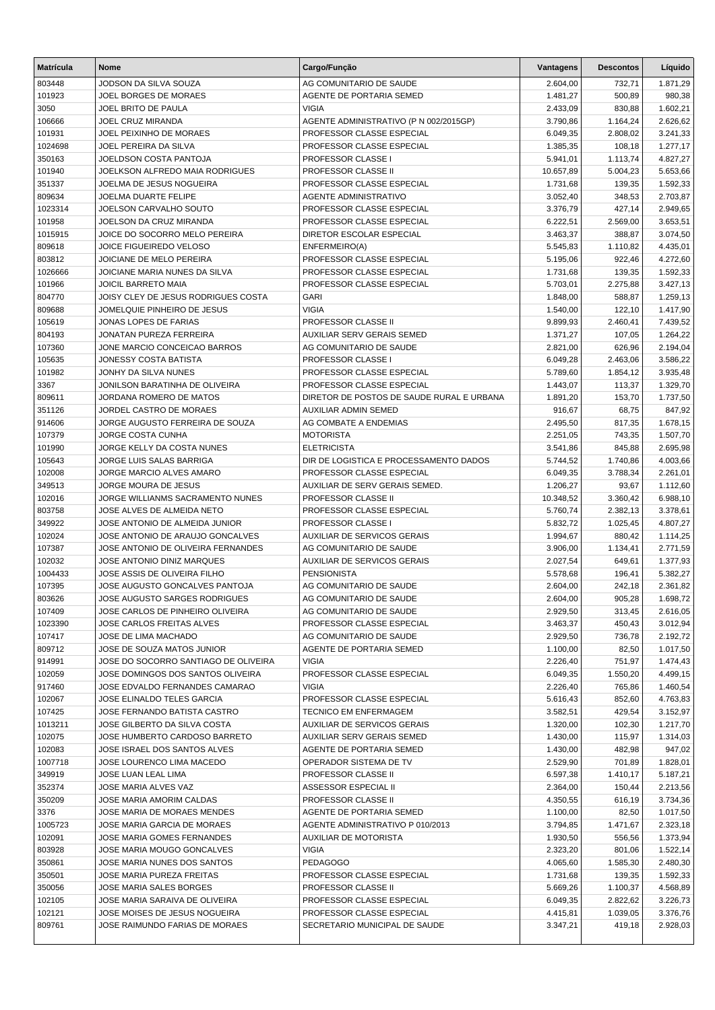| <b>Matrícula</b>  | <b>Nome</b>                                                            | Cargo/Função                                                    | Vantagens            | <b>Descontos</b>   | Líquido              |
|-------------------|------------------------------------------------------------------------|-----------------------------------------------------------------|----------------------|--------------------|----------------------|
| 803448            | JODSON DA SILVA SOUZA                                                  | AG COMUNITARIO DE SAUDE                                         | 2.604,00             | 732,71             | 1.871,29             |
| 101923            | JOEL BORGES DE MORAES                                                  | AGENTE DE PORTARIA SEMED                                        | 1.481,27             | 500,89             | 980,38               |
| 3050              | JOEL BRITO DE PAULA                                                    | <b>VIGIA</b>                                                    | 2.433,09             | 830,88             | 1.602,21             |
| 106666            | JOEL CRUZ MIRANDA                                                      | AGENTE ADMINISTRATIVO (P N 002/2015GP)                          | 3.790,86             | 1.164,24           | 2.626,62             |
| 101931            | JOEL PEIXINHO DE MORAES                                                | PROFESSOR CLASSE ESPECIAL                                       | 6.049,35             | 2.808,02           | 3.241,33             |
| 1024698           | JOEL PEREIRA DA SILVA                                                  | PROFESSOR CLASSE ESPECIAL                                       | 1.385,35             | 108,18             | 1.277,17             |
| 350163            | JOELDSON COSTA PANTOJA                                                 | PROFESSOR CLASSE I                                              | 5.941,01             | 1.113,74           | 4.827,27             |
| 101940            | JOELKSON ALFREDO MAIA RODRIGUES                                        | PROFESSOR CLASSE II                                             | 10.657,89            | 5.004,23           | 5.653,66             |
| 351337            | JOELMA DE JESUS NOGUEIRA                                               | PROFESSOR CLASSE ESPECIAL                                       | 1.731,68             | 139,35             | 1.592,33             |
| 809634            | <b>JOELMA DUARTE FELIPE</b>                                            | <b>AGENTE ADMINISTRATIVO</b>                                    | 3.052,40             | 348,53             | 2.703,87             |
| 1023314           | JOELSON CARVALHO SOUTO                                                 | PROFESSOR CLASSE ESPECIAL                                       | 3.376,79             | 427,14             | 2.949,65             |
| 101958            | JOELSON DA CRUZ MIRANDA                                                | PROFESSOR CLASSE ESPECIAL                                       | 6.222,51             | 2.569,00           | 3.653,51             |
| 1015915<br>809618 | JOICE DO SOCORRO MELO PEREIRA<br><b>JOICE FIGUEIREDO VELOSO</b>        | DIRETOR ESCOLAR ESPECIAL                                        | 3.463,37<br>5.545,83 | 388,87<br>1.110,82 | 3.074,50<br>4.435,01 |
| 803812            | JOICIANE DE MELO PEREIRA                                               | ENFERMEIRO(A)<br>PROFESSOR CLASSE ESPECIAL                      | 5.195,06             | 922,46             | 4.272,60             |
| 1026666           | JOICIANE MARIA NUNES DA SILVA                                          | PROFESSOR CLASSE ESPECIAL                                       | 1.731,68             | 139,35             | 1.592,33             |
| 101966            | <b>JOICIL BARRETO MAIA</b>                                             | PROFESSOR CLASSE ESPECIAL                                       | 5.703,01             | 2.275,88           | 3.427,13             |
| 804770            | JOISY CLEY DE JESUS RODRIGUES COSTA                                    | <b>GARI</b>                                                     | 1.848,00             | 588,87             | 1.259,13             |
| 809688            | JOMELQUIE PINHEIRO DE JESUS                                            | <b>VIGIA</b>                                                    | 1.540,00             | 122,10             | 1.417,90             |
| 105619            | JONAS LOPES DE FARIAS                                                  | PROFESSOR CLASSE II                                             | 9.899,93             | 2.460,41           | 7.439,52             |
| 804193            | JONATAN PUREZA FERREIRA                                                | <b>AUXILIAR SERV GERAIS SEMED</b>                               | 1.371,27             | 107,05             | 1.264,22             |
| 107360            | JONE MARCIO CONCEICAO BARROS                                           | AG COMUNITARIO DE SAUDE                                         | 2.821,00             | 626,96             | 2.194,04             |
| 105635            | <b>JONESSY COSTA BATISTA</b>                                           | PROFESSOR CLASSE I                                              | 6.049,28             | 2.463,06           | 3.586,22             |
| 101982            | JONHY DA SILVA NUNES                                                   | PROFESSOR CLASSE ESPECIAL                                       | 5.789,60             | 1.854,12           | 3.935,48             |
| 3367              | JONILSON BARATINHA DE OLIVEIRA                                         | PROFESSOR CLASSE ESPECIAL                                       | 1.443,07             | 113,37             | 1.329,70             |
| 809611            | JORDANA ROMERO DE MATOS                                                | DIRETOR DE POSTOS DE SAUDE RURAL E URBANA                       | 1.891,20             | 153,70             | 1.737,50             |
| 351126            | JORDEL CASTRO DE MORAES                                                | AUXILIAR ADMIN SEMED                                            | 916,67               | 68,75              | 847,92               |
| 914606            | JORGE AUGUSTO FERREIRA DE SOUZA                                        | AG COMBATE A ENDEMIAS                                           | 2.495,50             | 817,35             | 1.678,15             |
| 107379            | <b>JORGE COSTA CUNHA</b>                                               | <b>MOTORISTA</b>                                                | 2.251,05             | 743,35             | 1.507,70             |
| 101990            | JORGE KELLY DA COSTA NUNES                                             | <b>ELETRICISTA</b>                                              | 3.541,86             | 845,88             | 2.695,98             |
| 105643            | JORGE LUIS SALAS BARRIGA                                               | DIR DE LOGISTICA E PROCESSAMENTO DADOS                          | 5.744,52             | 1.740,86           | 4.003,66             |
| 102008            | JORGE MARCIO ALVES AMARO                                               | PROFESSOR CLASSE ESPECIAL                                       | 6.049,35             | 3.788,34           | 2.261,01             |
| 349513            | JORGE MOURA DE JESUS                                                   | AUXILIAR DE SERV GERAIS SEMED.                                  | 1.206,27             | 93,67              | 1.112,60             |
| 102016            | JORGE WILLIANMS SACRAMENTO NUNES                                       | PROFESSOR CLASSE II                                             | 10.348,52            | 3.360,42           | 6.988,10             |
| 803758            | JOSE ALVES DE ALMEIDA NETO                                             | PROFESSOR CLASSE ESPECIAL                                       | 5.760,74             | 2.382,13           | 3.378,61             |
| 349922            | JOSE ANTONIO DE ALMEIDA JUNIOR                                         | <b>PROFESSOR CLASSE I</b><br><b>AUXILIAR DE SERVICOS GERAIS</b> | 5.832,72             | 1.025,45           | 4.807,27             |
| 102024<br>107387  | JOSE ANTONIO DE ARAUJO GONCALVES<br>JOSE ANTONIO DE OLIVEIRA FERNANDES | AG COMUNITARIO DE SAUDE                                         | 1.994,67<br>3.906,00 | 880,42<br>1.134,41 | 1.114,25             |
| 102032            | JOSE ANTONIO DINIZ MARQUES                                             | <b>AUXILIAR DE SERVICOS GERAIS</b>                              | 2.027,54             | 649,61             | 2.771,59<br>1.377,93 |
| 1004433           | JOSE ASSIS DE OLIVEIRA FILHO                                           | <b>PENSIONISTA</b>                                              | 5.578,68             | 196,41             | 5.382,27             |
| 107395            | JOSE AUGUSTO GONCALVES PANTOJA                                         | AG COMUNITARIO DE SAUDE                                         | 2.604,00             | 242,18             | 2.361,82             |
| 803626            | <b>JOSE AUGUSTO SARGES RODRIGUES</b>                                   | AG COMUNITARIO DE SAUDE                                         | 2.604,00             | 905,28             | 1.698,72             |
| 107409            | JOSE CARLOS DE PINHEIRO OLIVEIRA                                       | AG COMUNITARIO DE SAUDE                                         | 2.929,50             | 313,45             | 2.616,05             |
| 1023390           | JOSE CARLOS FREITAS ALVES                                              | PROFESSOR CLASSE ESPECIAL                                       | 3.463,37             | 450,43             | 3.012,94             |
| 107417            | JOSE DE LIMA MACHADO                                                   | AG COMUNITARIO DE SAUDE                                         | 2.929,50             | 736,78             | 2.192,72             |
| 809712            | JOSE DE SOUZA MATOS JUNIOR                                             | AGENTE DE PORTARIA SEMED                                        | 1.100,00             | 82,50              | 1.017,50             |
| 914991            | JOSE DO SOCORRO SANTIAGO DE OLIVEIRA                                   | <b>VIGIA</b>                                                    | 2.226,40             | 751,97             | 1.474,43             |
| 102059            | JOSE DOMINGOS DOS SANTOS OLIVEIRA                                      | PROFESSOR CLASSE ESPECIAL                                       | 6.049,35             | 1.550,20           | 4.499,15             |
| 917460            | JOSE EDVALDO FERNANDES CAMARAO                                         | <b>VIGIA</b>                                                    | 2.226,40             | 765,86             | 1.460,54             |
| 102067            | JOSE ELINALDO TELES GARCIA                                             | PROFESSOR CLASSE ESPECIAL                                       | 5.616,43             | 852,60             | 4.763,83             |
| 107425            | JOSE FERNANDO BATISTA CASTRO                                           | <b>TECNICO EM ENFERMAGEM</b>                                    | 3.582,51             | 429,54             | 3.152,97             |
| 1013211           | JOSE GILBERTO DA SILVA COSTA                                           | AUXILIAR DE SERVICOS GERAIS                                     | 1.320,00             | 102,30             | 1.217,70             |
| 102075            | JOSE HUMBERTO CARDOSO BARRETO                                          | AUXILIAR SERV GERAIS SEMED                                      | 1.430,00             | 115,97             | 1.314,03             |
| 102083            | JOSE ISRAEL DOS SANTOS ALVES                                           | AGENTE DE PORTARIA SEMED                                        | 1.430,00             | 482,98             | 947,02               |
| 1007718           | JOSE LOURENCO LIMA MACEDO                                              | OPERADOR SISTEMA DE TV                                          | 2.529,90             | 701,89             | 1.828,01             |
| 349919            | JOSE LUAN LEAL LIMA                                                    | <b>PROFESSOR CLASSE II</b>                                      | 6.597,38             | 1.410,17           | 5.187,21             |
| 352374            | JOSE MARIA ALVES VAZ                                                   | ASSESSOR ESPECIAL II                                            | 2.364,00             | 150,44             | 2.213,56             |
| 350209            | JOSE MARIA AMORIM CALDAS                                               | PROFESSOR CLASSE II                                             | 4.350,55             | 616,19             | 3.734,36             |
| 3376              | JOSE MARIA DE MORAES MENDES                                            | AGENTE DE PORTARIA SEMED                                        | 1.100,00             | 82,50              | 1.017,50             |
| 1005723           | JOSE MARIA GARCIA DE MORAES                                            | AGENTE ADMINISTRATIVO P 010/2013                                | 3.794,85             | 1.471,67           | 2.323,18             |
| 102091            | JOSE MARIA GOMES FERNANDES                                             | AUXILIAR DE MOTORISTA                                           | 1.930,50             | 556,56             | 1.373,94             |
| 803928<br>350861  | JOSE MARIA MOUGO GONCALVES<br>JOSE MARIA NUNES DOS SANTOS              | <b>VIGIA</b><br><b>PEDAGOGO</b>                                 | 2.323,20<br>4.065,60 | 801,06<br>1.585,30 | 1.522,14<br>2.480,30 |
| 350501            | JOSE MARIA PUREZA FREITAS                                              | PROFESSOR CLASSE ESPECIAL                                       | 1.731,68             | 139,35             | 1.592,33             |
| 350056            | JOSE MARIA SALES BORGES                                                | PROFESSOR CLASSE II                                             | 5.669,26             | 1.100,37           | 4.568,89             |
| 102105            | JOSE MARIA SARAIVA DE OLIVEIRA                                         | PROFESSOR CLASSE ESPECIAL                                       | 6.049,35             | 2.822,62           | 3.226,73             |
| 102121            | JOSE MOISES DE JESUS NOGUEIRA                                          | PROFESSOR CLASSE ESPECIAL                                       | 4.415,81             | 1.039,05           | 3.376,76             |
| 809761            | JOSE RAIMUNDO FARIAS DE MORAES                                         | SECRETARIO MUNICIPAL DE SAUDE                                   | 3.347,21             | 419,18             | 2.928,03             |
|                   |                                                                        |                                                                 |                      |                    |                      |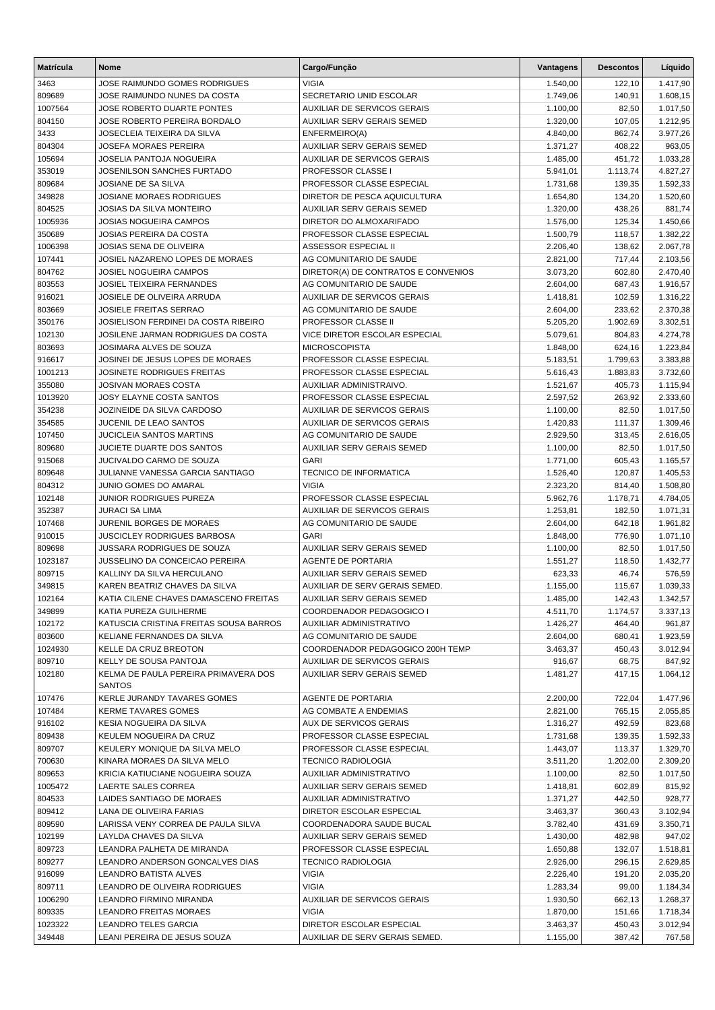| <b>Matrícula</b>  | <b>Nome</b>                                                         | Cargo/Função                                           | Vantagens            | <b>Descontos</b> | Líquido              |
|-------------------|---------------------------------------------------------------------|--------------------------------------------------------|----------------------|------------------|----------------------|
| 3463              | JOSE RAIMUNDO GOMES RODRIGUES                                       | <b>VIGIA</b>                                           | 1.540,00             | 122,10           | 1.417,90             |
| 809689            | JOSE RAIMUNDO NUNES DA COSTA                                        | SECRETARIO UNID ESCOLAR                                | 1.749,06             | 140,91           | 1.608,15             |
| 1007564           | JOSE ROBERTO DUARTE PONTES                                          | <b>AUXILIAR DE SERVICOS GERAIS</b>                     | 1.100,00             | 82,50            | 1.017,50             |
| 804150            | JOSE ROBERTO PEREIRA BORDALO                                        | AUXILIAR SERV GERAIS SEMED                             | 1.320,00             | 107,05           | 1.212,95             |
| 3433              | JOSECLEIA TEIXEIRA DA SILVA                                         | ENFERMEIRO(A)                                          | 4.840,00             | 862,74           | 3.977,26             |
| 804304            | <b>JOSEFA MORAES PEREIRA</b>                                        | AUXILIAR SERV GERAIS SEMED                             | 1.371,27             | 408,22           | 963,05               |
| 105694            | JOSELIA PANTOJA NOGUEIRA                                            | <b>AUXILIAR DE SERVICOS GERAIS</b>                     | 1.485,00             | 451,72           | 1.033,28             |
| 353019            | JOSENILSON SANCHES FURTADO                                          | PROFESSOR CLASSE I                                     | 5.941,01             | 1.113,74         | 4.827,27             |
| 809684            | JOSIANE DE SA SILVA                                                 | PROFESSOR CLASSE ESPECIAL                              | 1.731,68             | 139,35           | 1.592,33             |
| 349828            | <b>JOSIANE MORAES RODRIGUES</b>                                     | DIRETOR DE PESCA AQUICULTURA                           | 1.654,80             | 134,20           | 1.520,60             |
| 804525            | <b>JOSIAS DA SILVA MONTEIRO</b>                                     | AUXILIAR SERV GERAIS SEMED                             | 1.320,00             | 438,26           | 881,74               |
| 1005936           | <b>JOSIAS NOGUEIRA CAMPOS</b>                                       | DIRETOR DO ALMOXARIFADO                                | 1.576,00             | 125,34           | 1.450,66             |
| 350689            | <b>JOSIAS PEREIRA DA COSTA</b>                                      | PROFESSOR CLASSE ESPECIAL                              | 1.500,79             | 118,57           | 1.382,22             |
| 1006398           | JOSIAS SENA DE OLIVEIRA                                             | ASSESSOR ESPECIAL II                                   | 2.206,40             | 138,62           | 2.067,78             |
| 107441            | JOSIEL NAZARENO LOPES DE MORAES                                     | AG COMUNITARIO DE SAUDE                                | 2.821,00             | 717,44           | 2.103,56             |
| 804762            | <b>JOSIEL NOGUEIRA CAMPOS</b>                                       | DIRETOR(A) DE CONTRATOS E CONVENIOS                    | 3.073,20             | 602,80           | 2.470,40             |
| 803553            | <b>JOSIEL TEIXEIRA FERNANDES</b>                                    | AG COMUNITARIO DE SAUDE                                | 2.604,00             | 687,43           | 1.916,57             |
| 916021            | JOSIELE DE OLIVEIRA ARRUDA                                          | AUXILIAR DE SERVICOS GERAIS                            | 1.418,81             | 102,59           | 1.316,22             |
| 803669            | <b>JOSIELE FREITAS SERRAO</b>                                       | AG COMUNITARIO DE SAUDE                                | 2.604,00             | 233,62           | 2.370,38             |
| 350176            | JOSIELISON FERDINEI DA COSTA RIBEIRO                                | PROFESSOR CLASSE II                                    | 5.205,20             | 1.902,69         | 3.302,51             |
| 102130            | JOSILENE JARMAN RODRIGUES DA COSTA                                  | VICE DIRETOR ESCOLAR ESPECIAL                          | 5.079,61             | 804,83           | 4.274,78             |
| 803693            | JOSIMARA ALVES DE SOUZA                                             | <b>MICROSCOPISTA</b>                                   | 1.848,00             | 624,16           | 1.223,84             |
| 916617            | JOSINEI DE JESUS LOPES DE MORAES                                    | PROFESSOR CLASSE ESPECIAL                              | 5.183,51             | 1.799,63         | 3.383,88             |
| 1001213           | <b>JOSINETE RODRIGUES FREITAS</b>                                   | PROFESSOR CLASSE ESPECIAL                              | 5.616,43             | 1.883,83         | 3.732,60             |
| 355080            | <b>JOSIVAN MORAES COSTA</b>                                         | AUXILIAR ADMINISTRAIVO.                                | 1.521,67             | 405,73           | 1.115,94             |
| 1013920           | JOSY ELAYNE COSTA SANTOS                                            | PROFESSOR CLASSE ESPECIAL                              | 2.597,52             | 263,92           | 2.333,60             |
| 354238            | JOZINEIDE DA SILVA CARDOSO                                          | <b>AUXILIAR DE SERVICOS GERAIS</b>                     | 1.100,00             | 82,50            | 1.017,50             |
| 354585            | JUCENIL DE LEAO SANTOS                                              | AUXILIAR DE SERVICOS GERAIS                            | 1.420,83             | 111,37           | 1.309,46             |
| 107450            | <b>JUCICLEIA SANTOS MARTINS</b>                                     | AG COMUNITARIO DE SAUDE                                | 2.929,50             | 313,45           | 2.616,05             |
| 809680            | <b>JUCIETE DUARTE DOS SANTOS</b>                                    | AUXILIAR SERV GERAIS SEMED                             | 1.100,00             | 82,50            | 1.017,50             |
| 915068            | JUCIVALDO CARMO DE SOUZA                                            | <b>GARI</b>                                            | 1.771,00             | 605,43           | 1.165,57             |
| 809648            | JULIANNE VANESSA GARCIA SANTIAGO                                    | <b>TECNICO DE INFORMATICA</b>                          | 1.526,40             | 120,87           | 1.405,53             |
| 804312            | JUNIO GOMES DO AMARAL                                               | <b>VIGIA</b>                                           | 2.323,20             | 814,40           | 1.508,80             |
| 102148            | JUNIOR RODRIGUES PUREZA                                             | PROFESSOR CLASSE ESPECIAL                              | 5.962,76             | 1.178,71         | 4.784,05             |
| 352387            | <b>JURACI SA LIMA</b>                                               | AUXILIAR DE SERVICOS GERAIS                            | 1.253,81             | 182,50           | 1.071,31             |
| 107468            | JURENIL BORGES DE MORAES<br><b>JUSCICLEY RODRIGUES BARBOSA</b>      | AG COMUNITARIO DE SAUDE                                | 2.604,00             | 642,18           | 1.961,82             |
| 910015            |                                                                     | <b>GARI</b>                                            | 1.848,00             | 776,90           | 1.071,10<br>1.017,50 |
| 809698            | JUSSARA RODRIGUES DE SOUZA<br><b>JUSSELINO DA CONCEICAO PEREIRA</b> | AUXILIAR SERV GERAIS SEMED<br>AGENTE DE PORTARIA       | 1.100,00             | 82,50            | 1.432,77             |
| 1023187<br>809715 | KALLINY DA SILVA HERCULANO                                          | <b>AUXILIAR SERV GERAIS SEMED</b>                      | 1.551,27<br>623,33   | 118,50<br>46,74  | 576,59               |
| 349815            | KAREN BEATRIZ CHAVES DA SILVA                                       | AUXILIAR DE SERV GERAIS SEMED.                         | 1.155,00             | 115,67           | 1.039,33             |
|                   |                                                                     |                                                        |                      | 142,43           | 1.342,57             |
| 102164<br>349899  | KATIA CILENE CHAVES DAMASCENO FREITAS<br>KATIA PUREZA GUILHERME     | AUXILIAR SERV GERAIS SEMED<br>COORDENADOR PEDAGOGICO I | 1.485,00<br>4.511,70 | 1.174,57         | 3.337,13             |
| 102172            | KATUSCIA CRISTINA FREITAS SOUSA BARROS                              | AUXILIAR ADMINISTRATIVO                                | 1.426,27             | 464,40           | 961,87               |
| 803600            | KELIANE FERNANDES DA SILVA                                          | AG COMUNITARIO DE SAUDE                                | 2.604,00             | 680,41           | 1.923,59             |
| 1024930           | KELLE DA CRUZ BREOTON                                               | COORDENADOR PEDAGOGICO 200H TEMP                       | 3.463,37             | 450,43           | 3.012,94             |
| 809710            | KELLY DE SOUSA PANTOJA                                              | <b>AUXILIAR DE SERVICOS GERAIS</b>                     | 916,67               | 68,75            | 847,92               |
| 102180            | KELMA DE PAULA PEREIRA PRIMAVERA DOS                                | AUXILIAR SERV GERAIS SEMED                             | 1.481,27             | 417,15           | 1.064,12             |
|                   | <b>SANTOS</b>                                                       |                                                        |                      |                  |                      |
| 107476            | <b>KERLE JURANDY TAVARES GOMES</b>                                  | AGENTE DE PORTARIA                                     | 2.200,00             | 722,04           | 1.477,96             |
| 107484            | <b>KERME TAVARES GOMES</b>                                          | AG COMBATE A ENDEMIAS                                  | 2.821,00             | 765,15           | 2.055,85             |
| 916102            | KESIA NOGUEIRA DA SILVA                                             | AUX DE SERVICOS GERAIS                                 | 1.316,27             | 492,59           | 823,68               |
| 809438            | KEULEM NOGUEIRA DA CRUZ                                             | PROFESSOR CLASSE ESPECIAL                              | 1.731,68             | 139,35           | 1.592,33             |
| 809707            | KEULERY MONIQUE DA SILVA MELO                                       | PROFESSOR CLASSE ESPECIAL                              | 1.443,07             | 113,37           | 1.329,70             |
| 700630            | KINARA MORAES DA SILVA MELO                                         | <b>TECNICO RADIOLOGIA</b>                              | 3.511,20             | 1.202,00         | 2.309,20             |
| 809653            | KRICIA KATIUCIANE NOGUEIRA SOUZA                                    | AUXILIAR ADMINISTRATIVO                                | 1.100,00             | 82,50            | 1.017,50             |
| 1005472           | LAERTE SALES CORREA                                                 | AUXILIAR SERV GERAIS SEMED                             | 1.418,81             | 602,89           | 815,92               |
| 804533            | LAIDES SANTIAGO DE MORAES                                           | AUXILIAR ADMINISTRATIVO                                | 1.371,27             | 442,50           | 928,77               |
| 809412            | LANA DE OLIVEIRA FARIAS                                             | DIRETOR ESCOLAR ESPECIAL                               | 3.463,37             | 360,43           | 3.102,94             |
| 809590            | LARISSA VENY CORREA DE PAULA SILVA                                  | COORDENADORA SAUDE BUCAL                               | 3.782,40             | 431,69           | 3.350,71             |
| 102199            | LAYLDA CHAVES DA SILVA                                              | AUXILIAR SERV GERAIS SEMED                             | 1.430,00             | 482,98           | 947,02               |
| 809723            | LEANDRA PALHETA DE MIRANDA                                          | PROFESSOR CLASSE ESPECIAL                              | 1.650,88             | 132,07           | 1.518,81             |
| 809277            | LEANDRO ANDERSON GONCALVES DIAS                                     | <b>TECNICO RADIOLOGIA</b>                              | 2.926,00             | 296,15           | 2.629,85             |
| 916099            | LEANDRO BATISTA ALVES                                               | <b>VIGIA</b>                                           | 2.226,40             | 191,20           | 2.035,20             |
| 809711            | LEANDRO DE OLIVEIRA RODRIGUES                                       | <b>VIGIA</b>                                           | 1.283,34             | 99,00            | 1.184,34             |
| 1006290           | LEANDRO FIRMINO MIRANDA                                             | AUXILIAR DE SERVICOS GERAIS                            | 1.930,50             | 662,13           | 1.268,37             |
| 809335            | <b>LEANDRO FREITAS MORAES</b>                                       | <b>VIGIA</b>                                           | 1.870,00             | 151,66           | 1.718,34             |
| 1023322           | LEANDRO TELES GARCIA                                                | DIRETOR ESCOLAR ESPECIAL                               | 3.463,37             | 450,43           | 3.012,94             |
| 349448            | LEANI PEREIRA DE JESUS SOUZA                                        | AUXILIAR DE SERV GERAIS SEMED.                         | 1.155,00             | 387,42           | 767,58               |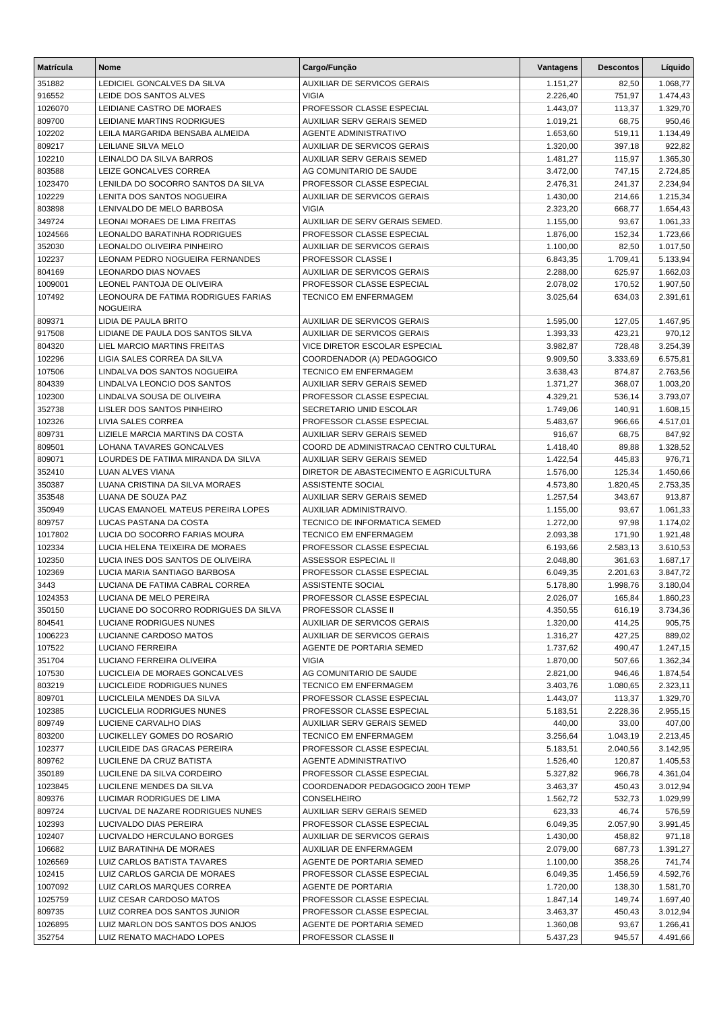| <b>Matrícula</b>  | Nome                                                    | Cargo/Função                                                                | Vantagens            | <b>Descontos</b> | Líquido              |
|-------------------|---------------------------------------------------------|-----------------------------------------------------------------------------|----------------------|------------------|----------------------|
| 351882            | LEDICIEL GONCALVES DA SILVA                             | AUXILIAR DE SERVICOS GERAIS                                                 | 1.151,27             | 82,50            | 1.068,77             |
| 916552            | LEIDE DOS SANTOS ALVES                                  | <b>VIGIA</b>                                                                | 2.226,40             | 751,97           | 1.474,43             |
| 1026070           | LEIDIANE CASTRO DE MORAES                               | PROFESSOR CLASSE ESPECIAL                                                   | 1.443,07             | 113,37           | 1.329,70             |
| 809700            | LEIDIANE MARTINS RODRIGUES                              | <b>AUXILIAR SERV GERAIS SEMED</b>                                           | 1.019,21             | 68,75            | 950,46               |
| 102202            | LEILA MARGARIDA BENSABA ALMEIDA                         | <b>AGENTE ADMINISTRATIVO</b>                                                | 1.653,60             | 519,11           | 1.134,49             |
| 809217            | LEILIANE SILVA MELO                                     | <b>AUXILIAR DE SERVICOS GERAIS</b>                                          | 1.320,00             | 397,18           | 922,82               |
| 102210            | LEINALDO DA SILVA BARROS                                | AUXILIAR SERV GERAIS SEMED                                                  | 1.481,27             | 115,97           | 1.365,30             |
| 803588            | LEIZE GONCALVES CORREA                                  | AG COMUNITARIO DE SAUDE                                                     | 3.472,00             | 747,15           | 2.724,85             |
| 1023470           | LENILDA DO SOCORRO SANTOS DA SILVA                      | PROFESSOR CLASSE ESPECIAL                                                   | 2.476,31             | 241,37           | 2.234,94             |
| 102229            | LENITA DOS SANTOS NOGUEIRA                              | AUXILIAR DE SERVICOS GERAIS                                                 | 1.430,00             | 214,66           | 1.215,34             |
| 803898            | LENIVALDO DE MELO BARBOSA                               | <b>VIGIA</b>                                                                | 2.323,20             | 668,77           | 1.654,43             |
| 349724            | LEONAI MORAES DE LIMA FREITAS                           | AUXILIAR DE SERV GERAIS SEMED.                                              | 1.155,00             | 93,67            | 1.061,33             |
| 1024566           | LEONALDO BARATINHA RODRIGUES                            | PROFESSOR CLASSE ESPECIAL                                                   | 1.876,00             | 152,34           | 1.723,66             |
| 352030            | LEONALDO OLIVEIRA PINHEIRO                              | AUXILIAR DE SERVICOS GERAIS                                                 | 1.100,00             | 82,50            | 1.017,50             |
| 102237            | LEONAM PEDRO NOGUEIRA FERNANDES<br>LEONARDO DIAS NOVAES | PROFESSOR CLASSE I                                                          | 6.843,35             | 1.709,41         | 5.133,94             |
| 804169<br>1009001 | LEONEL PANTOJA DE OLIVEIRA                              | AUXILIAR DE SERVICOS GERAIS<br>PROFESSOR CLASSE ESPECIAL                    | 2.288,00<br>2.078,02 | 625,97<br>170,52 | 1.662,03<br>1.907,50 |
| 107492            | LEONOURA DE FATIMA RODRIGUES FARIAS                     | TECNICO EM ENFERMAGEM                                                       | 3.025,64             | 634,03           | 2.391,61             |
|                   | <b>NOGUEIRA</b>                                         |                                                                             |                      |                  |                      |
| 809371            | LIDIA DE PAULA BRITO                                    | <b>AUXILIAR DE SERVICOS GERAIS</b>                                          | 1.595,00             | 127,05           | 1.467,95             |
| 917508            | LIDIANE DE PAULA DOS SANTOS SILVA                       | <b>AUXILIAR DE SERVICOS GERAIS</b>                                          | 1.393,33             | 423,21           | 970,12               |
| 804320            | LIEL MARCIO MARTINS FREITAS                             | <b>VICE DIRETOR ESCOLAR ESPECIAL</b>                                        | 3.982,87             | 728,48           | 3.254,39             |
| 102296            | LIGIA SALES CORREA DA SILVA                             | COORDENADOR (A) PEDAGOGICO                                                  | 9.909,50             | 3.333,69         | 6.575,81             |
| 107506            | LINDALVA DOS SANTOS NOGUEIRA                            | <b>TECNICO EM ENFERMAGEM</b>                                                | 3.638,43             | 874,87           | 2.763,56             |
| 804339            | LINDALVA LEONCIO DOS SANTOS                             | AUXILIAR SERV GERAIS SEMED                                                  | 1.371,27             | 368,07           | 1.003,20             |
| 102300            | LINDALVA SOUSA DE OLIVEIRA                              | PROFESSOR CLASSE ESPECIAL                                                   | 4.329,21             | 536,14           | 3.793,07             |
| 352738            | LISLER DOS SANTOS PINHEIRO                              | SECRETARIO UNID ESCOLAR                                                     | 1.749,06             | 140,91           | 1.608,15             |
| 102326            | LIVIA SALES CORREA                                      | PROFESSOR CLASSE ESPECIAL                                                   | 5.483,67             | 966,66           | 4.517,01             |
| 809731            | LIZIELE MARCIA MARTINS DA COSTA                         | <b>AUXILIAR SERV GERAIS SEMED</b>                                           | 916,67               | 68,75            | 847,92               |
| 809501            | LOHANA TAVARES GONCALVES                                | COORD DE ADMINISTRACAO CENTRO CULTURAL<br><b>AUXILIAR SERV GERAIS SEMED</b> | 1.418,40             | 89,88            | 1.328,52             |
| 809071<br>352410  | LOURDES DE FATIMA MIRANDA DA SILVA<br>LUAN ALVES VIANA  | DIRETOR DE ABASTECIMENTO E AGRICULTURA                                      | 1.422,54<br>1.576,00 | 445,83<br>125,34 | 976,71<br>1.450,66   |
| 350387            | LUANA CRISTINA DA SILVA MORAES                          | ASSISTENTE SOCIAL                                                           | 4.573,80             | 1.820,45         | 2.753,35             |
| 353548            | LUANA DE SOUZA PAZ                                      | <b>AUXILIAR SERV GERAIS SEMED</b>                                           | 1.257,54             | 343,67           | 913,87               |
| 350949            | LUCAS EMANOEL MATEUS PEREIRA LOPES                      | AUXILIAR ADMINISTRAIVO.                                                     | 1.155,00             | 93,67            | 1.061,33             |
| 809757            | LUCAS PASTANA DA COSTA                                  | <b>TECNICO DE INFORMATICA SEMED</b>                                         | 1.272,00             | 97,98            | 1.174,02             |
| 1017802           | LUCIA DO SOCORRO FARIAS MOURA                           | <b>TECNICO EM ENFERMAGEM</b>                                                | 2.093,38             | 171,90           | 1.921,48             |
| 102334            | LUCIA HELENA TEIXEIRA DE MORAES                         | PROFESSOR CLASSE ESPECIAL                                                   | 6.193,66             | 2.583,13         | 3.610,53             |
| 102350            | LUCIA INES DOS SANTOS DE OLIVEIRA                       | <b>ASSESSOR ESPECIAL II</b>                                                 | 2.048,80             | 361,63           | 1.687,17             |
| 102369            | LUCIA MARIA SANTIAGO BARBOSA                            | PROFESSOR CLASSE ESPECIAL                                                   | 6.049,35             | 2.201,63         | 3.847,72             |
| 3443              | LUCIANA DE FATIMA CABRAL CORREA                         | ASSISTENTE SOCIAL                                                           | 5.178,80             | 1.998,76         | 3.180,04             |
| 1024353           | LUCIANA DE MELO PEREIRA                                 | PROFESSOR CLASSE ESPECIAL                                                   | 2.026,07             | 165,84           | 1.860,23             |
| 350150            | LUCIANE DO SOCORRO RODRIGUES DA SILVA                   | <b>PROFESSOR CLASSE II</b>                                                  | 4.350,55             | 616,19           | 3.734,36             |
| 804541            | <b>LUCIANE RODRIGUES NUNES</b>                          | AUXILIAR DE SERVICOS GERAIS                                                 | 1.320,00             | 414,25           | 905,75               |
| 1006223           | LUCIANNE CARDOSO MATOS                                  | AUXILIAR DE SERVICOS GERAIS                                                 | 1.316,27             | 427,25           | 889,02               |
| 107522            | LUCIANO FERREIRA                                        | AGENTE DE PORTARIA SEMED                                                    | 1.737,62             | 490,47           | 1.247,15             |
| 351704            | LUCIANO FERREIRA OLIVEIRA                               | <b>VIGIA</b>                                                                | 1.870,00             | 507,66           | 1.362,34             |
| 107530            | LUCICLEIA DE MORAES GONCALVES                           | AG COMUNITARIO DE SAUDE                                                     | 2.821,00             | 946,46           | 1.874,54             |
| 803219            | LUCICLEIDE RODRIGUES NUNES                              | TECNICO EM ENFERMAGEM                                                       | 3.403,76             | 1.080,65         | 2.323,11             |
| 809701            | LUCICLEILA MENDES DA SILVA                              | PROFESSOR CLASSE ESPECIAL                                                   | 1.443,07             | 113,37           | 1.329,70             |
| 102385            | LUCICLELIA RODRIGUES NUNES                              | PROFESSOR CLASSE ESPECIAL                                                   | 5.183,51             | 2.228,36         | 2.955,15             |
| 809749            | LUCIENE CARVALHO DIAS                                   | AUXILIAR SERV GERAIS SEMED                                                  | 440,00               | 33,00            | 407,00               |
| 803200            | LUCIKELLEY GOMES DO ROSARIO                             | TECNICO EM ENFERMAGEM                                                       | 3.256,64             | 1.043,19         | 2.213,45             |
| 102377            | LUCILEIDE DAS GRACAS PEREIRA                            | PROFESSOR CLASSE ESPECIAL                                                   | 5.183,51             | 2.040,56         | 3.142,95             |
| 809762            | LUCILENE DA CRUZ BATISTA                                | <b>AGENTE ADMINISTRATIVO</b>                                                | 1.526,40             | 120,87           | 1.405,53             |
| 350189            | LUCILENE DA SILVA CORDEIRO                              | PROFESSOR CLASSE ESPECIAL                                                   | 5.327,82             | 966,78           | 4.361,04             |
| 1023845           | LUCILENE MENDES DA SILVA                                | COORDENADOR PEDAGOGICO 200H TEMP                                            | 3.463,37             | 450,43           | 3.012,94             |
| 809376            | LUCIMAR RODRIGUES DE LIMA                               | <b>CONSELHEIRO</b>                                                          | 1.562,72             | 532,73           | 1.029,99             |
| 809724            | LUCIVAL DE NAZARE RODRIGUES NUNES                       | AUXILIAR SERV GERAIS SEMED                                                  | 623,33               | 46,74            | 576,59               |
| 102393<br>102407  | LUCIVALDO DIAS PEREIRA<br>LUCIVALDO HERCULANO BORGES    | PROFESSOR CLASSE ESPECIAL<br>AUXILIAR DE SERVICOS GERAIS                    | 6.049,35<br>1.430,00 | 2.057,90         | 3.991,45             |
| 106682            | LUIZ BARATINHA DE MORAES                                | AUXILIAR DE ENFERMAGEM                                                      | 2.079,00             | 458,82<br>687,73 | 971,18               |
| 1026569           | LUIZ CARLOS BATISTA TAVARES                             | AGENTE DE PORTARIA SEMED                                                    | 1.100,00             | 358,26           | 1.391,27<br>741,74   |
| 102415            | LUIZ CARLOS GARCIA DE MORAES                            | PROFESSOR CLASSE ESPECIAL                                                   | 6.049,35             | 1.456,59         | 4.592,76             |
| 1007092           | LUIZ CARLOS MARQUES CORREA                              | AGENTE DE PORTARIA                                                          | 1.720,00             | 138,30           | 1.581,70             |
| 1025759           | LUIZ CESAR CARDOSO MATOS                                | PROFESSOR CLASSE ESPECIAL                                                   | 1.847,14             | 149,74           | 1.697,40             |
| 809735            | LUIZ CORREA DOS SANTOS JUNIOR                           | PROFESSOR CLASSE ESPECIAL                                                   | 3.463,37             | 450,43           | 3.012,94             |
| 1026895           | LUIZ MARLON DOS SANTOS DOS ANJOS                        | AGENTE DE PORTARIA SEMED                                                    | 1.360,08             | 93,67            | 1.266,41             |
| 352754            | LUIZ RENATO MACHADO LOPES                               | PROFESSOR CLASSE II                                                         | 5.437,23             | 945,57           | 4.491,66             |
|                   |                                                         |                                                                             |                      |                  |                      |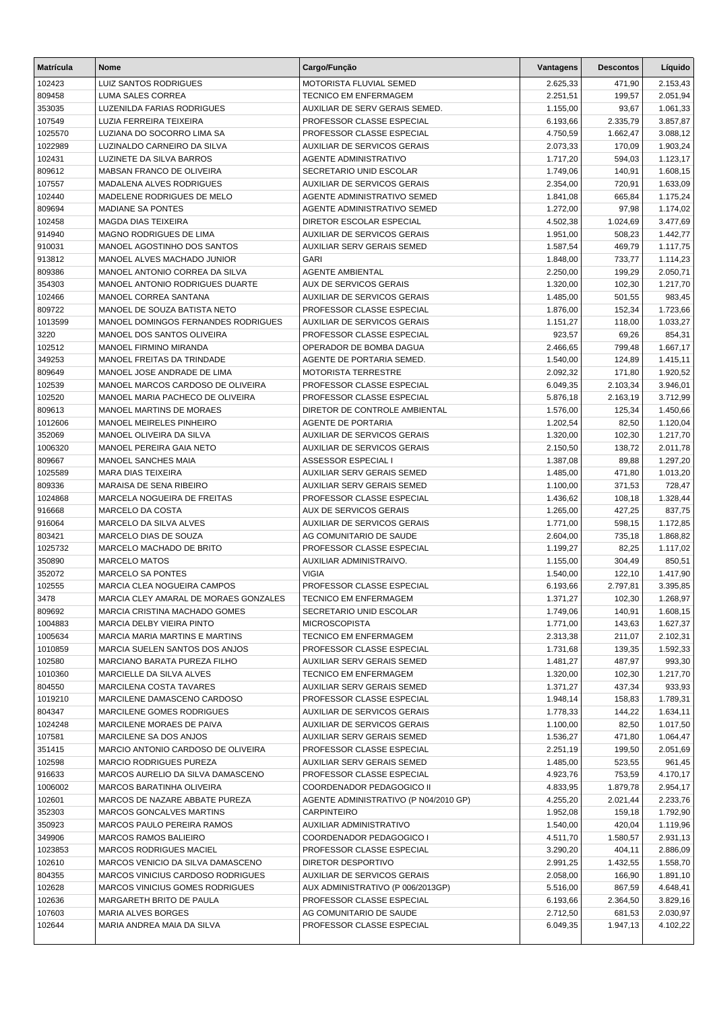| <b>Matrícula</b>  | <b>Nome</b>                                   | Cargo/Função                                                    | Vantagens            | <b>Descontos</b> | Líquido            |
|-------------------|-----------------------------------------------|-----------------------------------------------------------------|----------------------|------------------|--------------------|
| 102423            | <b>LUIZ SANTOS RODRIGUES</b>                  | MOTORISTA FLUVIAL SEMED                                         | 2.625,33             | 471,90           | 2.153,43           |
| 809458            | LUMA SALES CORREA                             | <b>TECNICO EM ENFERMAGEM</b>                                    | 2.251,51             | 199,57           | 2.051,94           |
| 353035            | LUZENILDA FARIAS RODRIGUES                    | AUXILIAR DE SERV GERAIS SEMED.                                  | 1.155,00             | 93,67            | 1.061,33           |
| 107549            | LUZIA FERREIRA TEIXEIRA                       | PROFESSOR CLASSE ESPECIAL                                       | 6.193,66             | 2.335,79         | 3.857,87           |
| 1025570           | LUZIANA DO SOCORRO LIMA SA                    | PROFESSOR CLASSE ESPECIAL                                       | 4.750,59             | 1.662,47         | 3.088,12           |
| 1022989           | LUZINALDO CARNEIRO DA SILVA                   | <b>AUXILIAR DE SERVICOS GERAIS</b>                              | 2.073,33             | 170,09           | 1.903,24           |
| 102431            | LUZINETE DA SILVA BARROS                      | AGENTE ADMINISTRATIVO                                           | 1.717,20             | 594,03           | 1.123,17           |
| 809612            | MABSAN FRANCO DE OLIVEIRA                     | SECRETARIO UNID ESCOLAR                                         | 1.749,06             | 140,91           | 1.608,15           |
| 107557            | MADALENA ALVES RODRIGUES                      | <b>AUXILIAR DE SERVICOS GERAIS</b>                              | 2.354,00             | 720,91           | 1.633,09           |
| 102440            | MADELENE RODRIGUES DE MELO                    | AGENTE ADMINISTRATIVO SEMED                                     | 1.841,08             | 665,84           | 1.175,24           |
| 809694            | <b>MADIANE SA PONTES</b>                      | AGENTE ADMINISTRATIVO SEMED                                     | 1.272,00             | 97,98            | 1.174,02           |
| 102458            | <b>MAGDA DIAS TEIXEIRA</b>                    | <b>DIRETOR ESCOLAR ESPECIAL</b>                                 | 4.502,38             | 1.024,69         | 3.477,69           |
| 914940            | MAGNO RODRIGUES DE LIMA                       | <b>AUXILIAR DE SERVICOS GERAIS</b>                              | 1.951,00             | 508,23           | 1.442,77           |
| 910031            | MANOEL AGOSTINHO DOS SANTOS                   | AUXILIAR SERV GERAIS SEMED                                      | 1.587,54             | 469,79           | 1.117,75           |
| 913812            | MANOEL ALVES MACHADO JUNIOR                   | <b>GARI</b>                                                     | 1.848,00             | 733,77           | 1.114,23           |
| 809386            | MANOEL ANTONIO CORREA DA SILVA                | <b>AGENTE AMBIENTAL</b>                                         | 2.250,00             | 199,29           | 2.050,71           |
| 354303            | MANOEL ANTONIO RODRIGUES DUARTE               | <b>AUX DE SERVICOS GERAIS</b>                                   | 1.320,00             | 102,30           | 1.217,70           |
| 102466            | MANOEL CORREA SANTANA                         | <b>AUXILIAR DE SERVICOS GERAIS</b>                              | 1.485,00             | 501,55           | 983,45             |
| 809722            | MANOEL DE SOUZA BATISTA NETO                  | PROFESSOR CLASSE ESPECIAL                                       | 1.876,00             | 152,34           | 1.723,66           |
| 1013599           | MANOEL DOMINGOS FERNANDES RODRIGUES           | <b>AUXILIAR DE SERVICOS GERAIS</b>                              | 1.151,27             | 118,00           | 1.033,27           |
| 3220              | MANOEL DOS SANTOS OLIVEIRA                    | PROFESSOR CLASSE ESPECIAL                                       | 923,57               | 69,26            | 854,31             |
| 102512            | MANOEL FIRMINO MIRANDA                        | OPERADOR DE BOMBA DAGUA                                         | 2.466,65             | 799,48           | 1.667,17           |
| 349253            | MANOEL FREITAS DA TRINDADE                    | AGENTE DE PORTARIA SEMED.                                       | 1.540,00             | 124,89           | 1.415,11           |
| 809649            | MANOEL JOSE ANDRADE DE LIMA                   | <b>MOTORISTA TERRESTRE</b>                                      | 2.092,32             | 171,80           | 1.920,52           |
| 102539            | MANOEL MARCOS CARDOSO DE OLIVEIRA             | PROFESSOR CLASSE ESPECIAL                                       | 6.049,35             | 2.103,34         | 3.946,01           |
| 102520            | MANOEL MARIA PACHECO DE OLIVEIRA              | PROFESSOR CLASSE ESPECIAL                                       | 5.876,18             | 2.163,19         | 3.712,99           |
| 809613            | MANOEL MARTINS DE MORAES                      | DIRETOR DE CONTROLE AMBIENTAL                                   | 1.576,00             | 125,34           | 1.450,66           |
| 1012606           | MANOEL MEIRELES PINHEIRO                      | AGENTE DE PORTARIA                                              | 1.202,54             | 82,50            | 1.120,04           |
| 352069            | MANOEL OLIVEIRA DA SILVA                      | <b>AUXILIAR DE SERVICOS GERAIS</b>                              | 1.320,00             | 102,30           | 1.217,70           |
| 1006320           | MANOEL PEREIRA GAIA NETO                      | <b>AUXILIAR DE SERVICOS GERAIS</b>                              | 2.150,50             | 138,72           | 2.011,78           |
| 809667            | MANOEL SANCHES MAIA                           | ASSESSOR ESPECIAL I                                             | 1.387,08             | 89,88            | 1.297,20           |
| 1025589<br>809336 | MARA DIAS TEIXEIRA<br>MARAISA DE SENA RIBEIRO | AUXILIAR SERV GERAIS SEMED<br><b>AUXILIAR SERV GERAIS SEMED</b> | 1.485,00             | 471,80           | 1.013,20           |
| 1024868           | MARCELA NOGUEIRA DE FREITAS                   | PROFESSOR CLASSE ESPECIAL                                       | 1.100,00<br>1.436,62 | 371,53<br>108,18 | 728,47<br>1.328,44 |
| 916668            | MARCELO DA COSTA                              | AUX DE SERVICOS GERAIS                                          | 1.265,00             | 427,25           | 837,75             |
| 916064            | MARCELO DA SILVA ALVES                        | <b>AUXILIAR DE SERVICOS GERAIS</b>                              | 1.771,00             | 598,15           | 1.172,85           |
| 803421            | MARCELO DIAS DE SOUZA                         | AG COMUNITARIO DE SAUDE                                         | 2.604,00             | 735,18           | 1.868,82           |
| 1025732           | MARCELO MACHADO DE BRITO                      | PROFESSOR CLASSE ESPECIAL                                       | 1.199,27             | 82,25            | 1.117,02           |
| 350890            | <b>MARCELO MATOS</b>                          | AUXILIAR ADMINISTRAIVO.                                         | 1.155,00             | 304,49           | 850,51             |
| 352072            | <b>MARCELO SA PONTES</b>                      | <b>VIGIA</b>                                                    | 1.540,00             | 122,10           | 1.417,90           |
| 102555            | <b>MARCIA CLEA NOGUEIRA CAMPOS</b>            | PROFESSOR CLASSE ESPECIAL                                       | 6.193,66             | 2.797,81         | 3.395,85           |
| 3478              | MARCIA CLEY AMARAL DE MORAES GONZALES         | TECNICO EM ENFERMAGEM                                           | 1.371,27             | 102,30           | 1.268,97           |
| 809692            | MARCIA CRISTINA MACHADO GOMES                 | SECRETARIO UNID ESCOLAR                                         | 1.749,06             | 140,91           | 1.608,15           |
| 1004883           | MARCIA DELBY VIEIRA PINTO                     | <b>MICROSCOPISTA</b>                                            | 1.771,00             | 143,63           | 1.627,37           |
| 1005634           | <b>MARCIA MARIA MARTINS E MARTINS</b>         | <b>TECNICO EM ENFERMAGEM</b>                                    | 2.313,38             | 211,07           | 2.102,31           |
| 1010859           | MARCIA SUELEN SANTOS DOS ANJOS                | PROFESSOR CLASSE ESPECIAL                                       | 1.731,68             | 139,35           | 1.592,33           |
| 102580            | MARCIANO BARATA PUREZA FILHO                  | AUXILIAR SERV GERAIS SEMED                                      | 1.481,27             | 487,97           | 993,30             |
| 1010360           | MARCIELLE DA SILVA ALVES                      | <b>TECNICO EM ENFERMAGEM</b>                                    | 1.320,00             | 102,30           | 1.217,70           |
| 804550            | MARCILENA COSTA TAVARES                       | AUXILIAR SERV GERAIS SEMED                                      | 1.371,27             | 437,34           | 933,93             |
| 1019210           | MARCILENE DAMASCENO CARDOSO                   | PROFESSOR CLASSE ESPECIAL                                       | 1.948,14             | 158,83           | 1.789,31           |
| 804347            | MARCILENE GOMES RODRIGUES                     | AUXILIAR DE SERVICOS GERAIS                                     | 1.778,33             | 144,22           | 1.634,11           |
| 1024248           | MARCILENE MORAES DE PAIVA                     | AUXILIAR DE SERVICOS GERAIS                                     | 1.100,00             | 82,50            | 1.017,50           |
| 107581            | MARCILENE SA DOS ANJOS                        | AUXILIAR SERV GERAIS SEMED                                      | 1.536,27             | 471,80           | 1.064,47           |
| 351415            | MARCIO ANTONIO CARDOSO DE OLIVEIRA            | PROFESSOR CLASSE ESPECIAL                                       | 2.251,19             | 199,50           | 2.051,69           |
| 102598            | <b>MARCIO RODRIGUES PUREZA</b>                | AUXILIAR SERV GERAIS SEMED                                      | 1.485,00             | 523,55           | 961,45             |
| 916633            | MARCOS AURELIO DA SILVA DAMASCENO             | PROFESSOR CLASSE ESPECIAL                                       | 4.923,76             | 753,59           | 4.170,17           |
| 1006002           | MARCOS BARATINHA OLIVEIRA                     | COORDENADOR PEDAGOGICO II                                       | 4.833,95             | 1.879,78         | 2.954,17           |
| 102601            | MARCOS DE NAZARE ABBATE PUREZA                | AGENTE ADMINISTRATIVO (P N04/2010 GP)                           | 4.255,20             | 2.021,44         | 2.233,76           |
| 352303            | MARCOS GONCALVES MARTINS                      | <b>CARPINTEIRO</b>                                              | 1.952,08             | 159,18           | 1.792,90           |
| 350923            | MARCOS PAULO PEREIRA RAMOS                    | AUXILIAR ADMINISTRATIVO                                         | 1.540,00             | 420,04           | 1.119,96           |
| 349906            | <b>MARCOS RAMOS BALIEIRO</b>                  | COORDENADOR PEDAGOGICO I                                        | 4.511,70             | 1.580,57         | 2.931,13           |
| 1023853           | <b>MARCOS RODRIGUES MACIEL</b>                | PROFESSOR CLASSE ESPECIAL                                       | 3.290,20             | 404,11           | 2.886,09           |
| 102610            | MARCOS VENICIO DA SILVA DAMASCENO             | DIRETOR DESPORTIVO                                              | 2.991,25             | 1.432,55         | 1.558,70           |
| 804355            | MARCOS VINICIUS CARDOSO RODRIGUES             | AUXILIAR DE SERVICOS GERAIS                                     | 2.058,00             | 166,90           | 1.891,10           |
| 102628            | <b>MARCOS VINICIUS GOMES RODRIGUES</b>        | AUX ADMINISTRATIVO (P 006/2013GP)                               | 5.516,00             | 867,59           | 4.648,41           |
| 102636            | MARGARETH BRITO DE PAULA                      | PROFESSOR CLASSE ESPECIAL                                       | 6.193,66             | 2.364,50         | 3.829,16           |
| 107603            | MARIA ALVES BORGES                            | AG COMUNITARIO DE SAUDE                                         | 2.712,50             | 681,53           | 2.030,97           |
| 102644            | MARIA ANDREA MAIA DA SILVA                    | PROFESSOR CLASSE ESPECIAL                                       | 6.049,35             | 1.947,13         | 4.102,22           |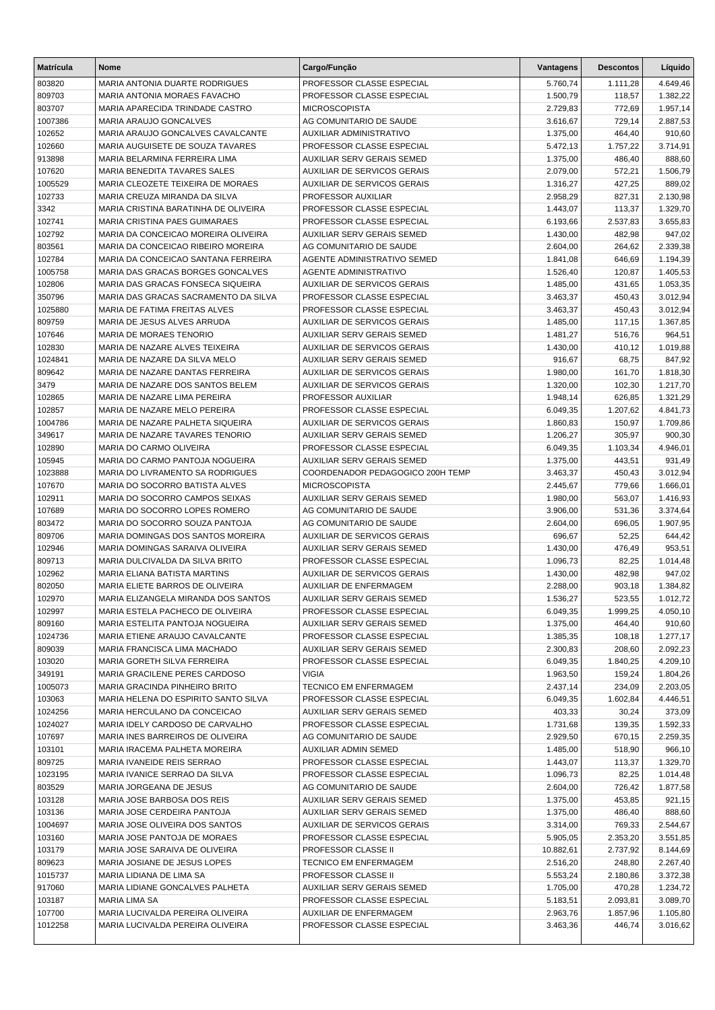| <b>Matrícula</b>  | <b>Nome</b>                                                           | Cargo/Função                                                    | Vantagens            | <b>Descontos</b> | Líquido              |
|-------------------|-----------------------------------------------------------------------|-----------------------------------------------------------------|----------------------|------------------|----------------------|
| 803820            | MARIA ANTONIA DUARTE RODRIGUES                                        | PROFESSOR CLASSE ESPECIAL                                       | 5.760,74             | 1.111,28         | 4.649,46             |
| 809703            | MARIA ANTONIA MORAES FAVACHO                                          | PROFESSOR CLASSE ESPECIAL                                       | 1.500,79             | 118,57           | 1.382,22             |
| 803707            | MARIA APARECIDA TRINDADE CASTRO                                       | <b>MICROSCOPISTA</b>                                            | 2.729,83             | 772,69           | 1.957,14             |
| 1007386           | MARIA ARAUJO GONCALVES                                                | AG COMUNITARIO DE SAUDE                                         | 3.616,67             | 729,14           | 2.887,53             |
| 102652            | MARIA ARAUJO GONCALVES CAVALCANTE                                     | <b>AUXILIAR ADMINISTRATIVO</b>                                  | 1.375,00             | 464,40           | 910,60               |
| 102660            | MARIA AUGUISETE DE SOUZA TAVARES                                      | PROFESSOR CLASSE ESPECIAL                                       | 5.472,13             | 1.757,22         | 3.714,91             |
| 913898            | MARIA BELARMINA FERREIRA LIMA                                         | AUXILIAR SERV GERAIS SEMED                                      | 1.375,00             | 486,40           | 888,60               |
| 107620            | MARIA BENEDITA TAVARES SALES                                          | <b>AUXILIAR DE SERVICOS GERAIS</b>                              | 2.079,00             | 572,21           | 1.506,79             |
| 1005529           | MARIA CLEOZETE TEIXEIRA DE MORAES                                     | AUXILIAR DE SERVICOS GERAIS                                     | 1.316,27             | 427,25           | 889,02               |
| 102733            | MARIA CREUZA MIRANDA DA SILVA                                         | PROFESSOR AUXILIAR                                              | 2.958,29             | 827,31           | 2.130,98             |
| 3342              | MARIA CRISTINA BARATINHA DE OLIVEIRA                                  | PROFESSOR CLASSE ESPECIAL                                       | 1.443,07             | 113,37           | 1.329,70             |
| 102741            | MARIA CRISTINA PAES GUIMARAES                                         | PROFESSOR CLASSE ESPECIAL                                       | 6.193,66             | 2.537,83         | 3.655,83             |
| 102792            | MARIA DA CONCEICAO MOREIRA OLIVEIRA                                   | AUXILIAR SERV GERAIS SEMED                                      | 1.430,00             | 482,98           | 947,02               |
| 803561            | MARIA DA CONCEICAO RIBEIRO MOREIRA                                    | AG COMUNITARIO DE SAUDE                                         | 2.604,00             | 264,62           | 2.339,38             |
| 102784            | MARIA DA CONCEICAO SANTANA FERREIRA                                   | AGENTE ADMINISTRATIVO SEMED                                     | 1.841,08             | 646,69           | 1.194,39             |
| 1005758           | MARIA DAS GRACAS BORGES GONCALVES                                     | <b>AGENTE ADMINISTRATIVO</b>                                    | 1.526,40             | 120,87           | 1.405,53             |
| 102806            | MARIA DAS GRACAS FONSECA SIQUEIRA                                     | <b>AUXILIAR DE SERVICOS GERAIS</b><br>PROFESSOR CLASSE ESPECIAL | 1.485,00             | 431,65           | 1.053,35             |
| 350796<br>1025880 | MARIA DAS GRACAS SACRAMENTO DA SILVA<br>MARIA DE FATIMA FREITAS ALVES | PROFESSOR CLASSE ESPECIAL                                       | 3.463,37<br>3.463,37 | 450,43<br>450,43 | 3.012,94             |
| 809759            | MARIA DE JESUS ALVES ARRUDA                                           | <b>AUXILIAR DE SERVICOS GERAIS</b>                              | 1.485,00             | 117,15           | 3.012,94<br>1.367,85 |
| 107646            | <b>MARIA DE MORAES TENORIO</b>                                        | <b>AUXILIAR SERV GERAIS SEMED</b>                               | 1.481,27             | 516,76           | 964,51               |
| 102830            | MARIA DE NAZARE ALVES TEIXEIRA                                        | <b>AUXILIAR DE SERVICOS GERAIS</b>                              | 1.430,00             | 410,12           | 1.019,88             |
| 1024841           | MARIA DE NAZARE DA SILVA MELO                                         | AUXILIAR SERV GERAIS SEMED                                      | 916,67               | 68,75            | 847,92               |
| 809642            | MARIA DE NAZARE DANTAS FERREIRA                                       | <b>AUXILIAR DE SERVICOS GERAIS</b>                              | 1.980,00             | 161,70           | 1.818,30             |
| 3479              | MARIA DE NAZARE DOS SANTOS BELEM                                      | AUXILIAR DE SERVICOS GERAIS                                     | 1.320,00             | 102,30           | 1.217,70             |
| 102865            | MARIA DE NAZARE LIMA PEREIRA                                          | PROFESSOR AUXILIAR                                              | 1.948,14             | 626,85           | 1.321,29             |
| 102857            | MARIA DE NAZARE MELO PEREIRA                                          | PROFESSOR CLASSE ESPECIAL                                       | 6.049,35             | 1.207,62         | 4.841,73             |
| 1004786           | MARIA DE NAZARE PALHETA SIQUEIRA                                      | <b>AUXILIAR DE SERVICOS GERAIS</b>                              | 1.860,83             | 150,97           | 1.709,86             |
| 349617            | MARIA DE NAZARE TAVARES TENORIO                                       | <b>AUXILIAR SERV GERAIS SEMED</b>                               | 1.206,27             | 305,97           | 900,30               |
| 102890            | MARIA DO CARMO OLIVEIRA                                               | PROFESSOR CLASSE ESPECIAL                                       | 6.049,35             | 1.103,34         | 4.946,01             |
| 105945            | MARIA DO CARMO PANTOJA NOGUEIRA                                       | AUXILIAR SERV GERAIS SEMED                                      | 1.375,00             | 443,51           | 931,49               |
| 1023888           | MARIA DO LIVRAMENTO SA RODRIGUES                                      | COORDENADOR PEDAGOGICO 200H TEMP                                | 3.463,37             | 450,43           | 3.012,94             |
| 107670            | MARIA DO SOCORRO BATISTA ALVES                                        | <b>MICROSCOPISTA</b>                                            | 2.445,67             | 779,66           | 1.666,01             |
| 102911            | MARIA DO SOCORRO CAMPOS SEIXAS                                        | AUXILIAR SERV GERAIS SEMED                                      | 1.980,00             | 563,07           | 1.416,93             |
| 107689            | MARIA DO SOCORRO LOPES ROMERO                                         | AG COMUNITARIO DE SAUDE                                         | 3.906,00             | 531,36           | 3.374,64             |
| 803472            | MARIA DO SOCORRO SOUZA PANTOJA                                        | AG COMUNITARIO DE SAUDE                                         | 2.604,00             | 696,05           | 1.907,95             |
| 809706            | MARIA DOMINGAS DOS SANTOS MOREIRA                                     | <b>AUXILIAR DE SERVICOS GERAIS</b>                              | 696,67               | 52,25            | 644,42               |
| 102946            | MARIA DOMINGAS SARAIVA OLIVEIRA                                       | AUXILIAR SERV GERAIS SEMED                                      | 1.430,00             | 476,49           | 953,51               |
| 809713            | MARIA DULCIVALDA DA SILVA BRITO                                       | PROFESSOR CLASSE ESPECIAL                                       | 1.096,73             | 82,25            | 1.014,48             |
| 102962            | MARIA ELIANA BATISTA MARTINS                                          | <b>AUXILIAR DE SERVICOS GERAIS</b>                              | 1.430,00             | 482,98           | 947,02               |
| 802050            | MARIA ELIETE BARROS DE OLIVEIRA                                       | AUXILIAR DE ENFERMAGEM                                          | 2.288,00             | 903,18           | 1.384,82             |
| 102970            | MARIA ELIZANGELA MIRANDA DOS SANTOS                                   | AUXILIAR SERV GERAIS SEMED                                      | 1.536,27             | 523,55           | 1.012,72             |
| 102997            | MARIA ESTELA PACHECO DE OLIVEIRA                                      | PROFESSOR CLASSE ESPECIAL                                       | 6.049,35             | 1.999,25         | 4.050,10             |
| 809160            | MARIA ESTELITA PANTOJA NOGUEIRA                                       | AUXILIAR SERV GERAIS SEMED                                      | 1.375,00             | 464,40           | 910,60               |
| 1024736           | MARIA ETIENE ARAUJO CAVALCANTE                                        | PROFESSOR CLASSE ESPECIAL                                       | 1.385,35             | 108,18           | 1.277,17             |
| 809039            | MARIA FRANCISCA LIMA MACHADO                                          | AUXILIAR SERV GERAIS SEMED                                      | 2.300,83             | 208,60           | 2.092,23             |
| 103020            | MARIA GORETH SILVA FERREIRA                                           | PROFESSOR CLASSE ESPECIAL                                       | 6.049,35             | 1.840,25         | 4.209,10             |
| 349191            | MARIA GRACILENE PERES CARDOSO                                         | <b>VIGIA</b>                                                    | 1.963,50             | 159,24           | 1.804,26             |
| 1005073           | MARIA GRACINDA PINHEIRO BRITO                                         | <b>TECNICO EM ENFERMAGEM</b>                                    | 2.437,14             | 234,09           | 2.203,05             |
| 103063            | MARIA HELENA DO ESPIRITO SANTO SILVA                                  | PROFESSOR CLASSE ESPECIAL                                       | 6.049,35             | 1.602,84         | 4.446,51             |
| 1024256           | MARIA HERCULANO DA CONCEICAO                                          | AUXILIAR SERV GERAIS SEMED                                      | 403,33               | 30,24            | 373,09               |
| 1024027           | MARIA IDELY CARDOSO DE CARVALHO                                       | PROFESSOR CLASSE ESPECIAL                                       | 1.731,68             | 139,35           | 1.592,33             |
| 107697            | MARIA INES BARREIROS DE OLIVEIRA                                      | AG COMUNITARIO DE SAUDE                                         | 2.929,50             | 670,15           | 2.259,35             |
| 103101            | MARIA IRACEMA PALHETA MOREIRA                                         | AUXILIAR ADMIN SEMED                                            | 1.485,00<br>1.443,07 | 518,90           | 966,10               |
| 809725<br>1023195 | MARIA IVANEIDE REIS SERRAO<br>MARIA IVANICE SERRAO DA SILVA           | PROFESSOR CLASSE ESPECIAL<br>PROFESSOR CLASSE ESPECIAL          | 1.096,73             | 113,37<br>82,25  | 1.329,70<br>1.014,48 |
| 803529            | MARIA JORGEANA DE JESUS                                               | AG COMUNITARIO DE SAUDE                                         | 2.604,00             | 726,42           | 1.877,58             |
| 103128            | MARIA JOSE BARBOSA DOS REIS                                           | AUXILIAR SERV GERAIS SEMED                                      | 1.375,00             | 453,85           | 921,15               |
| 103136            | MARIA JOSE CERDEIRA PANTOJA                                           | AUXILIAR SERV GERAIS SEMED                                      | 1.375,00             | 486,40           | 888,60               |
| 1004697           | MARIA JOSE OLIVEIRA DOS SANTOS                                        | AUXILIAR DE SERVICOS GERAIS                                     | 3.314,00             | 769,33           | 2.544,67             |
| 103160            | MARIA JOSE PANTOJA DE MORAES                                          | PROFESSOR CLASSE ESPECIAL                                       | 5.905,05             | 2.353,20         | 3.551,85             |
| 103179            | MARIA JOSE SARAIVA DE OLIVEIRA                                        | PROFESSOR CLASSE II                                             | 10.882,61            | 2.737,92         | 8.144,69             |
| 809623            | MARIA JOSIANE DE JESUS LOPES                                          | <b>TECNICO EM ENFERMAGEM</b>                                    | 2.516,20             | 248,80           | 2.267,40             |
| 1015737           | MARIA LIDIANA DE LIMA SA                                              | <b>PROFESSOR CLASSE II</b>                                      | 5.553,24             | 2.180,86         | 3.372,38             |
| 917060            | MARIA LIDIANE GONCALVES PALHETA                                       | AUXILIAR SERV GERAIS SEMED                                      | 1.705,00             | 470,28           | 1.234,72             |
| 103187            | MARIA LIMA SA                                                         | PROFESSOR CLASSE ESPECIAL                                       | 5.183,51             | 2.093,81         | 3.089,70             |
| 107700            | MARIA LUCIVALDA PEREIRA OLIVEIRA                                      | AUXILIAR DE ENFERMAGEM                                          | 2.963,76             | 1.857,96         | 1.105,80             |
| 1012258           | MARIA LUCIVALDA PEREIRA OLIVEIRA                                      | PROFESSOR CLASSE ESPECIAL                                       | 3.463,36             | 446,74           | 3.016,62             |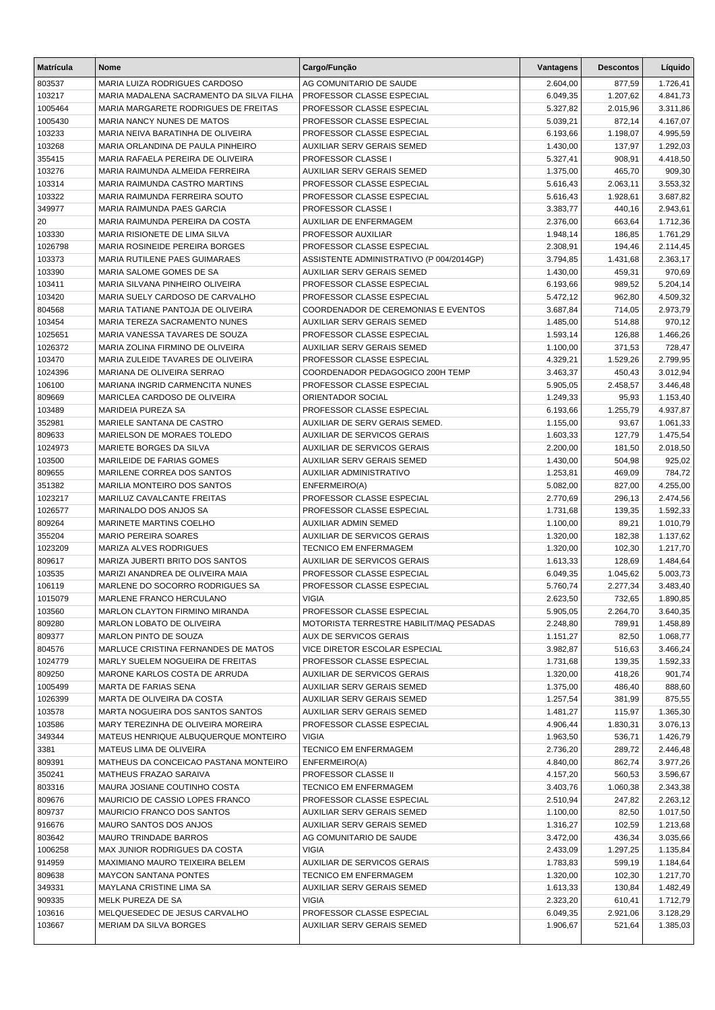| <b>Matrícula</b>   | Nome                                                            | Cargo/Função                                              | Vantagens            | <b>Descontos</b>   | Líquido              |
|--------------------|-----------------------------------------------------------------|-----------------------------------------------------------|----------------------|--------------------|----------------------|
| 803537             | MARIA LUIZA RODRIGUES CARDOSO                                   | AG COMUNITARIO DE SAUDE                                   | 2.604,00             | 877,59             | 1.726,41             |
| 103217             | MARIA MADALENA SACRAMENTO DA SILVA FILHA                        | PROFESSOR CLASSE ESPECIAL                                 | 6.049,35             | 1.207,62           | 4.841,73             |
| 1005464            | MARIA MARGARETE RODRIGUES DE FREITAS                            | PROFESSOR CLASSE ESPECIAL                                 | 5.327,82             | 2.015,96           | 3.311,86             |
| 1005430            | MARIA NANCY NUNES DE MATOS                                      | PROFESSOR CLASSE ESPECIAL                                 | 5.039,21             | 872,14             | 4.167,07             |
| 103233             | MARIA NEIVA BARATINHA DE OLIVEIRA                               | PROFESSOR CLASSE ESPECIAL                                 | 6.193,66             | 1.198,07           | 4.995,59             |
| 103268             | MARIA ORLANDINA DE PAULA PINHEIRO                               | <b>AUXILIAR SERV GERAIS SEMED</b>                         | 1.430,00             | 137,97             | 1.292,03             |
| 355415             | MARIA RAFAELA PEREIRA DE OLIVEIRA                               | PROFESSOR CLASSE I                                        | 5.327,41             | 908,91             | 4.418,50             |
| 103276             | MARIA RAIMUNDA ALMEIDA FERREIRA                                 | <b>AUXILIAR SERV GERAIS SEMED</b>                         | 1.375,00             | 465,70             | 909,30               |
| 103314             | MARIA RAIMUNDA CASTRO MARTINS                                   | PROFESSOR CLASSE ESPECIAL                                 | 5.616,43             | 2.063,11           | 3.553,32             |
| 103322             | MARIA RAIMUNDA FERREIRA SOUTO                                   | PROFESSOR CLASSE ESPECIAL                                 | 5.616,43             | 1.928,61           | 3.687,82             |
| 349977             | MARIA RAIMUNDA PAES GARCIA<br>MARIA RAIMUNDA PEREIRA DA COSTA   | PROFESSOR CLASSE I                                        | 3.383,77             | 440,16             | 2.943,61             |
| 20<br>103330       | MARIA RISIONETE DE LIMA SILVA                                   | AUXILIAR DE ENFERMAGEM<br>PROFESSOR AUXILIAR              | 2.376,00<br>1.948,14 | 663,64<br>186,85   | 1.712,36<br>1.761,29 |
| 1026798            | MARIA ROSINEIDE PEREIRA BORGES                                  | PROFESSOR CLASSE ESPECIAL                                 | 2.308,91             | 194,46             | 2.114,45             |
| 103373             | MARIA RUTILENE PAES GUIMARAES                                   | ASSISTENTE ADMINISTRATIVO (P 004/2014GP)                  | 3.794,85             | 1.431,68           | 2.363,17             |
| 103390             | MARIA SALOME GOMES DE SA                                        | <b>AUXILIAR SERV GERAIS SEMED</b>                         | 1.430,00             | 459,31             | 970,69               |
| 103411             | MARIA SILVANA PINHEIRO OLIVEIRA                                 | PROFESSOR CLASSE ESPECIAL                                 | 6.193,66             | 989,52             | 5.204,14             |
| 103420             | MARIA SUELY CARDOSO DE CARVALHO                                 | PROFESSOR CLASSE ESPECIAL                                 | 5.472,12             | 962,80             | 4.509,32             |
| 804568             | MARIA TATIANE PANTOJA DE OLIVEIRA                               | COORDENADOR DE CEREMONIAS E EVENTOS                       | 3.687,84             | 714,05             | 2.973,79             |
| 103454             | MARIA TEREZA SACRAMENTO NUNES                                   | <b>AUXILIAR SERV GERAIS SEMED</b>                         | 1.485,00             | 514,88             | 970,12               |
| 1025651            | MARIA VANESSA TAVARES DE SOUZA                                  | PROFESSOR CLASSE ESPECIAL                                 | 1.593,14             | 126,88             | 1.466,26             |
| 1026372            | MARIA ZOLINA FIRMINO DE OLIVEIRA                                | <b>AUXILIAR SERV GERAIS SEMED</b>                         | 1.100,00             | 371,53             | 728,47               |
| 103470             | MARIA ZULEIDE TAVARES DE OLIVEIRA                               | PROFESSOR CLASSE ESPECIAL                                 | 4.329,21             | 1.529,26           | 2.799,95             |
| 1024396            | MARIANA DE OLIVEIRA SERRAO                                      | COORDENADOR PEDAGOGICO 200H TEMP                          | 3.463,37             | 450,43             | 3.012,94             |
| 106100             | MARIANA INGRID CARMENCITA NUNES                                 | PROFESSOR CLASSE ESPECIAL                                 | 5.905,05             | 2.458,57           | 3.446,48             |
| 809669             | MARICLEA CARDOSO DE OLIVEIRA                                    | ORIENTADOR SOCIAL                                         | 1.249,33             | 95,93              | 1.153,40             |
| 103489             | MARIDEIA PUREZA SA                                              | PROFESSOR CLASSE ESPECIAL                                 | 6.193,66             | 1.255,79           | 4.937,87             |
| 352981             | MARIELE SANTANA DE CASTRO                                       | AUXILIAR DE SERV GERAIS SEMED.                            | 1.155,00             | 93,67              | 1.061,33             |
| 809633             | MARIELSON DE MORAES TOLEDO                                      | <b>AUXILIAR DE SERVICOS GERAIS</b>                        | 1.603,33             | 127,79             | 1.475,54             |
| 1024973            | MARIETE BORGES DA SILVA                                         | <b>AUXILIAR DE SERVICOS GERAIS</b>                        | 2.200,00             | 181,50             | 2.018,50             |
| 103500             | MARILEIDE DE FARIAS GOMES                                       | <b>AUXILIAR SERV GERAIS SEMED</b>                         | 1.430,00             | 504,98             | 925,02               |
| 809655             | MARILENE CORREA DOS SANTOS                                      | AUXILIAR ADMINISTRATIVO                                   | 1.253,81             | 469,09             | 784,72               |
| 351382             | MARILIA MONTEIRO DOS SANTOS                                     | ENFERMEIRO(A)                                             | 5.082,00             | 827,00             | 4.255,00             |
| 1023217<br>1026577 | MARILUZ CAVALCANTE FREITAS<br>MARINALDO DOS ANJOS SA            | PROFESSOR CLASSE ESPECIAL<br>PROFESSOR CLASSE ESPECIAL    | 2.770,69             | 296,13<br>139,35   | 2.474,56             |
| 809264             | MARINETE MARTINS COELHO                                         | <b>AUXILIAR ADMIN SEMED</b>                               | 1.731,68<br>1.100,00 | 89,21              | 1.592,33<br>1.010,79 |
| 355204             | <b>MARIO PEREIRA SOARES</b>                                     | AUXILIAR DE SERVICOS GERAIS                               | 1.320,00             | 182,38             | 1.137,62             |
| 1023209            | MARIZA ALVES RODRIGUES                                          | <b>TECNICO EM ENFERMAGEM</b>                              | 1.320,00             | 102,30             | 1.217,70             |
| 809617             | MARIZA JUBERTI BRITO DOS SANTOS                                 | <b>AUXILIAR DE SERVICOS GERAIS</b>                        | 1.613,33             | 128,69             | 1.484,64             |
| 103535             | MARIZI ANANDREA DE OLIVEIRA MAIA                                | PROFESSOR CLASSE ESPECIAL                                 | 6.049,35             | 1.045,62           | 5.003,73             |
| 106119             | MARLENE DO SOCORRO RODRIGUES SA                                 | PROFESSOR CLASSE ESPECIAL                                 | 5.760,74             | 2.277,34           | 3.483,40             |
| 1015079            | MARLENE FRANCO HERCULANO                                        | <b>VIGIA</b>                                              | 2.623,50             | 732,65             | 1.890,85             |
| 103560             | MARLON CLAYTON FIRMINO MIRANDA                                  | PROFESSOR CLASSE ESPECIAL                                 | 5.905,05             | 2.264,70           | 3.640,35             |
| 809280             | <b>MARLON LOBATO DE OLIVEIRA</b>                                | MOTORISTA TERRESTRE HABILIT/MAQ PESADAS                   | 2.248,80             | 789,91             | 1.458,89             |
| 809377             | MARLON PINTO DE SOUZA                                           | <b>AUX DE SERVICOS GERAIS</b>                             | 1.151,27             | 82,50              | 1.068,77             |
| 804576             | MARLUCE CRISTINA FERNANDES DE MATOS                             | VICE DIRETOR ESCOLAR ESPECIAL                             | 3.982,87             | 516,63             | 3.466,24             |
| 1024779            | MARLY SUELEM NOGUEIRA DE FREITAS                                | PROFESSOR CLASSE ESPECIAL                                 | 1.731,68             | 139,35             | 1.592,33             |
| 809250             | MARONE KARLOS COSTA DE ARRUDA                                   | AUXILIAR DE SERVICOS GERAIS                               | 1.320,00             | 418,26             | 901,74               |
| 1005499            | MARTA DE FARIAS SENA                                            | AUXILIAR SERV GERAIS SEMED                                | 1.375,00             | 486,40             | 888,60               |
| 1026399            | MARTA DE OLIVEIRA DA COSTA                                      | AUXILIAR SERV GERAIS SEMED                                | 1.257,54             | 381,99             | 875,55               |
| 103578             | MARTA NOGUEIRA DOS SANTOS SANTOS                                | AUXILIAR SERV GERAIS SEMED                                | 1.481,27             | 115,97             | 1.365,30             |
| 103586             | MARY TEREZINHA DE OLIVEIRA MOREIRA                              | PROFESSOR CLASSE ESPECIAL                                 | 4.906,44             | 1.830,31           | 3.076,13             |
| 349344             | MATEUS HENRIQUE ALBUQUERQUE MONTEIRO                            | <b>VIGIA</b>                                              | 1.963,50             | 536,71             | 1.426,79             |
| 3381               | MATEUS LIMA DE OLIVEIRA                                         | TECNICO EM ENFERMAGEM                                     | 2.736,20             | 289,72             | 2.446,48             |
| 809391             | MATHEUS DA CONCEICAO PASTANA MONTEIRO                           | ENFERMEIRO(A)                                             | 4.840,00             | 862,74             | 3.977,26             |
| 350241             | MATHEUS FRAZAO SARAIVA                                          | PROFESSOR CLASSE II                                       | 4.157,20             | 560,53             | 3.596,67             |
| 803316<br>809676   | MAURA JOSIANE COUTINHO COSTA<br>MAURICIO DE CASSIO LOPES FRANCO | <b>TECNICO EM ENFERMAGEM</b><br>PROFESSOR CLASSE ESPECIAL | 3.403,76<br>2.510,94 | 1.060,38<br>247,82 | 2.343,38<br>2.263,12 |
| 809737             | MAURICIO FRANCO DOS SANTOS                                      | AUXILIAR SERV GERAIS SEMED                                | 1.100,00             | 82,50              | 1.017,50             |
| 916676             | MAURO SANTOS DOS ANJOS                                          | AUXILIAR SERV GERAIS SEMED                                | 1.316,27             | 102,59             | 1.213,68             |
| 803642             | <b>MAURO TRINDADE BARROS</b>                                    | AG COMUNITARIO DE SAUDE                                   | 3.472,00             | 436,34             | 3.035,66             |
| 1006258            | MAX JUNIOR RODRIGUES DA COSTA                                   | <b>VIGIA</b>                                              | 2.433,09             | 1.297,25           | 1.135,84             |
| 914959             | MAXIMIANO MAURO TEIXEIRA BELEM                                  | AUXILIAR DE SERVICOS GERAIS                               | 1.783,83             | 599,19             | 1.184,64             |
| 809638             | <b>MAYCON SANTANA PONTES</b>                                    | <b>TECNICO EM ENFERMAGEM</b>                              | 1.320,00             | 102,30             | 1.217,70             |
| 349331             | MAYLANA CRISTINE LIMA SA                                        | AUXILIAR SERV GERAIS SEMED                                | 1.613,33             | 130,84             | 1.482,49             |
| 909335             | MELK PUREZA DE SA                                               | <b>VIGIA</b>                                              | 2.323,20             | 610,41             | 1.712,79             |
| 103616             | MELQUESEDEC DE JESUS CARVALHO                                   | PROFESSOR CLASSE ESPECIAL                                 | 6.049,35             | 2.921,06           | 3.128,29             |
| 103667             | MERIAM DA SILVA BORGES                                          | AUXILIAR SERV GERAIS SEMED                                | 1.906,67             | 521,64             | 1.385,03             |
|                    |                                                                 |                                                           |                      |                    |                      |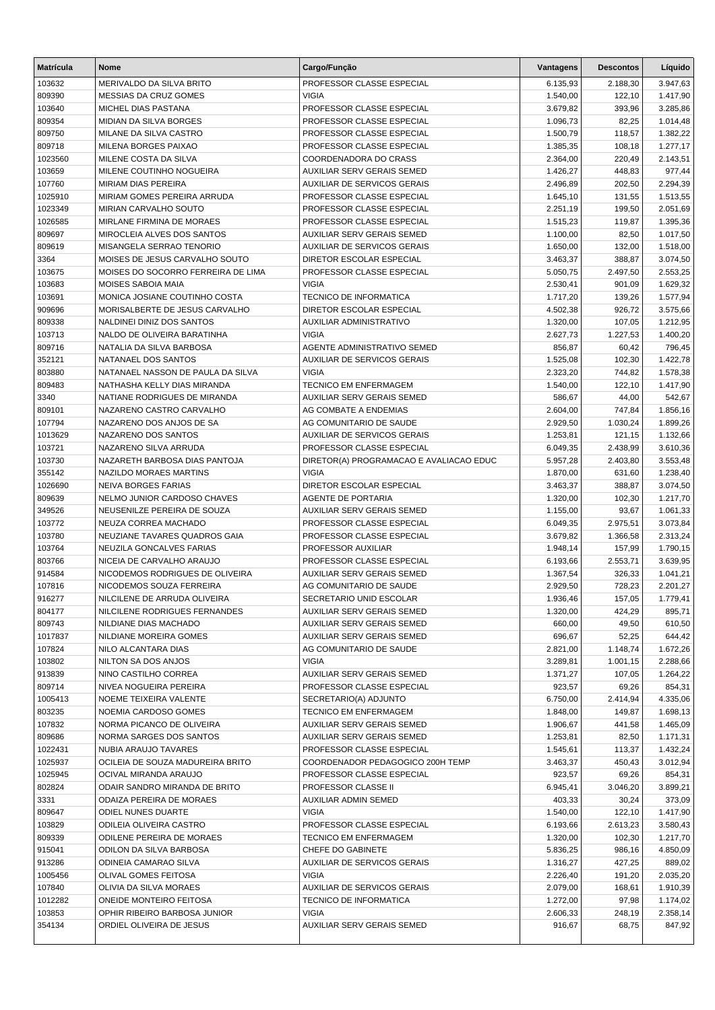| <b>Matrícula</b> | <b>Nome</b>                                                | Cargo/Função                                                     | Vantagens            | <b>Descontos</b>   | Líquido              |
|------------------|------------------------------------------------------------|------------------------------------------------------------------|----------------------|--------------------|----------------------|
| 103632           | MERIVALDO DA SILVA BRITO                                   | PROFESSOR CLASSE ESPECIAL                                        | 6.135,93             | 2.188,30           | 3.947,63             |
| 809390           | MESSIAS DA CRUZ GOMES                                      | <b>VIGIA</b>                                                     | 1.540,00             | 122,10             | 1.417,90             |
| 103640           | MICHEL DIAS PASTANA                                        | PROFESSOR CLASSE ESPECIAL                                        | 3.679,82             | 393,96             | 3.285,86             |
| 809354           | MIDIAN DA SILVA BORGES                                     | PROFESSOR CLASSE ESPECIAL                                        | 1.096,73             | 82,25              | 1.014,48             |
| 809750           | MILANE DA SILVA CASTRO                                     | PROFESSOR CLASSE ESPECIAL                                        | 1.500,79             | 118,57             | 1.382,22             |
| 809718           | MILENA BORGES PAIXAO                                       | PROFESSOR CLASSE ESPECIAL                                        | 1.385,35             | 108,18             | 1.277,17             |
| 1023560          | MILENE COSTA DA SILVA                                      | COORDENADORA DO CRASS                                            | 2.364,00             | 220,49             | 2.143,51             |
| 103659           | MILENE COUTINHO NOGUEIRA                                   | AUXILIAR SERV GERAIS SEMED                                       | 1.426,27             | 448,83             | 977,44               |
| 107760           | <b>MIRIAM DIAS PEREIRA</b>                                 | <b>AUXILIAR DE SERVICOS GERAIS</b>                               | 2.496,89             | 202,50             | 2.294,39             |
| 1025910          | MIRIAM GOMES PEREIRA ARRUDA                                | PROFESSOR CLASSE ESPECIAL                                        | 1.645,10             | 131,55             | 1.513,55             |
| 1023349          | <b>MIRIAN CARVALHO SOUTO</b>                               | PROFESSOR CLASSE ESPECIAL                                        | 2.251,19             | 199,50             | 2.051,69             |
| 1026585          | MIRLANE FIRMINA DE MORAES                                  | PROFESSOR CLASSE ESPECIAL                                        | 1.515,23             | 119,87             | 1.395,36             |
| 809697           | MIROCLEIA ALVES DOS SANTOS                                 | AUXILIAR SERV GERAIS SEMED                                       | 1.100,00             | 82,50              | 1.017,50             |
| 809619           | MISANGELA SERRAO TENORIO                                   | AUXILIAR DE SERVICOS GERAIS                                      | 1.650,00             | 132,00             | 1.518,00             |
| 3364             | MOISES DE JESUS CARVALHO SOUTO                             | DIRETOR ESCOLAR ESPECIAL                                         | 3.463,37             | 388,87             | 3.074,50             |
| 103675           | MOISES DO SOCORRO FERREIRA DE LIMA                         | PROFESSOR CLASSE ESPECIAL                                        | 5.050,75             | 2.497,50           | 2.553,25             |
| 103683           | <b>MOISES SABOIA MAIA</b><br>MONICA JOSIANE COUTINHO COSTA | <b>VIGIA</b>                                                     | 2.530,41             | 901,09             | 1.629,32             |
| 103691           | MORISALBERTE DE JESUS CARVALHO                             | <b>TECNICO DE INFORMATICA</b><br><b>DIRETOR ESCOLAR ESPECIAL</b> | 1.717,20             | 139,26<br>926,72   | 1.577,94             |
| 909696<br>809338 | NALDINEI DINIZ DOS SANTOS                                  | AUXILIAR ADMINISTRATIVO                                          | 4.502,38<br>1.320,00 | 107,05             | 3.575,66<br>1.212,95 |
| 103713           | NALDO DE OLIVEIRA BARATINHA                                | <b>VIGIA</b>                                                     | 2.627,73             | 1.227,53           | 1.400,20             |
| 809716           | NATALIA DA SILVA BARBOSA                                   | AGENTE ADMINISTRATIVO SEMED                                      | 856,87               | 60,42              | 796,45               |
| 352121           | NATANAEL DOS SANTOS                                        | <b>AUXILIAR DE SERVICOS GERAIS</b>                               | 1.525,08             | 102,30             | 1.422,78             |
| 803880           | NATANAEL NASSON DE PAULA DA SILVA                          | <b>VIGIA</b>                                                     | 2.323,20             | 744,82             | 1.578,38             |
| 809483           | NATHASHA KELLY DIAS MIRANDA                                | <b>TECNICO EM ENFERMAGEM</b>                                     | 1.540,00             | 122,10             | 1.417,90             |
| 3340             | NATIANE RODRIGUES DE MIRANDA                               | AUXILIAR SERV GERAIS SEMED                                       | 586,67               | 44,00              | 542,67               |
| 809101           | NAZARENO CASTRO CARVALHO                                   | AG COMBATE A ENDEMIAS                                            | 2.604,00             | 747,84             | 1.856,16             |
| 107794           | NAZARENO DOS ANJOS DE SA                                   | AG COMUNITARIO DE SAUDE                                          | 2.929,50             | 1.030,24           | 1.899,26             |
| 1013629          | NAZARENO DOS SANTOS                                        | AUXILIAR DE SERVICOS GERAIS                                      | 1.253,81             | 121,15             | 1.132,66             |
| 103721           | NAZARENO SILVA ARRUDA                                      | PROFESSOR CLASSE ESPECIAL                                        | 6.049,35             | 2.438,99           | 3.610,36             |
| 103730           | NAZARETH BARBOSA DIAS PANTOJA                              | DIRETOR(A) PROGRAMACAO E AVALIACAO EDUC                          | 5.957,28             | 2.403,80           | 3.553,48             |
| 355142           | NAZILDO MORAES MARTINS                                     | <b>VIGIA</b>                                                     | 1.870,00             | 631,60             | 1.238,40             |
| 1026690          | <b>NEIVA BORGES FARIAS</b>                                 | DIRETOR ESCOLAR ESPECIAL                                         | 3.463,37             | 388,87             | 3.074,50             |
| 809639           | NELMO JUNIOR CARDOSO CHAVES                                | AGENTE DE PORTARIA                                               | 1.320,00             | 102,30             | 1.217,70             |
| 349526           | NEUSENILZE PEREIRA DE SOUZA                                | AUXILIAR SERV GERAIS SEMED                                       | 1.155,00             | 93,67              | 1.061,33             |
| 103772           | NEUZA CORREA MACHADO                                       | PROFESSOR CLASSE ESPECIAL                                        | 6.049,35             | 2.975,51           | 3.073,84             |
| 103780           | NEUZIANE TAVARES QUADROS GAIA                              | PROFESSOR CLASSE ESPECIAL                                        | 3.679,82             | 1.366,58           | 2.313,24             |
| 103764           | NEUZILA GONCALVES FARIAS                                   | PROFESSOR AUXILIAR                                               | 1.948,14             | 157,99             | 1.790,15             |
| 803766           | NICEIA DE CARVALHO ARAUJO                                  | PROFESSOR CLASSE ESPECIAL                                        | 6.193,66             | 2.553,71           | 3.639,95             |
| 914584           | NICODEMOS RODRIGUES DE OLIVEIRA                            | <b>AUXILIAR SERV GERAIS SEMED</b>                                | 1.367,54             | 326,33             | 1.041,21             |
| 107816           | NICODEMOS SOUZA FERREIRA                                   | AG COMUNITARIO DE SAUDE                                          | 2.929,50             | 728,23             | 2.201,27             |
| 916277           | NILCILENE DE ARRUDA OLIVEIRA                               | SECRETARIO UNID ESCOLAR                                          | 1.936,46             | 157,05             | 1.779,41             |
| 804177           | NILCILENE RODRIGUES FERNANDES                              | AUXILIAR SERV GERAIS SEMED                                       | 1.320,00             | 424,29             | 895,71               |
| 809743           | NILDIANE DIAS MACHADO                                      | AUXILIAR SERV GERAIS SEMED                                       | 660,00               | 49,50              | 610,50               |
| 1017837          | NILDIANE MOREIRA GOMES                                     | AUXILIAR SERV GERAIS SEMED                                       | 696,67               | 52,25              | 644,42               |
| 107824           | NILO ALCANTARA DIAS                                        | AG COMUNITARIO DE SAUDE<br><b>VIGIA</b>                          | 2.821,00<br>3.289,81 | 1.148,74           | 1.672,26<br>2.288,66 |
| 103802<br>913839 | NILTON SA DOS ANJOS<br>NINO CASTILHO CORREA                | AUXILIAR SERV GERAIS SEMED                                       | 1.371,27             | 1.001,15<br>107,05 | 1.264,22             |
| 809714           | NIVEA NOGUEIRA PEREIRA                                     | PROFESSOR CLASSE ESPECIAL                                        | 923,57               | 69,26              | 854,31               |
| 1005413          | NOEME TEIXEIRA VALENTE                                     | SECRETARIO(A) ADJUNTO                                            | 6.750.00             | 2.414,94           | 4.335,06             |
| 803235           | NOEMIA CARDOSO GOMES                                       | <b>TECNICO EM ENFERMAGEM</b>                                     | 1.848,00             | 149,87             | 1.698,13             |
| 107832           | NORMA PICANCO DE OLIVEIRA                                  | AUXILIAR SERV GERAIS SEMED                                       | 1.906,67             | 441,58             | 1.465,09             |
| 809686           | NORMA SARGES DOS SANTOS                                    | AUXILIAR SERV GERAIS SEMED                                       | 1.253,81             | 82,50              | 1.171,31             |
| 1022431          | NUBIA ARAUJO TAVARES                                       | PROFESSOR CLASSE ESPECIAL                                        | 1.545,61             | 113,37             | 1.432,24             |
| 1025937          | OCILEIA DE SOUZA MADUREIRA BRITO                           | COORDENADOR PEDAGOGICO 200H TEMP                                 | 3.463,37             | 450,43             | 3.012,94             |
| 1025945          | OCIVAL MIRANDA ARAUJO                                      | PROFESSOR CLASSE ESPECIAL                                        | 923,57               | 69,26              | 854,31               |
| 802824           | ODAIR SANDRO MIRANDA DE BRITO                              | PROFESSOR CLASSE II                                              | 6.945,41             | 3.046,20           | 3.899,21             |
| 3331             | ODAIZA PEREIRA DE MORAES                                   | <b>AUXILIAR ADMIN SEMED</b>                                      | 403,33               | 30,24              | 373,09               |
| 809647           | <b>ODIEL NUNES DUARTE</b>                                  | <b>VIGIA</b>                                                     | 1.540,00             | 122,10             | 1.417,90             |
| 103829           | ODILEIA OLIVEIRA CASTRO                                    | PROFESSOR CLASSE ESPECIAL                                        | 6.193,66             | 2.613,23           | 3.580,43             |
| 809339           | <b>ODILENE PEREIRA DE MORAES</b>                           | <b>TECNICO EM ENFERMAGEM</b>                                     | 1.320,00             | 102,30             | 1.217,70             |
| 915041           | ODILON DA SILVA BARBOSA                                    | CHEFE DO GABINETE                                                | 5.836,25             | 986,16             | 4.850,09             |
| 913286           | ODINEIA CAMARAO SILVA                                      | AUXILIAR DE SERVICOS GERAIS                                      | 1.316,27             | 427,25             | 889,02               |
| 1005456          | OLIVAL GOMES FEITOSA                                       | <b>VIGIA</b>                                                     | 2.226,40             | 191,20             | 2.035,20             |
| 107840           | OLIVIA DA SILVA MORAES                                     | AUXILIAR DE SERVICOS GERAIS                                      | 2.079,00             | 168,61             | 1.910,39             |
| 1012282          | ONEIDE MONTEIRO FEITOSA                                    | TECNICO DE INFORMATICA                                           | 1.272,00             | 97,98              | 1.174,02             |
| 103853           | OPHIR RIBEIRO BARBOSA JUNIOR                               | VIGIA                                                            | 2.606,33             | 248,19             | 2.358,14             |
| 354134           | ORDIEL OLIVEIRA DE JESUS                                   | AUXILIAR SERV GERAIS SEMED                                       | 916,67               | 68,75              | 847,92               |
|                  |                                                            |                                                                  |                      |                    |                      |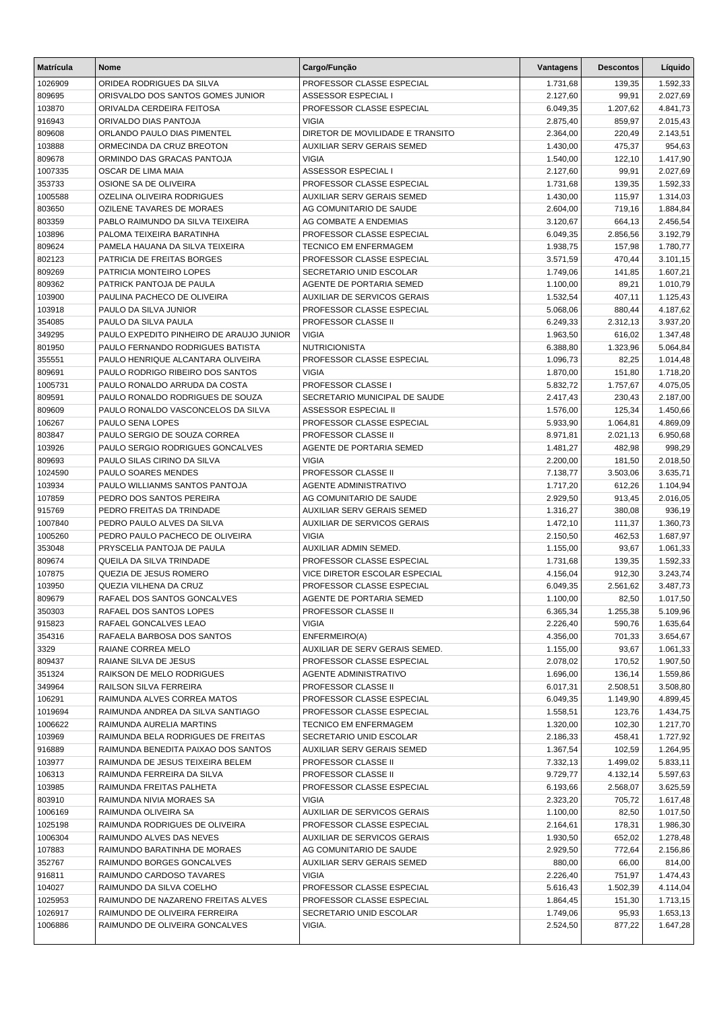| <b>Matrícula</b> | <b>Nome</b>                                           | Cargo/Função                                          | Vantagens            | <b>Descontos</b> | Líquido            |
|------------------|-------------------------------------------------------|-------------------------------------------------------|----------------------|------------------|--------------------|
| 1026909          | ORIDEA RODRIGUES DA SILVA                             | PROFESSOR CLASSE ESPECIAL                             | 1.731,68             | 139,35           | 1.592,33           |
| 809695           | ORISVALDO DOS SANTOS GOMES JUNIOR                     | ASSESSOR ESPECIAL I                                   | 2.127,60             | 99,91            | 2.027,69           |
| 103870           | ORIVALDA CERDEIRA FEITOSA                             | PROFESSOR CLASSE ESPECIAL                             | 6.049,35             | 1.207,62         | 4.841,73           |
| 916943           | ORIVALDO DIAS PANTOJA                                 | <b>VIGIA</b>                                          | 2.875,40             | 859,97           | 2.015,43           |
| 809608           | ORLANDO PAULO DIAS PIMENTEL                           | DIRETOR DE MOVILIDADE E TRANSITO                      | 2.364,00             | 220,49           | 2.143,51           |
| 103888           | ORMECINDA DA CRUZ BREOTON                             | <b>AUXILIAR SERV GERAIS SEMED</b>                     | 1.430,00             | 475,37           | 954,63             |
| 809678           | ORMINDO DAS GRACAS PANTOJA                            | <b>VIGIA</b>                                          | 1.540,00             | 122,10           | 1.417,90           |
| 1007335          | OSCAR DE LIMA MAIA                                    | ASSESSOR ESPECIAL I                                   | 2.127,60             | 99,91            | 2.027,69           |
| 353733           | OSIONE SA DE OLIVEIRA                                 | PROFESSOR CLASSE ESPECIAL                             | 1.731,68             | 139,35           | 1.592,33           |
| 1005588          | OZELINA OLIVEIRA RODRIGUES                            | <b>AUXILIAR SERV GERAIS SEMED</b>                     | 1.430,00             | 115,97           | 1.314,03           |
| 803650           | <b>OZILENE TAVARES DE MORAES</b>                      | AG COMUNITARIO DE SAUDE                               | 2.604,00             | 719,16           | 1.884,84           |
| 803359           | PABLO RAIMUNDO DA SILVA TEIXEIRA                      | AG COMBATE A ENDEMIAS                                 | 3.120,67             | 664,13           | 2.456,54           |
| 103896           | PALOMA TEIXEIRA BARATINHA                             | PROFESSOR CLASSE ESPECIAL                             | 6.049,35             | 2.856,56         | 3.192,79           |
| 809624           | PAMELA HAUANA DA SILVA TEIXEIRA                       | <b>TECNICO EM ENFERMAGEM</b>                          | 1.938,75             | 157,98           | 1.780,77           |
| 802123           | PATRICIA DE FREITAS BORGES                            | PROFESSOR CLASSE ESPECIAL                             | 3.571,59             | 470,44           | 3.101,15           |
| 809269           | PATRICIA MONTEIRO LOPES                               | SECRETARIO UNID ESCOLAR                               | 1.749,06             | 141,85           | 1.607,21           |
| 809362           | PATRICK PANTOJA DE PAULA                              | AGENTE DE PORTARIA SEMED                              | 1.100,00             | 89,21            | 1.010,79           |
| 103900           | PAULINA PACHECO DE OLIVEIRA                           | <b>AUXILIAR DE SERVICOS GERAIS</b>                    | 1.532,54             | 407,11           | 1.125,43           |
| 103918           | PAULO DA SILVA JUNIOR                                 | PROFESSOR CLASSE ESPECIAL                             | 5.068,06             | 880,44           | 4.187,62           |
| 354085           | PAULO DA SILVA PAULA                                  | PROFESSOR CLASSE II                                   | 6.249,33             | 2.312,13         | 3.937,20           |
| 349295           | PAULO EXPEDITO PINHEIRO DE ARAUJO JUNIOR              | <b>VIGIA</b>                                          | 1.963,50             | 616,02           | 1.347,48           |
| 801950           | PAULO FERNANDO RODRIGUES BATISTA                      | <b>NUTRICIONISTA</b>                                  | 6.388,80             | 1.323,96         | 5.064,84           |
| 355551           | PAULO HENRIQUE ALCANTARA OLIVEIRA                     | PROFESSOR CLASSE ESPECIAL                             | 1.096,73             | 82,25            | 1.014,48           |
| 809691           | PAULO RODRIGO RIBEIRO DOS SANTOS                      | <b>VIGIA</b>                                          | 1.870,00             | 151,80           | 1.718,20           |
| 1005731          | PAULO RONALDO ARRUDA DA COSTA                         | PROFESSOR CLASSE I                                    | 5.832,72             | 1.757,67         | 4.075,05           |
| 809591           | PAULO RONALDO RODRIGUES DE SOUZA                      | SECRETARIO MUNICIPAL DE SAUDE                         | 2.417,43             | 230,43           | 2.187,00           |
| 809609           | PAULO RONALDO VASCONCELOS DA SILVA                    | <b>ASSESSOR ESPECIAL II</b>                           | 1.576,00             | 125,34           | 1.450,66           |
| 106267           | PAULO SENA LOPES                                      | PROFESSOR CLASSE ESPECIAL                             | 5.933,90             | 1.064,81         | 4.869,09           |
| 803847           | PAULO SERGIO DE SOUZA CORREA                          | PROFESSOR CLASSE II                                   | 8.971,81             | 2.021,13         | 6.950,68           |
| 103926           | PAULO SERGIO RODRIGUES GONCALVES                      | AGENTE DE PORTARIA SEMED                              | 1.481,27             | 482,98           | 998,29             |
| 809693           | PAULO SILAS CIRINO DA SILVA                           | <b>VIGIA</b>                                          | 2.200,00             | 181,50           | 2.018,50           |
| 1024590          | PAULO SOARES MENDES                                   | PROFESSOR CLASSE II                                   | 7.138,77             | 3.503,06         | 3.635,71           |
| 103934           | PAULO WILLIANMS SANTOS PANTOJA                        | <b>AGENTE ADMINISTRATIVO</b>                          | 1.717,20             | 612,26           | 1.104,94           |
| 107859<br>915769 | PEDRO DOS SANTOS PEREIRA<br>PEDRO FREITAS DA TRINDADE | AG COMUNITARIO DE SAUDE<br>AUXILIAR SERV GERAIS SEMED | 2.929,50             | 913,45<br>380,08 | 2.016,05           |
| 1007840          | PEDRO PAULO ALVES DA SILVA                            | AUXILIAR DE SERVICOS GERAIS                           | 1.316,27<br>1.472,10 | 111,37           | 936,19<br>1.360,73 |
| 1005260          | PEDRO PAULO PACHECO DE OLIVEIRA                       | <b>VIGIA</b>                                          | 2.150,50             | 462,53           | 1.687,97           |
| 353048           | PRYSCELIA PANTOJA DE PAULA                            | AUXILIAR ADMIN SEMED.                                 | 1.155,00             | 93,67            | 1.061,33           |
| 809674           | QUEILA DA SILVA TRINDADE                              | PROFESSOR CLASSE ESPECIAL                             | 1.731,68             | 139,35           | 1.592,33           |
| 107875           | QUEZIA DE JESUS ROMERO                                | VICE DIRETOR ESCOLAR ESPECIAL                         | 4.156,04             | 912,30           | 3.243,74           |
| 103950           | QUEZIA VILHENA DA CRUZ                                | PROFESSOR CLASSE ESPECIAL                             | 6.049,35             | 2.561,62         | 3.487,73           |
| 809679           | RAFAEL DOS SANTOS GONCALVES                           | AGENTE DE PORTARIA SEMED                              | 1.100,00             | 82,50            | 1.017,50           |
| 350303           | RAFAEL DOS SANTOS LOPES                               | PROFESSOR CLASSE II                                   | 6.365,34             | 1.255,38         | 5.109,96           |
| 915823           | RAFAEL GONCALVES LEAO                                 | <b>VIGIA</b>                                          | 2.226,40             | 590,76           | 1.635,64           |
| 354316           | RAFAELA BARBOSA DOS SANTOS                            | ENFERMEIRO(A)                                         | 4.356,00             | 701,33           | 3.654,67           |
| 3329             | RAIANE CORREA MELO                                    | AUXILIAR DE SERV GERAIS SEMED.                        | 1.155,00             | 93,67            | 1.061,33           |
| 809437           | RAIANE SILVA DE JESUS                                 | PROFESSOR CLASSE ESPECIAL                             | 2.078,02             | 170,52           | 1.907,50           |
| 351324           | RAIKSON DE MELO RODRIGUES                             | AGENTE ADMINISTRATIVO                                 | 1.696,00             | 136,14           | 1.559,86           |
| 349964           | <b>RAILSON SILVA FERREIRA</b>                         | PROFESSOR CLASSE II                                   | 6.017,31             | 2.508,51         | 3.508,80           |
| 106291           | RAIMUNDA ALVES CORREA MATOS                           | PROFESSOR CLASSE ESPECIAL                             | 6.049,35             | 1.149,90         | 4.899,45           |
| 1019694          | RAIMUNDA ANDREA DA SILVA SANTIAGO                     | PROFESSOR CLASSE ESPECIAL                             | 1.558,51             | 123,76           | 1.434,75           |
| 1006622          | RAIMUNDA AURELIA MARTINS                              | TECNICO EM ENFERMAGEM                                 | 1.320,00             | 102,30           | 1.217,70           |
| 103969           | RAIMUNDA BELA RODRIGUES DE FREITAS                    | SECRETARIO UNID ESCOLAR                               | 2.186,33             | 458,41           | 1.727,92           |
| 916889           | RAIMUNDA BENEDITA PAIXAO DOS SANTOS                   | AUXILIAR SERV GERAIS SEMED                            | 1.367,54             | 102,59           | 1.264,95           |
| 103977           | RAIMUNDA DE JESUS TEIXEIRA BELEM                      | PROFESSOR CLASSE II                                   | 7.332,13             | 1.499,02         | 5.833,11           |
| 106313           | RAIMUNDA FERREIRA DA SILVA                            | PROFESSOR CLASSE II                                   | 9.729,77             | 4.132,14         | 5.597,63           |
| 103985           | RAIMUNDA FREITAS PALHETA                              | PROFESSOR CLASSE ESPECIAL                             | 6.193,66             | 2.568,07         | 3.625,59           |
| 803910           | RAIMUNDA NIVIA MORAES SA                              | <b>VIGIA</b>                                          | 2.323,20             | 705,72           | 1.617,48           |
| 1006169          | RAIMUNDA OLIVEIRA SA                                  | AUXILIAR DE SERVICOS GERAIS                           | 1.100,00             | 82,50            | 1.017,50           |
| 1025198          | RAIMUNDA RODRIGUES DE OLIVEIRA                        | PROFESSOR CLASSE ESPECIAL                             | 2.164,61             | 178,31           | 1.986,30           |
| 1006304          | RAIMUNDO ALVES DAS NEVES                              | AUXILIAR DE SERVICOS GERAIS                           | 1.930,50             | 652,02           | 1.278,48           |
| 107883           | RAIMUNDO BARATINHA DE MORAES                          | AG COMUNITARIO DE SAUDE                               | 2.929,50             | 772,64           | 2.156,86           |
| 352767           | RAIMUNDO BORGES GONCALVES                             | AUXILIAR SERV GERAIS SEMED                            | 880,00               | 66,00            | 814,00             |
| 916811           | RAIMUNDO CARDOSO TAVARES                              | <b>VIGIA</b>                                          | 2.226,40             | 751,97           | 1.474,43           |
| 104027           | RAIMUNDO DA SILVA COELHO                              | PROFESSOR CLASSE ESPECIAL                             | 5.616,43             | 1.502,39         | 4.114,04           |
| 1025953          | RAIMUNDO DE NAZARENO FREITAS ALVES                    | PROFESSOR CLASSE ESPECIAL                             | 1.864,45             | 151,30           | 1.713,15           |
| 1026917          | RAIMUNDO DE OLIVEIRA FERREIRA                         | SECRETARIO UNID ESCOLAR                               | 1.749,06             | 95,93            | 1.653,13           |
| 1006886          | RAIMUNDO DE OLIVEIRA GONCALVES                        | VIGIA.                                                | 2.524,50             | 877,22           | 1.647,28           |
|                  |                                                       |                                                       |                      |                  |                    |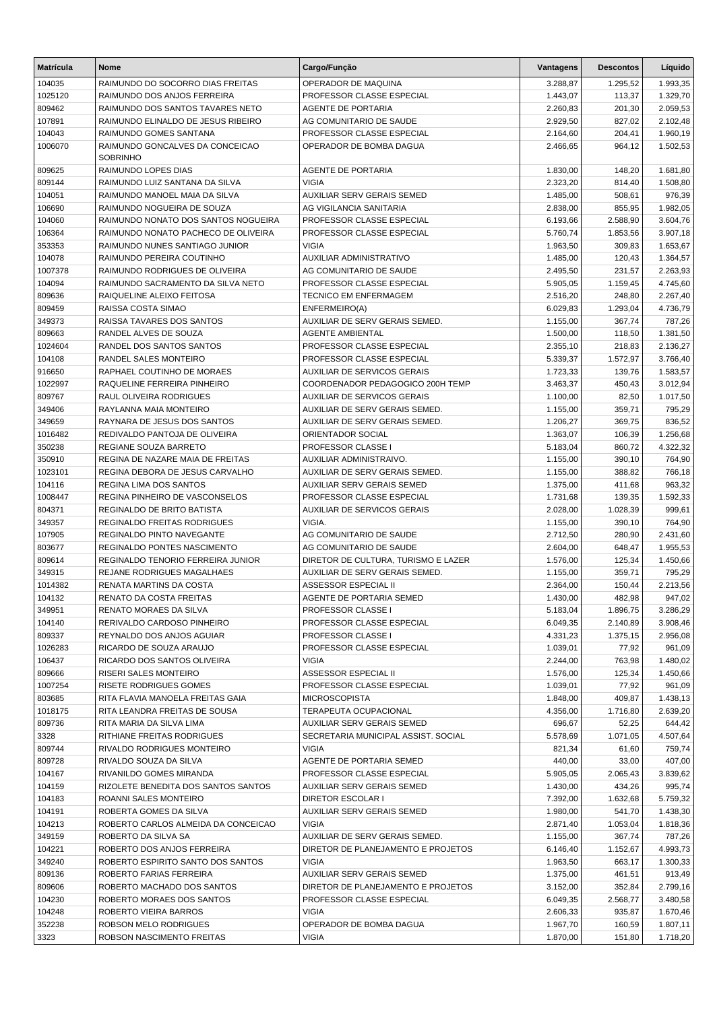| <b>Matrícula</b>  | <b>Nome</b>                                            | Cargo/Função                                              | Vantagens            | <b>Descontos</b> | Líquido              |
|-------------------|--------------------------------------------------------|-----------------------------------------------------------|----------------------|------------------|----------------------|
| 104035            | RAIMUNDO DO SOCORRO DIAS FREITAS                       | OPERADOR DE MAQUINA                                       | 3.288,87             | 1.295,52         | 1.993,35             |
| 1025120           | RAIMUNDO DOS ANJOS FERREIRA                            | PROFESSOR CLASSE ESPECIAL                                 | 1.443,07             | 113,37           | 1.329,70             |
| 809462            | RAIMUNDO DOS SANTOS TAVARES NETO                       | <b>AGENTE DE PORTARIA</b>                                 | 2.260,83             | 201,30           | 2.059,53             |
| 107891            | RAIMUNDO ELINALDO DE JESUS RIBEIRO                     | AG COMUNITARIO DE SAUDE                                   | 2.929,50             | 827,02           | 2.102,48             |
| 104043            | RAIMUNDO GOMES SANTANA                                 | PROFESSOR CLASSE ESPECIAL                                 | 2.164,60             | 204,41           | 1.960,19             |
| 1006070           | RAIMUNDO GONCALVES DA CONCEICAO<br><b>SOBRINHO</b>     | OPERADOR DE BOMBA DAGUA                                   | 2.466,65             | 964,12           | 1.502,53             |
| 809625            | RAIMUNDO LOPES DIAS                                    | <b>AGENTE DE PORTARIA</b>                                 | 1.830,00             | 148,20           | 1.681,80             |
| 809144            | RAIMUNDO LUIZ SANTANA DA SILVA                         | <b>VIGIA</b>                                              | 2.323,20             | 814,40           | 1.508,80             |
| 104051            | RAIMUNDO MANOEL MAIA DA SILVA                          | <b>AUXILIAR SERV GERAIS SEMED</b>                         | 1.485,00             | 508,61           | 976,39               |
| 106690            | RAIMUNDO NOGUEIRA DE SOUZA                             | AG VIGILANCIA SANITARIA                                   | 2.838,00             | 855,95           | 1.982,05             |
| 104060            | RAIMUNDO NONATO DOS SANTOS NOGUEIRA                    | PROFESSOR CLASSE ESPECIAL                                 | 6.193,66             | 2.588,90         | 3.604,76             |
| 106364            | RAIMUNDO NONATO PACHECO DE OLIVEIRA                    | PROFESSOR CLASSE ESPECIAL                                 | 5.760,74             | 1.853,56         | 3.907,18             |
| 353353            | RAIMUNDO NUNES SANTIAGO JUNIOR                         | <b>VIGIA</b>                                              | 1.963,50             | 309,83           | 1.653,67             |
| 104078            | RAIMUNDO PEREIRA COUTINHO                              | AUXILIAR ADMINISTRATIVO                                   | 1.485,00             | 120,43           | 1.364,57             |
| 1007378           | RAIMUNDO RODRIGUES DE OLIVEIRA                         | AG COMUNITARIO DE SAUDE                                   | 2.495,50             | 231,57           | 2.263,93             |
| 104094            | RAIMUNDO SACRAMENTO DA SILVA NETO                      | PROFESSOR CLASSE ESPECIAL                                 | 5.905,05             | 1.159,45         | 4.745,60             |
| 809636            | RAIQUELINE ALEIXO FEITOSA                              | TECNICO EM ENFERMAGEM                                     | 2.516,20             | 248,80           | 2.267,40             |
| 809459            | RAISSA COSTA SIMAO                                     | ENFERMEIRO(A)                                             | 6.029,83             | 1.293,04         | 4.736,79             |
| 349373            | RAISSA TAVARES DOS SANTOS                              | AUXILIAR DE SERV GERAIS SEMED.<br><b>AGENTE AMBIENTAL</b> | 1.155,00             | 367,74           | 787,26               |
| 809663<br>1024604 | RANDEL ALVES DE SOUZA<br>RANDEL DOS SANTOS SANTOS      | PROFESSOR CLASSE ESPECIAL                                 | 1.500,00<br>2.355,10 | 118,50<br>218,83 | 1.381,50             |
| 104108            | <b>RANDEL SALES MONTEIRO</b>                           | PROFESSOR CLASSE ESPECIAL                                 | 5.339,37             | 1.572,97         | 2.136,27<br>3.766,40 |
| 916650            | RAPHAEL COUTINHO DE MORAES                             | AUXILIAR DE SERVICOS GERAIS                               | 1.723,33             | 139,76           | 1.583,57             |
| 1022997           | RAQUELINE FERREIRA PINHEIRO                            | COORDENADOR PEDAGOGICO 200H TEMP                          | 3.463,37             | 450,43           | 3.012,94             |
| 809767            | RAUL OLIVEIRA RODRIGUES                                | AUXILIAR DE SERVICOS GERAIS                               | 1.100,00             | 82,50            | 1.017,50             |
| 349406            | RAYLANNA MAIA MONTEIRO                                 | AUXILIAR DE SERV GERAIS SEMED.                            | 1.155,00             | 359,71           | 795,29               |
| 349659            | RAYNARA DE JESUS DOS SANTOS                            | AUXILIAR DE SERV GERAIS SEMED.                            | 1.206,27             | 369,75           | 836,52               |
| 1016482           | REDIVALDO PANTOJA DE OLIVEIRA                          | ORIENTADOR SOCIAL                                         | 1.363,07             | 106,39           | 1.256,68             |
| 350238            | REGIANE SOUZA BARRETO                                  | PROFESSOR CLASSE I                                        | 5.183,04             | 860,72           | 4.322,32             |
| 350910            | REGINA DE NAZARE MAIA DE FREITAS                       | AUXILIAR ADMINISTRAIVO.                                   | 1.155,00             | 390,10           | 764,90               |
| 1023101           | REGINA DEBORA DE JESUS CARVALHO                        | AUXILIAR DE SERV GERAIS SEMED.                            | 1.155,00             | 388,82           | 766,18               |
| 104116            | REGINA LIMA DOS SANTOS                                 | AUXILIAR SERV GERAIS SEMED                                | 1.375,00             | 411,68           | 963,32               |
| 1008447           | REGINA PINHEIRO DE VASCONSELOS                         | PROFESSOR CLASSE ESPECIAL                                 | 1.731,68             | 139,35           | 1.592,33             |
| 804371            | REGINALDO DE BRITO BATISTA                             | AUXILIAR DE SERVICOS GERAIS                               | 2.028,00             | 1.028,39         | 999,61               |
| 349357            | <b>REGINALDO FREITAS RODRIGUES</b>                     | VIGIA.                                                    | 1.155,00             | 390,10           | 764,90               |
| 107905            | REGINALDO PINTO NAVEGANTE                              | AG COMUNITARIO DE SAUDE                                   | 2.712,50             | 280,90           | 2.431,60             |
| 803677            | REGINALDO PONTES NASCIMENTO                            | AG COMUNITARIO DE SAUDE                                   | 2.604,00             | 648,47           | 1.955,53             |
| 809614            | REGINALDO TENORIO FERREIRA JUNIOR                      | DIRETOR DE CULTURA, TURISMO E LAZER                       | 1.576,00             | 125,34           | 1.450,66             |
| 349315            | REJANE RODRIGUES MAGALHAES                             | AUXILIAR DE SERV GERAIS SEMED.                            | 1.155,00             | 359,71           | 795,29               |
| 1014382           | RENATA MARTINS DA COSTA                                | ASSESSOR ESPECIAL II                                      | 2.364,00             | 150,44           | 2.213,56             |
| 104132            | RENATO DA COSTA FREITAS                                | AGENTE DE PORTARIA SEMED                                  | 1.430,00             | 482,98           | 947,02               |
| 349951            | RENATO MORAES DA SILVA                                 | <b>PROFESSOR CLASSE I</b>                                 | 5.183,04             | 1.896,75         | 3.286,29             |
| 104140            | RERIVALDO CARDOSO PINHEIRO                             | PROFESSOR CLASSE ESPECIAL                                 | 6.049,35             | 2.140.89         | 3.908,46             |
| 809337            | REYNALDO DOS ANJOS AGUIAR                              | PROFESSOR CLASSE I                                        | 4.331,23             | 1.375,15         | 2.956,08             |
| 1026283           | RICARDO DE SOUZA ARAUJO                                | PROFESSOR CLASSE ESPECIAL                                 | 1.039,01             | 77,92            | 961,09               |
| 106437            | RICARDO DOS SANTOS OLIVEIRA                            | <b>VIGIA</b>                                              | 2.244,00             | 763,98           | 1.480,02             |
| 809666<br>1007254 | RISERI SALES MONTEIRO<br><b>RISETE RODRIGUES GOMES</b> | ASSESSOR ESPECIAL II<br>PROFESSOR CLASSE ESPECIAL         | 1.576,00<br>1.039,01 | 125,34<br>77,92  | 1.450,66<br>961,09   |
| 803685            | RITA FLAVIA MANOELA FREITAS GAIA                       | <b>MICROSCOPISTA</b>                                      | 1.848,00             | 409,87           | 1.438,13             |
| 1018175           | RITA LEANDRA FREITAS DE SOUSA                          | <b>TERAPEUTA OCUPACIONAL</b>                              | 4.356,00             | 1.716,80         | 2.639,20             |
| 809736            | RITA MARIA DA SILVA LIMA                               | <b>AUXILIAR SERV GERAIS SEMED</b>                         | 696,67               | 52,25            | 644,42               |
| 3328              | RITHIANE FREITAS RODRIGUES                             | SECRETARIA MUNICIPAL ASSIST. SOCIAL                       | 5.578,69             | 1.071,05         | 4.507,64             |
| 809744            | RIVALDO RODRIGUES MONTEIRO                             | <b>VIGIA</b>                                              | 821,34               | 61,60            | 759,74               |
| 809728            | RIVALDO SOUZA DA SILVA                                 | AGENTE DE PORTARIA SEMED                                  | 440,00               | 33,00            | 407,00               |
| 104167            | RIVANILDO GOMES MIRANDA                                | PROFESSOR CLASSE ESPECIAL                                 | 5.905,05             | 2.065,43         | 3.839,62             |
| 104159            | RIZOLETE BENEDITA DOS SANTOS SANTOS                    | AUXILIAR SERV GERAIS SEMED                                | 1.430,00             | 434,26           | 995,74               |
| 104183            | ROANNI SALES MONTEIRO                                  | DIRETOR ESCOLAR I                                         | 7.392,00             | 1.632,68         | 5.759,32             |
| 104191            | ROBERTA GOMES DA SILVA                                 | AUXILIAR SERV GERAIS SEMED                                | 1.980,00             | 541,70           | 1.438,30             |
| 104213            | ROBERTO CARLOS ALMEIDA DA CONCEICAO                    | <b>VIGIA</b>                                              | 2.871,40             | 1.053,04         | 1.818,36             |
| 349159            | ROBERTO DA SILVA SA                                    | AUXILIAR DE SERV GERAIS SEMED.                            | 1.155,00             | 367,74           | 787,26               |
| 104221            | ROBERTO DOS ANJOS FERREIRA                             | DIRETOR DE PLANEJAMENTO E PROJETOS                        | 6.146,40             | 1.152,67         | 4.993,73             |
| 349240            | ROBERTO ESPIRITO SANTO DOS SANTOS                      | <b>VIGIA</b>                                              | 1.963,50             | 663,17           | 1.300,33             |
| 809136            | ROBERTO FARIAS FERREIRA                                | AUXILIAR SERV GERAIS SEMED                                | 1.375,00             | 461,51           | 913,49               |
| 809606            | ROBERTO MACHADO DOS SANTOS                             | DIRETOR DE PLANEJAMENTO E PROJETOS                        | 3.152,00             | 352,84           | 2.799,16             |
| 104230            | ROBERTO MORAES DOS SANTOS                              | PROFESSOR CLASSE ESPECIAL                                 | 6.049,35             | 2.568,77         | 3.480,58             |
| 104248            | ROBERTO VIEIRA BARROS                                  | <b>VIGIA</b>                                              | 2.606,33             | 935,87           | 1.670,46             |
| 352238            | ROBSON MELO RODRIGUES                                  | OPERADOR DE BOMBA DAGUA                                   | 1.967,70             | 160,59           | 1.807,11             |
| 3323              | ROBSON NASCIMENTO FREITAS                              | VIGIA                                                     | 1.870,00             | 151,80           | 1.718,20             |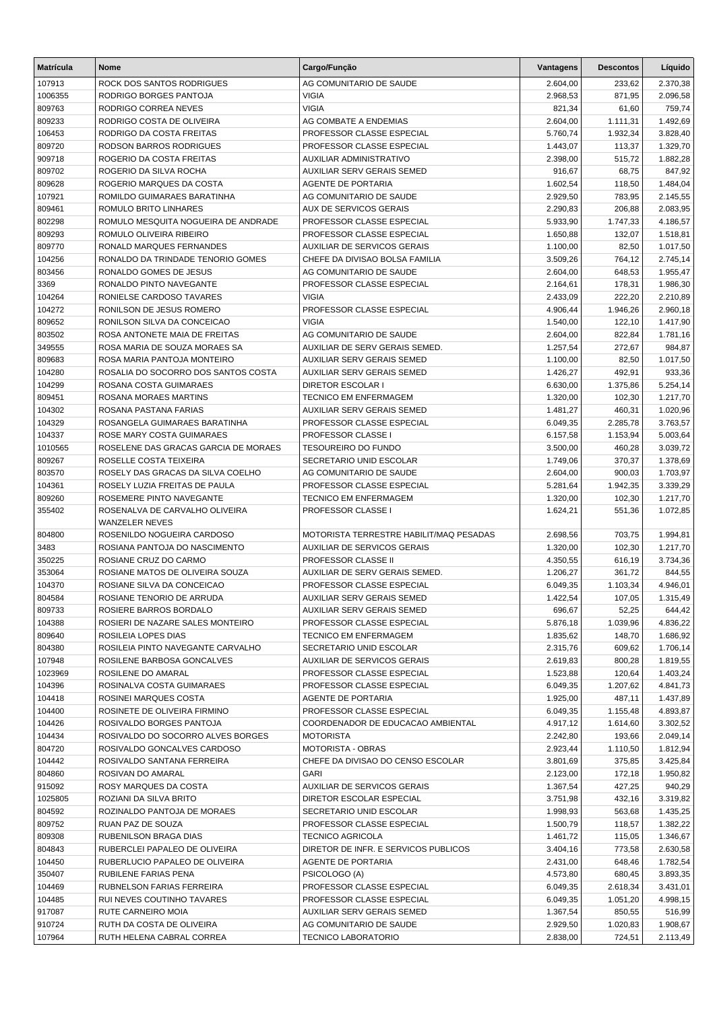| <b>Matrícula</b> | Nome                                                          | Cargo/Função                                                | Vantagens            | <b>Descontos</b>   | Líquido              |
|------------------|---------------------------------------------------------------|-------------------------------------------------------------|----------------------|--------------------|----------------------|
| 107913           | ROCK DOS SANTOS RODRIGUES                                     | AG COMUNITARIO DE SAUDE                                     | 2.604,00             | 233,62             | 2.370,38             |
| 1006355          | RODRIGO BORGES PANTOJA                                        | <b>VIGIA</b>                                                | 2.968,53             | 871,95             | 2.096,58             |
| 809763           | RODRIGO CORREA NEVES                                          | <b>VIGIA</b>                                                | 821,34               | 61,60              | 759,74               |
| 809233           | RODRIGO COSTA DE OLIVEIRA                                     | AG COMBATE A ENDEMIAS                                       | 2.604,00             | 1.111,31           | 1.492,69             |
| 106453           | RODRIGO DA COSTA FREITAS                                      | PROFESSOR CLASSE ESPECIAL                                   | 5.760,74             | 1.932,34           | 3.828,40             |
| 809720           | RODSON BARROS RODRIGUES                                       | PROFESSOR CLASSE ESPECIAL                                   | 1.443,07             | 113,37             | 1.329,70             |
| 909718           | ROGERIO DA COSTA FREITAS                                      | AUXILIAR ADMINISTRATIVO                                     | 2.398,00             | 515,72             | 1.882,28             |
| 809702           | ROGERIO DA SILVA ROCHA                                        | AUXILIAR SERV GERAIS SEMED                                  | 916,67               | 68,75              | 847,92               |
| 809628           | ROGERIO MARQUES DA COSTA                                      | <b>AGENTE DE PORTARIA</b>                                   | 1.602,54             | 118,50             | 1.484,04             |
| 107921           | ROMILDO GUIMARAES BARATINHA                                   | AG COMUNITARIO DE SAUDE                                     | 2.929,50             | 783,95             | 2.145,55             |
| 809461           | ROMULO BRITO LINHARES                                         | AUX DE SERVICOS GERAIS                                      | 2.290,83             | 206,88             | 2.083,95             |
| 802298           | ROMULO MESQUITA NOGUEIRA DE ANDRADE                           | PROFESSOR CLASSE ESPECIAL                                   | 5.933,90             | 1.747,33           | 4.186,57             |
| 809293           | ROMULO OLIVEIRA RIBEIRO                                       | PROFESSOR CLASSE ESPECIAL                                   | 1.650,88             | 132,07             | 1.518,81             |
| 809770           | RONALD MARQUES FERNANDES                                      | AUXILIAR DE SERVICOS GERAIS                                 | 1.100,00             | 82,50              | 1.017,50             |
| 104256           | RONALDO DA TRINDADE TENORIO GOMES<br>RONALDO GOMES DE JESUS   | CHEFE DA DIVISAO BOLSA FAMILIA<br>AG COMUNITARIO DE SAUDE   | 3.509,26             | 764,12             | 2.745,14             |
| 803456<br>3369   | RONALDO PINTO NAVEGANTE                                       | PROFESSOR CLASSE ESPECIAL                                   | 2.604,00<br>2.164,61 | 648,53<br>178,31   | 1.955,47<br>1.986,30 |
| 104264           | RONIELSE CARDOSO TAVARES                                      | <b>VIGIA</b>                                                | 2.433,09             | 222,20             | 2.210,89             |
| 104272           | RONILSON DE JESUS ROMERO                                      | PROFESSOR CLASSE ESPECIAL                                   | 4.906,44             | 1.946,26           | 2.960,18             |
| 809652           | RONILSON SILVA DA CONCEICAO                                   | <b>VIGIA</b>                                                | 1.540,00             | 122,10             | 1.417,90             |
| 803502           | ROSA ANTONETE MAIA DE FREITAS                                 | AG COMUNITARIO DE SAUDE                                     | 2.604,00             | 822,84             | 1.781,16             |
| 349555           | ROSA MARIA DE SOUZA MORAES SA                                 | AUXILIAR DE SERV GERAIS SEMED.                              | 1.257,54             | 272,67             | 984,87               |
| 809683           | ROSA MARIA PANTOJA MONTEIRO                                   | AUXILIAR SERV GERAIS SEMED                                  | 1.100,00             | 82,50              | 1.017,50             |
| 104280           | ROSALIA DO SOCORRO DOS SANTOS COSTA                           | AUXILIAR SERV GERAIS SEMED                                  | 1.426,27             | 492,91             | 933,36               |
| 104299           | ROSANA COSTA GUIMARAES                                        | <b>DIRETOR ESCOLAR I</b>                                    | 6.630,00             | 1.375,86           | 5.254,14             |
| 809451           | ROSANA MORAES MARTINS                                         | <b>TECNICO EM ENFERMAGEM</b>                                | 1.320,00             | 102,30             | 1.217,70             |
| 104302           | ROSANA PASTANA FARIAS                                         | <b>AUXILIAR SERV GERAIS SEMED</b>                           | 1.481,27             | 460,31             | 1.020,96             |
| 104329           | ROSANGELA GUIMARAES BARATINHA                                 | PROFESSOR CLASSE ESPECIAL                                   | 6.049,35             | 2.285,78           | 3.763,57             |
| 104337           | ROSE MARY COSTA GUIMARAES                                     | PROFESSOR CLASSE I                                          | 6.157,58             | 1.153,94           | 5.003,64             |
| 1010565          | ROSELENE DAS GRACAS GARCIA DE MORAES                          | <b>TESOUREIRO DO FUNDO</b>                                  | 3.500,00             | 460,28             | 3.039,72             |
| 809267           | ROSELLE COSTA TEIXEIRA                                        | SECRETARIO UNID ESCOLAR                                     | 1.749,06             | 370,37             | 1.378,69             |
| 803570           | ROSELY DAS GRACAS DA SILVA COELHO                             | AG COMUNITARIO DE SAUDE                                     | 2.604,00             | 900,03             | 1.703,97             |
| 104361           | ROSELY LUZIA FREITAS DE PAULA                                 | PROFESSOR CLASSE ESPECIAL                                   | 5.281,64             | 1.942,35           | 3.339,29             |
| 809260           | ROSEMERE PINTO NAVEGANTE                                      | <b>TECNICO EM ENFERMAGEM</b>                                | 1.320,00             | 102,30             | 1.217,70             |
| 355402           | ROSENALVA DE CARVALHO OLIVEIRA                                | PROFESSOR CLASSE I                                          | 1.624,21             | 551,36             | 1.072,85             |
|                  | <b>WANZELER NEVES</b>                                         |                                                             |                      |                    |                      |
| 804800           | ROSENILDO NOGUEIRA CARDOSO                                    | MOTORISTA TERRESTRE HABILIT/MAQ PESADAS                     | 2.698,56             | 703,75             | 1.994,81             |
| 3483             | ROSIANA PANTOJA DO NASCIMENTO<br>ROSIANE CRUZ DO CARMO        | <b>AUXILIAR DE SERVICOS GERAIS</b>                          | 1.320,00             | 102,30             | 1.217,70             |
| 350225           |                                                               | PROFESSOR CLASSE II                                         | 4.350,55             | 616,19             | 3.734,36             |
| 353064<br>104370 | ROSIANE MATOS DE OLIVEIRA SOUZA<br>ROSIANE SILVA DA CONCEICAO | AUXILIAR DE SERV GERAIS SEMED.<br>PROFESSOR CLASSE ESPECIAL | 1.206,27<br>6.049,35 | 361,72<br>1.103,34 | 844,55<br>4.946,01   |
| 804584           | ROSIANE TENORIO DE ARRUDA                                     | AUXILIAR SERV GERAIS SEMED                                  | 1.422,54             | 107,05             | 1.315,49             |
| 809733           | ROSIERE BARROS BORDALO                                        | <b>AUXILIAR SERV GERAIS SEMED</b>                           | 696,67               | 52,25              | 644,42               |
| 104388           | ROSIERI DE NAZARE SALES MONTEIRO                              | PROFESSOR CLASSE ESPECIAL                                   | 5.876,18             | 1.039,96           | 4.836,22             |
| 809640           | ROSILEIA LOPES DIAS                                           | <b>TECNICO EM ENFERMAGEM</b>                                | 1.835,62             | 148,70             | 1.686,92             |
| 804380           | ROSILEIA PINTO NAVEGANTE CARVALHO                             | SECRETARIO UNID ESCOLAR                                     | 2.315,76             | 609.62             | 1.706,14             |
| 107948           | ROSILENE BARBOSA GONCALVES                                    | AUXILIAR DE SERVICOS GERAIS                                 | 2.619,83             | 800,28             | 1.819,55             |
| 1023969          | ROSILENE DO AMARAL                                            | PROFESSOR CLASSE ESPECIAL                                   | 1.523,88             | 120,64             | 1.403,24             |
| 104396           | ROSINALVA COSTA GUIMARAES                                     | PROFESSOR CLASSE ESPECIAL                                   | 6.049,35             | 1.207,62           | 4.841,73             |
| 104418           | ROSINEI MARQUES COSTA                                         | AGENTE DE PORTARIA                                          | 1.925,00             | 487,11             | 1.437,89             |
| 104400           | ROSINETE DE OLIVEIRA FIRMINO                                  | PROFESSOR CLASSE ESPECIAL                                   | 6.049,35             | 1.155,48           | 4.893,87             |
| 104426           | ROSIVALDO BORGES PANTOJA                                      | COORDENADOR DE EDUCACAO AMBIENTAL                           | 4.917,12             | 1.614,60           | 3.302,52             |
| 104434           | ROSIVALDO DO SOCORRO ALVES BORGES                             | <b>MOTORISTA</b>                                            | 2.242,80             | 193,66             | 2.049,14             |
| 804720           | ROSIVALDO GONCALVES CARDOSO                                   | MOTORISTA - OBRAS                                           | 2.923,44             | 1.110,50           | 1.812,94             |
| 104442           | ROSIVALDO SANTANA FERREIRA                                    | CHEFE DA DIVISAO DO CENSO ESCOLAR                           | 3.801,69             | 375,85             | 3.425,84             |
| 804860           | ROSIVAN DO AMARAL                                             | <b>GARI</b>                                                 | 2.123,00             | 172,18             | 1.950,82             |
| 915092           | ROSY MARQUES DA COSTA                                         | AUXILIAR DE SERVICOS GERAIS                                 | 1.367,54             | 427,25             | 940,29               |
| 1025805          | ROZIANI DA SILVA BRITO                                        | DIRETOR ESCOLAR ESPECIAL                                    | 3.751,98             | 432,16             | 3.319,82             |
| 804592           | ROZINALDO PANTOJA DE MORAES                                   | SECRETARIO UNID ESCOLAR                                     | 1.998,93             | 563,68             | 1.435,25             |
| 809752           | RUAN PAZ DE SOUZA                                             | PROFESSOR CLASSE ESPECIAL                                   | 1.500,79             | 118,57             | 1.382,22             |
| 809308           | RUBENILSON BRAGA DIAS                                         | <b>TECNICO AGRICOLA</b>                                     | 1.461,72             | 115,05             | 1.346,67             |
| 804843           | RUBERCLEI PAPALEO DE OLIVEIRA                                 | DIRETOR DE INFR. E SERVICOS PUBLICOS                        | 3.404,16             | 773,58             | 2.630,58             |
| 104450           | RUBERLUCIO PAPALEO DE OLIVEIRA                                | AGENTE DE PORTARIA                                          | 2.431,00             | 648,46             | 1.782,54             |
| 350407           | RUBILENE FARIAS PENA                                          | PSICOLOGO (A)                                               | 4.573,80             | 680,45             | 3.893,35             |
| 104469           | RUBNELSON FARIAS FERREIRA                                     | PROFESSOR CLASSE ESPECIAL                                   | 6.049,35             | 2.618,34           | 3.431,01             |
| 104485           | RUI NEVES COUTINHO TAVARES                                    | PROFESSOR CLASSE ESPECIAL                                   | 6.049,35             | 1.051,20           | 4.998,15             |
| 917087           | RUTE CARNEIRO MOIA                                            | AUXILIAR SERV GERAIS SEMED                                  | 1.367,54             | 850,55             | 516,99               |
| 910724           | RUTH DA COSTA DE OLIVEIRA                                     | AG COMUNITARIO DE SAUDE                                     | 2.929,50             | 1.020,83           | 1.908,67             |
| 107964           | RUTH HELENA CABRAL CORREA                                     | <b>TECNICO LABORATORIO</b>                                  | 2.838,00             | 724,51             | 2.113,49             |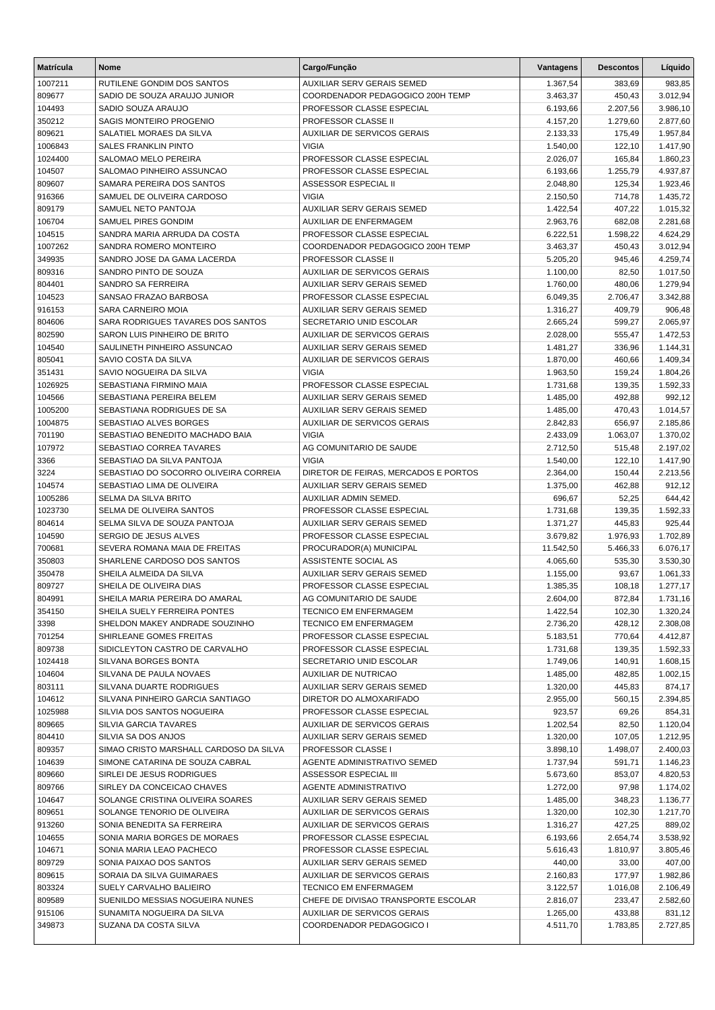| <b>Matrícula</b>  | <b>Nome</b>                                                | Cargo/Função                                                        | Vantagens            | <b>Descontos</b>   | Líquido              |
|-------------------|------------------------------------------------------------|---------------------------------------------------------------------|----------------------|--------------------|----------------------|
| 1007211           | RUTILENE GONDIM DOS SANTOS                                 | AUXILIAR SERV GERAIS SEMED                                          | 1.367,54             | 383,69             | 983,85               |
| 809677            | SADIO DE SOUZA ARAUJO JUNIOR                               | COORDENADOR PEDAGOGICO 200H TEMP                                    | 3.463,37             | 450,43             | 3.012,94             |
| 104493            | SADIO SOUZA ARAUJO                                         | PROFESSOR CLASSE ESPECIAL                                           | 6.193,66             | 2.207,56           | 3.986,10             |
| 350212            | SAGIS MONTEIRO PROGENIO                                    | <b>PROFESSOR CLASSE II</b>                                          | 4.157,20             | 1.279,60           | 2.877,60             |
| 809621            | SALATIEL MORAES DA SILVA                                   | <b>AUXILIAR DE SERVICOS GERAIS</b>                                  | 2.133,33             | 175,49             | 1.957,84             |
| 1006843           | <b>SALES FRANKLIN PINTO</b>                                | <b>VIGIA</b>                                                        | 1.540,00             | 122,10             | 1.417,90             |
| 1024400           | SALOMAO MELO PEREIRA                                       | PROFESSOR CLASSE ESPECIAL                                           | 2.026,07             | 165,84             | 1.860,23             |
| 104507            | SALOMAO PINHEIRO ASSUNCAO                                  | PROFESSOR CLASSE ESPECIAL                                           | 6.193,66             | 1.255,79           | 4.937,87             |
| 809607            | SAMARA PEREIRA DOS SANTOS                                  | ASSESSOR ESPECIAL II                                                | 2.048,80             | 125,34             | 1.923,46             |
| 916366            | SAMUEL DE OLIVEIRA CARDOSO                                 | <b>VIGIA</b>                                                        | 2.150,50             | 714,78             | 1.435,72             |
| 809179<br>106704  | SAMUEL NETO PANTOJA<br>SAMUEL PIRES GONDIM                 | AUXILIAR SERV GERAIS SEMED<br>AUXILIAR DE ENFERMAGEM                | 1.422,54<br>2.963,76 | 407,22<br>682,08   | 1.015,32<br>2.281,68 |
| 104515            | SANDRA MARIA ARRUDA DA COSTA                               | PROFESSOR CLASSE ESPECIAL                                           | 6.222,51             | 1.598,22           | 4.624,29             |
| 1007262           | SANDRA ROMERO MONTEIRO                                     | COORDENADOR PEDAGOGICO 200H TEMP                                    | 3.463,37             | 450,43             | 3.012,94             |
| 349935            | SANDRO JOSE DA GAMA LACERDA                                | PROFESSOR CLASSE II                                                 | 5.205,20             | 945,46             | 4.259,74             |
| 809316            | SANDRO PINTO DE SOUZA                                      | <b>AUXILIAR DE SERVICOS GERAIS</b>                                  | 1.100,00             | 82,50              | 1.017,50             |
| 804401            | SANDRO SA FERREIRA                                         | AUXILIAR SERV GERAIS SEMED                                          | 1.760,00             | 480,06             | 1.279,94             |
| 104523            | SANSAO FRAZAO BARBOSA                                      | PROFESSOR CLASSE ESPECIAL                                           | 6.049,35             | 2.706,47           | 3.342,88             |
| 916153            | SARA CARNEIRO MOIA                                         | AUXILIAR SERV GERAIS SEMED                                          | 1.316,27             | 409,79             | 906,48               |
| 804606            | SARA RODRIGUES TAVARES DOS SANTOS                          | SECRETARIO UNID ESCOLAR                                             | 2.665,24             | 599,27             | 2.065,97             |
| 802590            | SARON LUIS PINHEIRO DE BRITO                               | <b>AUXILIAR DE SERVICOS GERAIS</b>                                  | 2.028,00             | 555,47             | 1.472,53             |
| 104540            | SAULINETH PINHEIRO ASSUNCAO                                | AUXILIAR SERV GERAIS SEMED                                          | 1.481,27             | 336,96             | 1.144,31             |
| 805041            | SAVIO COSTA DA SILVA                                       | <b>AUXILIAR DE SERVICOS GERAIS</b>                                  | 1.870,00             | 460,66             | 1.409,34             |
| 351431            | SAVIO NOGUEIRA DA SILVA                                    | <b>VIGIA</b>                                                        | 1.963,50             | 159,24             | 1.804,26             |
| 1026925           | SEBASTIANA FIRMINO MAIA                                    | PROFESSOR CLASSE ESPECIAL                                           | 1.731,68             | 139,35             | 1.592,33             |
| 104566            | SEBASTIANA PEREIRA BELEM                                   | AUXILIAR SERV GERAIS SEMED                                          | 1.485,00             | 492,88             | 992,12               |
| 1005200           | SEBASTIANA RODRIGUES DE SA                                 | AUXILIAR SERV GERAIS SEMED                                          | 1.485,00             | 470,43             | 1.014,57             |
| 1004875           | SEBASTIAO ALVES BORGES                                     | AUXILIAR DE SERVICOS GERAIS                                         | 2.842,83             | 656,97             | 2.185,86             |
| 701190            | SEBASTIAO BENEDITO MACHADO BAIA                            | <b>VIGIA</b>                                                        | 2.433,09             | 1.063,07           | 1.370,02             |
| 107972<br>3366    | SEBASTIAO CORREA TAVARES<br>SEBASTIAO DA SILVA PANTOJA     | AG COMUNITARIO DE SAUDE<br><b>VIGIA</b>                             | 2.712,50<br>1.540,00 | 515,48<br>122,10   | 2.197,02<br>1.417,90 |
| 3224              | SEBASTIAO DO SOCORRO OLIVEIRA CORREIA                      | DIRETOR DE FEIRAS, MERCADOS E PORTOS                                | 2.364,00             | 150,44             | 2.213,56             |
| 104574            | SEBASTIAO LIMA DE OLIVEIRA                                 | AUXILIAR SERV GERAIS SEMED                                          | 1.375,00             | 462,88             | 912,12               |
| 1005286           | SELMA DA SILVA BRITO                                       | AUXILIAR ADMIN SEMED.                                               | 696,67               | 52,25              | 644,42               |
| 1023730           | SELMA DE OLIVEIRA SANTOS                                   | PROFESSOR CLASSE ESPECIAL                                           | 1.731,68             | 139,35             | 1.592,33             |
| 804614            | SELMA SILVA DE SOUZA PANTOJA                               | AUXILIAR SERV GERAIS SEMED                                          | 1.371,27             | 445,83             | 925,44               |
| 104590            | SERGIO DE JESUS ALVES                                      | PROFESSOR CLASSE ESPECIAL                                           | 3.679,82             | 1.976,93           | 1.702,89             |
| 700681            | SEVERA ROMANA MAIA DE FREITAS                              | PROCURADOR(A) MUNICIPAL                                             | 11.542,50            | 5.466,33           | 6.076,17             |
| 350803            | SHARLENE CARDOSO DOS SANTOS                                | ASSISTENTE SOCIAL AS                                                | 4.065,60             | 535,30             | 3.530,30             |
| 350478            | SHEILA ALMEIDA DA SILVA                                    | AUXILIAR SERV GERAIS SEMED                                          | 1.155,00             | 93,67              | 1.061,33             |
| 809727            | SHEILA DE OLIVEIRA DIAS                                    | PROFESSOR CLASSE ESPECIAL                                           | 1.385,35             | 108,18             | 1.277,17             |
| 804991            | SHEILA MARIA PEREIRA DO AMARAL                             | AG COMUNITARIO DE SAUDE                                             | 2.604,00             | 872,84             | 1.731,16             |
| 354150            | SHEILA SUELY FERREIRA PONTES                               | <b>TECNICO EM ENFERMAGEM</b>                                        | 1.422,54             | 102,30             | 1.320,24             |
| 3398              | SHELDON MAKEY ANDRADE SOUZINHO                             | <b>TECNICO EM ENFERMAGEM</b>                                        | 2.736,20             | 428,12             | 2.308,08             |
| 701254            | SHIRLEANE GOMES FREITAS                                    | PROFESSOR CLASSE ESPECIAL                                           | 5.183,51             | 770,64             | 4.412,87             |
| 809738            | SIDICLEYTON CASTRO DE CARVALHO<br>SILVANA BORGES BONTA     | PROFESSOR CLASSE ESPECIAL<br>SECRETARIO UNID ESCOLAR                | 1.731,68             | 139,35             | 1.592,33             |
| 1024418<br>104604 | SILVANA DE PAULA NOVAES                                    | <b>AUXILIAR DE NUTRICAO</b>                                         | 1.749,06<br>1.485,00 | 140,91<br>482,85   | 1.608,15<br>1.002,15 |
| 803111            | SILVANA DUARTE RODRIGUES                                   | AUXILIAR SERV GERAIS SEMED                                          | 1.320,00             | 445,83             | 874,17               |
| 104612            | SILVANA PINHEIRO GARCIA SANTIAGO                           | DIRETOR DO ALMOXARIFADO                                             | 2.955,00             | 560,15             | 2.394,85             |
| 1025988           | SILVIA DOS SANTOS NOGUEIRA                                 | PROFESSOR CLASSE ESPECIAL                                           | 923,57               | 69,26              | 854,31               |
| 809665            | SILVIA GARCIA TAVARES                                      | AUXILIAR DE SERVICOS GERAIS                                         | 1.202,54             | 82,50              | 1.120,04             |
| 804410            | SILVIA SA DOS ANJOS                                        | AUXILIAR SERV GERAIS SEMED                                          | 1.320,00             | 107,05             | 1.212,95             |
| 809357            | SIMAO CRISTO MARSHALL CARDOSO DA SILVA                     | PROFESSOR CLASSE I                                                  | 3.898,10             | 1.498,07           | 2.400,03             |
| 104639            | SIMONE CATARINA DE SOUZA CABRAL                            | AGENTE ADMINISTRATIVO SEMED                                         | 1.737,94             | 591,71             | 1.146,23             |
| 809660            | SIRLEI DE JESUS RODRIGUES                                  | ASSESSOR ESPECIAL III                                               | 5.673,60             | 853,07             | 4.820,53             |
| 809766            | SIRLEY DA CONCEICAO CHAVES                                 | AGENTE ADMINISTRATIVO                                               | 1.272,00             | 97,98              | 1.174,02             |
| 104647            | SOLANGE CRISTINA OLIVEIRA SOARES                           | AUXILIAR SERV GERAIS SEMED                                          | 1.485,00             | 348,23             | 1.136,77             |
| 809651            | SOLANGE TENORIO DE OLIVEIRA                                | AUXILIAR DE SERVICOS GERAIS                                         | 1.320,00             | 102,30             | 1.217,70             |
| 913260            | SONIA BENEDITA SA FERREIRA                                 | AUXILIAR DE SERVICOS GERAIS                                         | 1.316,27             | 427,25             | 889,02               |
| 104655            | SONIA MARIA BORGES DE MORAES                               | PROFESSOR CLASSE ESPECIAL                                           | 6.193,66             | 2.654,74           | 3.538,92             |
| 104671            | SONIA MARIA LEAO PACHECO                                   | PROFESSOR CLASSE ESPECIAL                                           | 5.616,43             | 1.810,97           | 3.805,46             |
| 809729            | SONIA PAIXAO DOS SANTOS                                    | AUXILIAR SERV GERAIS SEMED                                          | 440,00               | 33,00              | 407,00               |
| 809615<br>803324  | SORAIA DA SILVA GUIMARAES                                  | AUXILIAR DE SERVICOS GERAIS                                         | 2.160,83<br>3.122,57 | 177,97             | 1.982,86<br>2.106,49 |
| 809589            | SUELY CARVALHO BALIEIRO<br>SUENILDO MESSIAS NOGUEIRA NUNES | <b>TECNICO EM ENFERMAGEM</b><br>CHEFE DE DIVISAO TRANSPORTE ESCOLAR | 2.816,07             | 1.016,08<br>233,47 | 2.582,60             |
| 915106            | SUNAMITA NOGUEIRA DA SILVA                                 | AUXILIAR DE SERVICOS GERAIS                                         | 1.265,00             | 433,88             | 831,12               |
| 349873            | SUZANA DA COSTA SILVA                                      | COORDENADOR PEDAGOGICO I                                            | 4.511,70             | 1.783,85           | 2.727,85             |
|                   |                                                            |                                                                     |                      |                    |                      |